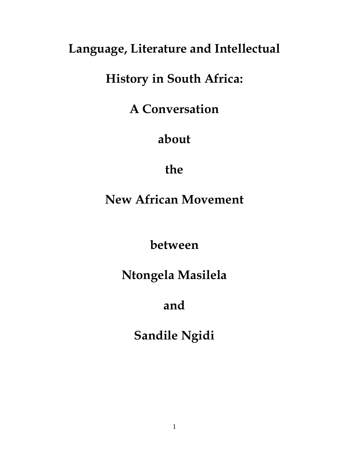# **Language, Literature and Intellectual**

## **History in South Africa:**

**A Conversation** 

## **about**

**the** 

## **New African Movement**

**between** 

## **Ntongela Masilela**

## **and**

# **Sandile Ngidi**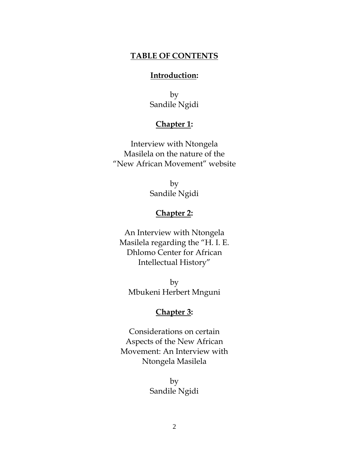### **TABLE OF CONTENTS**

#### **Introduction:**

by Sandile Ngidi

### **Chapter 1:**

Interview with Ntongela Masilela on the nature of the "New African Movement" website

> by Sandile Ngidi

### **Chapter 2:**

An Interview with Ntongela Masilela regarding the "H. I. E. Dhlomo Center for African Intellectual History"

by Mbukeni Herbert Mnguni

### **Chapter 3:**

Considerations on certain Aspects of the New African Movement: An Interview with Ntongela Masilela

> by Sandile Ngidi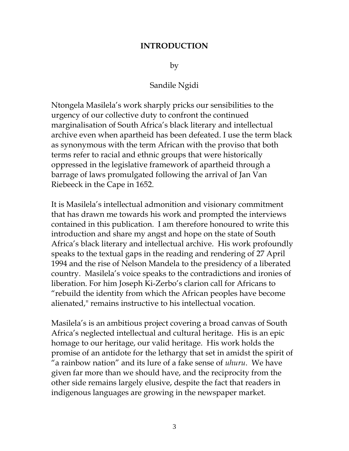### **INTRODUCTION**

by

### Sandile Ngidi

Ntongela Masilela's work sharply pricks our sensibilities to the urgency of our collective duty to confront the continued marginalisation of South Africa's black literary and intellectual archive even when apartheid has been defeated. I use the term black as synonymous with the term African with the proviso that both terms refer to racial and ethnic groups that were historically oppressed in the legislative framework of apartheid through a barrage of laws promulgated following the arrival of Jan Van Riebeeck in the Cape in 1652.

It is Masilela's intellectual admonition and visionary commitment that has drawn me towards his work and prompted the interviews contained in this publication. I am therefore honoured to write this introduction and share my angst and hope on the state of South Africa's black literary and intellectual archive. His work profoundly speaks to the textual gaps in the reading and rendering of 27 April 1994 and the rise of Nelson Mandela to the presidency of a liberated country. Masilela's voice speaks to the contradictions and ironies of liberation. For him Joseph Ki-Zerbo's clarion call for Africans to "rebuild the identity from which the African peoples have become alienated," remains instructive to his intellectual vocation.

Masilela's is an ambitious project covering a broad canvas of South Africa's neglected intellectual and cultural heritage. His is an epic homage to our heritage, our valid heritage. His work holds the promise of an antidote for the lethargy that set in amidst the spirit of "a rainbow nation" and its lure of a fake sense of *uhuru*. We have given far more than we should have, and the reciprocity from the other side remains largely elusive, despite the fact that readers in indigenous languages are growing in the newspaper market.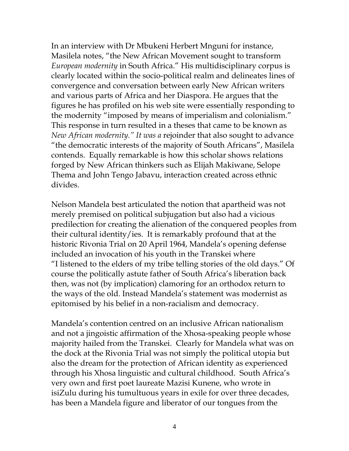In an interview with Dr Mbukeni Herbert Mnguni for instance, Masilela notes, "the New African Movement sought to transform *European modernity* in South Africa." His multidisciplinary corpus is clearly located within the socio-political realm and delineates lines of convergence and conversation between early New African writers and various parts of Africa and her Diaspora. He argues that the figures he has profiled on his web site were essentially responding to the modernity "imposed by means of imperialism and colonialism." This response in turn resulted in a theses that came to be known as *New African modernity." It was a* rejoinder that also sought to advance "the democratic interests of the majority of South Africans", Masilela contends. Equally remarkable is how this scholar shows relations forged by New African thinkers such as Elijah Makiwane, Selope Thema and John Tengo Jabavu, interaction created across ethnic divides.

Nelson Mandela best articulated the notion that apartheid was not merely premised on political subjugation but also had a vicious predilection for creating the alienation of the conquered peoples from their cultural identity/ies. It is remarkably profound that at the historic Rivonia Trial on 20 April 1964, Mandela's opening defense included an invocation of his youth in the Transkei where "I listened to the elders of my tribe telling stories of the old days." Of course the politically astute father of South Africa's liberation back then, was not (by implication) clamoring for an orthodox return to the ways of the old. Instead Mandela's statement was modernist as epitomised by his belief in a non-racialism and democracy.

Mandela's contention centred on an inclusive African nationalism and not a jingoistic affirmation of the Xhosa-speaking people whose majority hailed from the Transkei. Clearly for Mandela what was on the dock at the Rivonia Trial was not simply the political utopia but also the dream for the protection of African identity as experienced through his Xhosa linguistic and cultural childhood. South Africa's very own and first poet laureate Mazisi Kunene, who wrote in isiZulu during his tumultuous years in exile for over three decades, has been a Mandela figure and liberator of our tongues from the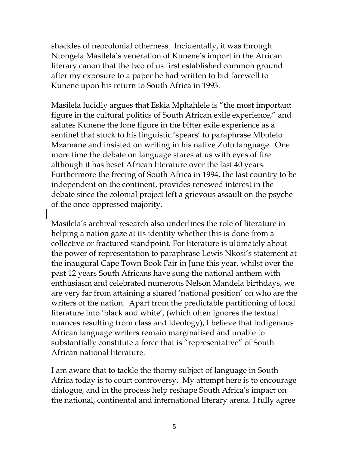shackles of neocolonial otherness. Incidentally, it was through Ntongela Masilela's veneration of Kunene's import in the African literary canon that the two of us first established common ground after my exposure to a paper he had written to bid farewell to Kunene upon his return to South Africa in 1993.

Masilela lucidly argues that Eskia Mphahlele is "the most important figure in the cultural politics of South African exile experience," and salutes Kunene the lone figure in the bitter exile experience as a sentinel that stuck to his linguistic 'spears' to paraphrase Mbulelo Mzamane and insisted on writing in his native Zulu language. One more time the debate on language stares at us with eyes of fire although it has beset African literature over the last 40 years. Furthermore the freeing of South Africa in 1994, the last country to be independent on the continent, provides renewed interest in the debate since the colonial project left a grievous assault on the psyche of the once-oppressed majority.

Masilela's archival research also underlines the role of literature in helping a nation gaze at its identity whether this is done from a collective or fractured standpoint. For literature is ultimately about the power of representation to paraphrase Lewis Nkosi's statement at the inaugural Cape Town Book Fair in June this year, whilst over the past 12 years South Africans have sung the national anthem with enthusiasm and celebrated numerous Nelson Mandela birthdays, we are very far from attaining a shared 'national position' on who are the writers of the nation. Apart from the predictable partitioning of local literature into 'black and white', (which often ignores the textual nuances resulting from class and ideology), I believe that indigenous African language writers remain marginalised and unable to substantially constitute a force that is "representative" of South African national literature.

I am aware that to tackle the thorny subject of language in South Africa today is to court controversy. My attempt here is to encourage dialogue, and in the process help reshape South Africa's impact on the national, continental and international literary arena. I fully agree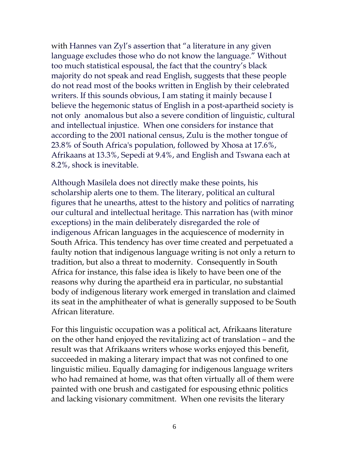with Hannes van Zyl's assertion that "a literature in any given language excludes those who do not know the language." Without too much statistical espousal, the fact that the country's black majority do not speak and read English, suggests that these people do not read most of the books written in English by their celebrated writers. If this sounds obvious, I am stating it mainly because I believe the hegemonic status of English in a post-apartheid society is not only anomalous but also a severe condition of linguistic, cultural and intellectual injustice. When one considers for instance that according to the 2001 national census, Zulu is the mother tongue of 23.8% of South Africa's population, followed by Xhosa at 17.6%, Afrikaans at 13.3%, Sepedi at 9.4%, and English and Tswana each at 8.2%, shock is inevitable.

Although Masilela does not directly make these points, his scholarship alerts one to them. The literary, political an cultural figures that he unearths, attest to the history and politics of narrating our cultural and intellectual heritage. This narration has (with minor exceptions) in the main deliberately disregarded the role of indigenous African languages in the acquiescence of modernity in South Africa. This tendency has over time created and perpetuated a faulty notion that indigenous language writing is not only a return to tradition, but also a threat to modernity. Consequently in South Africa for instance, this false idea is likely to have been one of the reasons why during the apartheid era in particular, no substantial body of indigenous literary work emerged in translation and claimed its seat in the amphitheater of what is generally supposed to be South African literature.

For this linguistic occupation was a political act, Afrikaans literature on the other hand enjoyed the revitalizing act of translation – and the result was that Afrikaans writers whose works enjoyed this benefit, succeeded in making a literary impact that was not confined to one linguistic milieu. Equally damaging for indigenous language writers who had remained at home, was that often virtually all of them were painted with one brush and castigated for espousing ethnic politics and lacking visionary commitment. When one revisits the literary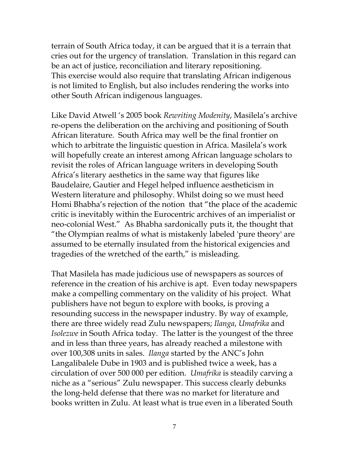terrain of South Africa today, it can be argued that it is a terrain that cries out for the urgency of translation. Translation in this regard can be an act of justice, reconciliation and literary repositioning. This exercise would also require that translating African indigenous is not limited to English, but also includes rendering the works into other South African indigenous languages.

Like David Atwell 's 2005 book *Rewriting Modenity*, Masilela's archive re-opens the deliberation on the archiving and positioning of South African literature. South Africa may well be the final frontier on which to arbitrate the linguistic question in Africa. Masilela's work will hopefully create an interest among African language scholars to revisit the roles of African language writers in developing South Africa's literary aesthetics in the same way that figures like Baudelaire, Gautier and Hegel helped influence aestheticism in Western literature and philosophy. Whilst doing so we must heed Homi Bhabha's rejection of the notion that "the place of the academic critic is inevitably within the Eurocentric archives of an imperialist or neo-colonial West." As Bhabha sardonically puts it, the thought that "the Olympian realms of what is mistakenly labeled 'pure theory' are assumed to be eternally insulated from the historical exigencies and tragedies of the wretched of the earth," is misleading.

That Masilela has made judicious use of newspapers as sources of reference in the creation of his archive is apt. Even today newspapers make a compelling commentary on the validity of his project. What publishers have not begun to explore with books, is proving a resounding success in the newspaper industry. By way of example, there are three widely read Zulu newspapers; *Ilanga*, *Umafrika* and *Isolezwe* in South Africa today. The latter is the youngest of the three and in less than three years, has already reached a milestone with over 100,308 units in sales. *Ilanga* started by the ANC's John Langalibalele Dube in 1903 and is published twice a week, has a circulation of over 500 000 per edition. *Umafrika* is steadily carving a niche as a "serious" Zulu newspaper. This success clearly debunks the long-held defense that there was no market for literature and books written in Zulu. At least what is true even in a liberated South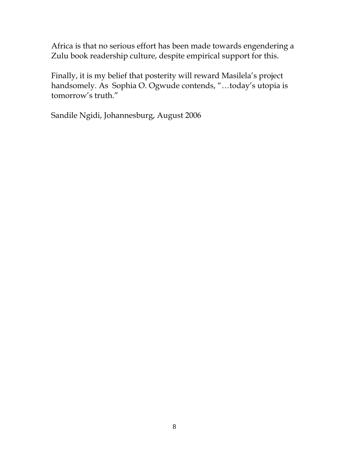Africa is that no serious effort has been made towards engendering a Zulu book readership culture, despite empirical support for this.

Finally, it is my belief that posterity will reward Masilela's project handsomely. As Sophia O. Ogwude contends, "…today's utopia is tomorrow's truth."

Sandile Ngidi, Johannesburg, August 2006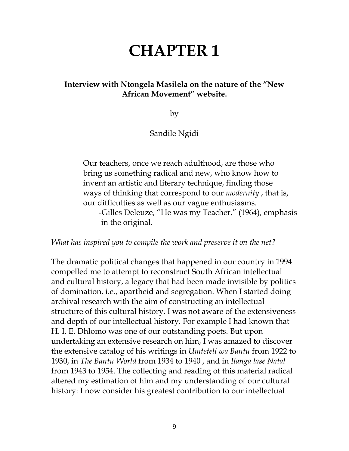# **CHAPTER 1**

### **Interview with Ntongela Masilela on the nature of the "New African Movement" website.**

by

Sandile Ngidi

 Our teachers, once we reach adulthood, are those who bring us something radical and new, who know how to invent an artistic and literary technique, finding those ways of thinking that correspond to our *modernity* , that is, our difficulties as well as our vague enthusiasms. -Gilles Deleuze, "He was my Teacher," (1964), emphasis in the original.

*What has inspired you to compile the work and preserve it on the net?* 

The dramatic political changes that happened in our country in 1994 compelled me to attempt to reconstruct South African intellectual and cultural history, a legacy that had been made invisible by politics of domination, i.e., apartheid and segregation. When I started doing archival research with the aim of constructing an intellectual structure of this cultural history, I was not aware of the extensiveness and depth of our intellectual history. For example I had known that H. I. E. Dhlomo was one of our outstanding poets. But upon undertaking an extensive research on him, I was amazed to discover the extensive catalog of his writings in *Umteteli wa Bantu* from 1922 to 1930, in *The Bantu World* from 1934 to 1940 , and in *Ilanga lase Natal*  from 1943 to 1954. The collecting and reading of this material radical altered my estimation of him and my understanding of our cultural history: I now consider his greatest contribution to our intellectual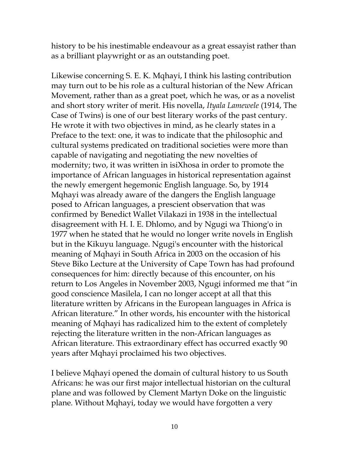history to be his inestimable endeavour as a great essayist rather than as a brilliant playwright or as an outstanding poet.

Likewise concerning S. E. K. Mqhayi, I think his lasting contribution may turn out to be his role as a cultural historian of the New African Movement, rather than as a great poet, which he was, or as a novelist and short story writer of merit. His novella, *Ityala Lamewele* (1914, The Case of Twins) is one of our best literary works of the past century. He wrote it with two objectives in mind, as he clearly states in a Preface to the text: one, it was to indicate that the philosophic and cultural systems predicated on traditional societies were more than capable of navigating and negotiating the new novelties of modernity; two, it was written in isiXhosa in order to promote the importance of African languages in historical representation against the newly emergent hegemonic English language. So, by 1914 Mqhayi was already aware of the dangers the English language posed to African languages, a prescient observation that was confirmed by Benedict Wallet Vilakazi in 1938 in the intellectual disagreement with H. I. E. Dhlomo, and by Ngugi wa Thiong'o in 1977 when he stated that he would no longer write novels in English but in the Kikuyu language. Ngugi's encounter with the historical meaning of Mqhayi in South Africa in 2003 on the occasion of his Steve Biko Lecture at the University of Cape Town has had profound consequences for him: directly because of this encounter, on his return to Los Angeles in November 2003, Ngugi informed me that "in good conscience Masilela, I can no longer accept at all that this literature written by Africans in the European languages in Africa is African literature." In other words, his encounter with the historical meaning of Mqhayi has radicalized him to the extent of completely rejecting the literature written in the non-African languages as African literature. This extraordinary effect has occurred exactly 90 years after Mqhayi proclaimed his two objectives.

I believe Mqhayi opened the domain of cultural history to us South Africans: he was our first major intellectual historian on the cultural plane and was followed by Clement Martyn Doke on the linguistic plane. Without Mqhayi, today we would have forgotten a very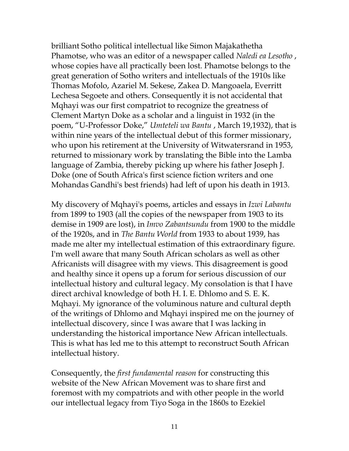brilliant Sotho political intellectual like Simon Majakathetha Phamotse, who was an editor of a newspaper called *Naledi ea Lesotho* , whose copies have all practically been lost. Phamotse belongs to the great generation of Sotho writers and intellectuals of the 1910s like Thomas Mofolo, Azariel M. Sekese, Zakea D. Mangoaela, Everritt Lechesa Segoete and others. Consequently it is not accidental that Mqhayi was our first compatriot to recognize the greatness of Clement Martyn Doke as a scholar and a linguist in 1932 (in the poem, "U-Professor Doke," *Umteteli wa Bantu* , March 19,1932), that is within nine years of the intellectual debut of this former missionary, who upon his retirement at the University of Witwatersrand in 1953, returned to missionary work by translating the Bible into the Lamba language of Zambia, thereby picking up where his father Joseph J. Doke (one of South Africa's first science fiction writers and one Mohandas Gandhi's best friends) had left of upon his death in 1913.

My discovery of Mqhayi's poems, articles and essays in *Izwi Labantu*  from 1899 to 1903 (all the copies of the newspaper from 1903 to its demise in 1909 are lost), in *Imvo Zabantsundu* from 1900 to the middle of the 1920s, and in *The Bantu World* from 1933 to about 1939, has made me alter my intellectual estimation of this extraordinary figure. I'm well aware that many South African scholars as well as other Africanists will disagree with my views. This disagreement is good and healthy since it opens up a forum for serious discussion of our intellectual history and cultural legacy. My consolation is that I have direct archival knowledge of both H. I. E. Dhlomo and S. E. K. Mqhayi. My ignorance of the voluminous nature and cultural depth of the writings of Dhlomo and Mqhayi inspired me on the journey of intellectual discovery, since I was aware that I was lacking in understanding the historical importance New African intellectuals. This is what has led me to this attempt to reconstruct South African intellectual history.

Consequently, the *first fundamental reason* for constructing this website of the New African Movement was to share first and foremost with my compatriots and with other people in the world our intellectual legacy from Tiyo Soga in the 1860s to Ezekiel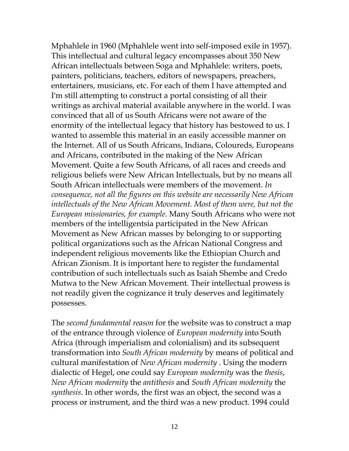Mphahlele in 1960 (Mphahlele went into self-imposed exile in 1957). This intellectual and cultural legacy encompasses about 350 New African intellectuals between Soga and Mphahlele: writers, poets, painters, politicians, teachers, editors of newspapers, preachers, entertainers, musicians, etc. For each of them I have attempted and I'm still attempting to construct a portal consisting of all their writings as archival material available anywhere in the world. I was convinced that all of us South Africans were not aware of the enormity of the intellectual legacy that history has bestowed to us. I wanted to assemble this material in an easily accessible manner on the Internet. All of us South Africans, Indians, Coloureds, Europeans and Africans, contributed in the making of the New African Movement. Quite a few South Africans, of all races and creeds and religious beliefs were New African Intellectuals, but by no means all South African intellectuals were members of the movement. *In consequence, not all the figures on this website are necessarily New African intellectuals of the New African Movement. Most of them were, but not the European missionaries, for example*. Many South Africans who were not members of the intelligentsia participated in the New African Movement as New African masses by belonging to or supporting political organizations such as the African National Congress and independent religious movements like the Ethiopian Church and African Zionism. It is important here to register the fundamental contribution of such intellectuals such as Isaiah Shembe and Credo Mutwa to the New African Movement. Their intellectual prowess is not readily given the cognizance it truly deserves and legitimately possesses.

The *second fundamental reason* for the website was to construct a map of the entrance through violence of *European modernity* into South Africa (through imperialism and colonialism) and its subsequent transformation into *South African modernity* by means of political and cultural manifestation of *New African modernity* . Using the modern dialectic of Hegel, one could say *European modernity* was the *thesis*, *New African modernity* the *antithesis* and *South African modernity* the *synthesis*. In other words, the first was an object, the second was a process or instrument, and the third was a new product. 1994 could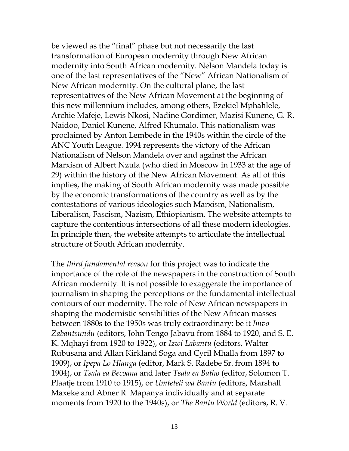be viewed as the "final" phase but not necessarily the last transformation of European modernity through New African modernity into South African modernity. Nelson Mandela today is one of the last representatives of the "New" African Nationalism of New African modernity. On the cultural plane, the last representatives of the New African Movement at the beginning of this new millennium includes, among others, Ezekiel Mphahlele, Archie Mafeje, Lewis Nkosi, Nadine Gordimer, Mazisi Kunene, G. R. Naidoo, Daniel Kunene, Alfred Khumalo. This nationalism was proclaimed by Anton Lembede in the 1940s within the circle of the ANC Youth League. 1994 represents the victory of the African Nationalism of Nelson Mandela over and against the African Marxism of Albert Nzula (who died in Moscow in 1933 at the age of 29) within the history of the New African Movement. As all of this implies, the making of South African modernity was made possible by the economic transformations of the country as well as by the contestations of various ideologies such Marxism, Nationalism, Liberalism, Fascism, Nazism, Ethiopianism. The website attempts to capture the contentious intersections of all these modern ideologies. In principle then, the website attempts to articulate the intellectual structure of South African modernity.

The *third fundamental reason* for this project was to indicate the importance of the role of the newspapers in the construction of South African modernity. It is not possible to exaggerate the importance of journalism in shaping the perceptions or the fundamental intellectual contours of our modernity. The role of New African newspapers in shaping the modernistic sensibilities of the New African masses between 1880s to the 1950s was truly extraordinary: be it *Imvo Zabantsundu* (editors, John Tengo Jabavu from 1884 to 1920, and S. E. K. Mqhayi from 1920 to 1922), or *Izwi Labantu* (editors, Walter Rubusana and Allan Kirkland Soga and Cyril Mhalla from 1897 to 1909), or *Ipepa Lo Hlanga* (editor, Mark S. Radebe Sr. from 1894 to 1904), or *Tsala ea Becoana* and later *Tsala ea Batho* (editor, Solomon T. Plaatje from 1910 to 1915), or *Umteteli wa Bantu* (editors, Marshall Maxeke and Abner R. Mapanya individually and at separate moments from 1920 to the 1940s), or *The Bantu World* (editors, R. V.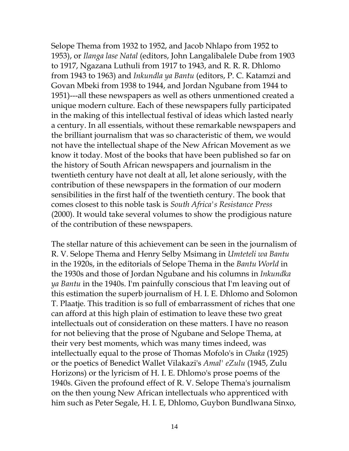Selope Thema from 1932 to 1952, and Jacob Nhlapo from 1952 to 1953), or *Ilanga lase Natal* (editors, John Langalibalele Dube from 1903 to 1917, Ngazana Luthuli from 1917 to 1943, and R. R. R. Dhlomo from 1943 to 1963) and *Inkundla ya Bantu* (editors, P. C. Katamzi and Govan Mbeki from 1938 to 1944, and Jordan Ngubane from 1944 to 1951)---all these newspapers as well as others unmentioned created a unique modern culture. Each of these newspapers fully participated in the making of this intellectual festival of ideas which lasted nearly a century. In all essentials, without these remarkable newspapers and the brilliant journalism that was so characteristic of them, we would not have the intellectual shape of the New African Movement as we know it today. Most of the books that have been published so far on the history of South African newspapers and journalism in the twentieth century have not dealt at all, let alone seriously, with the contribution of these newspapers in the formation of our modern sensibilities in the first half of the twentieth century. The book that comes closest to this noble task is *South Africa's Resistance Press* (2000). It would take several volumes to show the prodigious nature of the contribution of these newspapers.

The stellar nature of this achievement can be seen in the journalism of R. V. Selope Thema and Henry Selby Msimang in *Umteteli wa Bantu*  in the 1920s, in the editorials of Selope Thema in the *Bantu World* in the 1930s and those of Jordan Ngubane and his columns in *Inkundka ya Bantu* in the 1940s. I'm painfully conscious that I'm leaving out of this estimation the superb journalism of H. I. E. Dhlomo and Solomon T. Plaatje. This tradition is so full of embarrassment of riches that one can afford at this high plain of estimation to leave these two great intellectuals out of consideration on these matters. I have no reason for not believing that the prose of Ngubane and Selope Thema, at their very best moments, which was many times indeed, was intellectually equal to the prose of Thomas Mofolo's in *Chaka* (1925) or the poetics of Benedict Wallet Vilakazi's *Amal' eZulu* (1945, Zulu Horizons) or the lyricism of H. I. E. Dhlomo's prose poems of the 1940s. Given the profound effect of R. V. Selope Thema's journalism on the then young New African intellectuals who apprenticed with him such as Peter Segale, H. I. E, Dhlomo, Guybon Bundlwana Sinxo,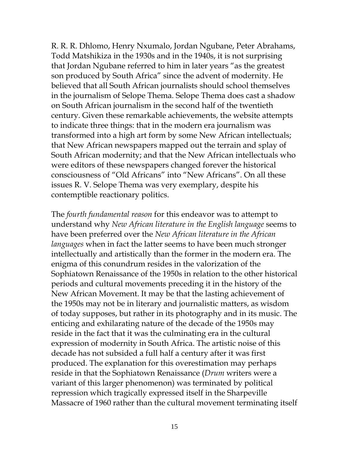R. R. R. Dhlomo, Henry Nxumalo, Jordan Ngubane, Peter Abrahams, Todd Matshikiza in the 1930s and in the 1940s, it is not surprising that Jordan Ngubane referred to him in later years "as the greatest son produced by South Africa" since the advent of modernity. He believed that all South African journalists should school themselves in the journalism of Selope Thema. Selope Thema does cast a shadow on South African journalism in the second half of the twentieth century. Given these remarkable achievements, the website attempts to indicate three things: that in the modern era journalism was transformed into a high art form by some New African intellectuals; that New African newspapers mapped out the terrain and splay of South African modernity; and that the New African intellectuals who were editors of these newspapers changed forever the historical consciousness of "Old Africans" into "New Africans". On all these issues R. V. Selope Thema was very exemplary, despite his contemptible reactionary politics.

The *fourth fundamental reason* for this endeavor was to attempt to understand why *New African literature in the English language* seems to have been preferred over the *New African literature in the African languages* when in fact the latter seems to have been much stronger intellectually and artistically than the former in the modern era. The enigma of this conundrum resides in the valorization of the Sophiatown Renaissance of the 1950s in relation to the other historical periods and cultural movements preceding it in the history of the New African Movement. It may be that the lasting achievement of the 1950s may not be in literary and journalistic matters, as wisdom of today supposes, but rather in its photography and in its music. The enticing and exhilarating nature of the decade of the 1950s may reside in the fact that it was the culminating era in the cultural expression of modernity in South Africa. The artistic noise of this decade has not subsided a full half a century after it was first produced. The explanation for this overestimation may perhaps reside in that the Sophiatown Renaissance (*Drum* writers were a variant of this larger phenomenon) was terminated by political repression which tragically expressed itself in the Sharpeville Massacre of 1960 rather than the cultural movement terminating itself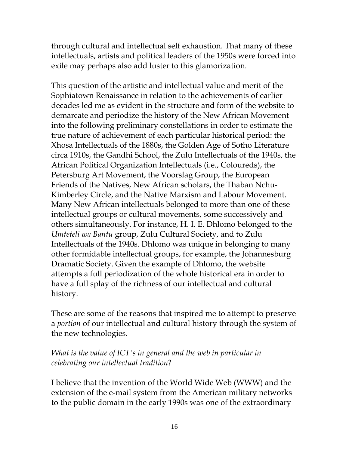through cultural and intellectual self exhaustion. That many of these intellectuals, artists and political leaders of the 1950s were forced into exile may perhaps also add luster to this glamorization.

This question of the artistic and intellectual value and merit of the Sophiatown Renaissance in relation to the achievements of earlier decades led me as evident in the structure and form of the website to demarcate and periodize the history of the New African Movement into the following preliminary constellations in order to estimate the true nature of achievement of each particular historical period: the Xhosa Intellectuals of the 1880s, the Golden Age of Sotho Literature circa 1910s, the Gandhi School, the Zulu Intellectuals of the 1940s, the African Political Organization Intellectuals (i.e., Coloureds), the Petersburg Art Movement, the Voorslag Group, the European Friends of the Natives, New African scholars, the Thaban Nchu-Kimberley Circle, and the Native Marxism and Labour Movement. Many New African intellectuals belonged to more than one of these intellectual groups or cultural movements, some successively and others simultaneously. For instance, H. I. E. Dhlomo belonged to the *Umteteli wa Bantu* group, Zulu Cultural Society, and to Zulu Intellectuals of the 1940s. Dhlomo was unique in belonging to many other formidable intellectual groups, for example, the Johannesburg Dramatic Society. Given the example of Dhlomo, the website attempts a full periodization of the whole historical era in order to have a full splay of the richness of our intellectual and cultural history.

These are some of the reasons that inspired me to attempt to preserve a *portion* of our intellectual and cultural history through the system of the new technologies.

## *What is the value of ICT's in general and the web in particular in celebrating our intellectual tradition*?

I believe that the invention of the World Wide Web (WWW) and the extension of the e-mail system from the American military networks to the public domain in the early 1990s was one of the extraordinary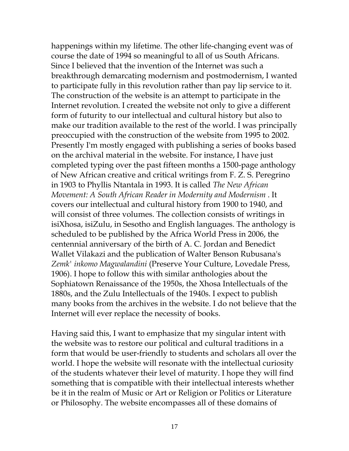happenings within my lifetime. The other life-changing event was of course the date of 1994 so meaningful to all of us South Africans. Since I believed that the invention of the Internet was such a breakthrough demarcating modernism and postmodernism, I wanted to participate fully in this revolution rather than pay lip service to it. The construction of the website is an attempt to participate in the Internet revolution. I created the website not only to give a different form of futurity to our intellectual and cultural history but also to make our tradition available to the rest of the world. I was principally preoccupied with the construction of the website from 1995 to 2002. Presently I'm mostly engaged with publishing a series of books based on the archival material in the website. For instance, I have just completed typing over the past fifteen months a 1500-page anthology of New African creative and critical writings from F. Z. S. Peregrino in 1903 to Phyllis Ntantala in 1993. It is called *The New African Movement: A South African Reader in Modernity and Modernism* . It covers our intellectual and cultural history from 1900 to 1940, and will consist of three volumes. The collection consists of writings in isiXhosa, isiZulu, in Sesotho and English languages. The anthology is scheduled to be published by the Africa World Press in 2006, the centennial anniversary of the birth of A. C. Jordan and Benedict Wallet Vilakazi and the publication of Walter Benson Rubusana's *Zemk' inkomo Magwalandini* (Preserve Your Culture, Lovedale Press, 1906). I hope to follow this with similar anthologies about the Sophiatown Renaissance of the 1950s, the Xhosa Intellectuals of the 1880s, and the Zulu Intellectuals of the 1940s. I expect to publish many books from the archives in the website. I do not believe that the Internet will ever replace the necessity of books.

Having said this, I want to emphasize that my singular intent with the website was to restore our political and cultural traditions in a form that would be user-friendly to students and scholars all over the world. I hope the website will resonate with the intellectual curiosity of the students whatever their level of maturity. I hope they will find something that is compatible with their intellectual interests whether be it in the realm of Music or Art or Religion or Politics or Literature or Philosophy. The website encompasses all of these domains of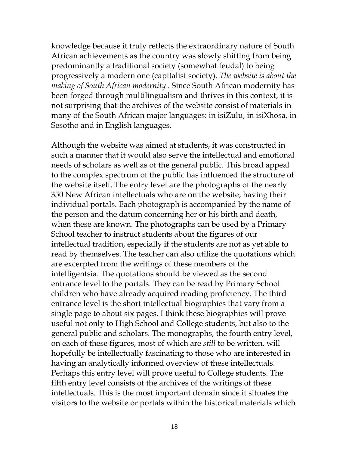knowledge because it truly reflects the extraordinary nature of South African achievements as the country was slowly shifting from being predominantly a traditional society (somewhat feudal) to being progressively a modern one (capitalist society). *The website is about the making of South African modernity* . Since South African modernity has been forged through multilingualism and thrives in this context, it is not surprising that the archives of the website consist of materials in many of the South African major languages: in isiZulu, in isiXhosa, in Sesotho and in English languages.

Although the website was aimed at students, it was constructed in such a manner that it would also serve the intellectual and emotional needs of scholars as well as of the general public. This broad appeal to the complex spectrum of the public has influenced the structure of the website itself. The entry level are the photographs of the nearly 350 New African intellectuals who are on the website, having their individual portals. Each photograph is accompanied by the name of the person and the datum concerning her or his birth and death, when these are known. The photographs can be used by a Primary School teacher to instruct students about the figures of our intellectual tradition, especially if the students are not as yet able to read by themselves. The teacher can also utilize the quotations which are excerpted from the writings of these members of the intelligentsia. The quotations should be viewed as the second entrance level to the portals. They can be read by Primary School children who have already acquired reading proficiency. The third entrance level is the short intellectual biographies that vary from a single page to about six pages. I think these biographies will prove useful not only to High School and College students, but also to the general public and scholars. The monographs, the fourth entry level, on each of these figures, most of which are *still* to be written, will hopefully be intellectually fascinating to those who are interested in having an analytically informed overview of these intellectuals. Perhaps this entry level will prove useful to College students. The fifth entry level consists of the archives of the writings of these intellectuals. This is the most important domain since it situates the visitors to the website or portals within the historical materials which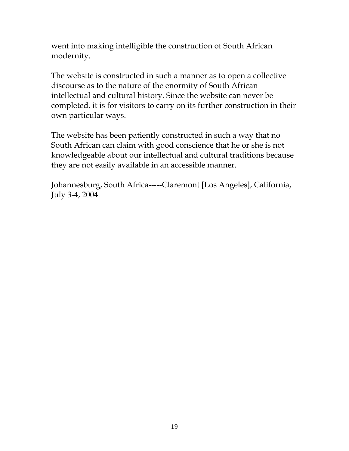went into making intelligible the construction of South African modernity.

The website is constructed in such a manner as to open a collective discourse as to the nature of the enormity of South African intellectual and cultural history. Since the website can never be completed, it is for visitors to carry on its further construction in their own particular ways.

The website has been patiently constructed in such a way that no South African can claim with good conscience that he or she is not knowledgeable about our intellectual and cultural traditions because they are not easily available in an accessible manner.

Johannesburg, South Africa-----Claremont [Los Angeles], California, July 3-4, 2004.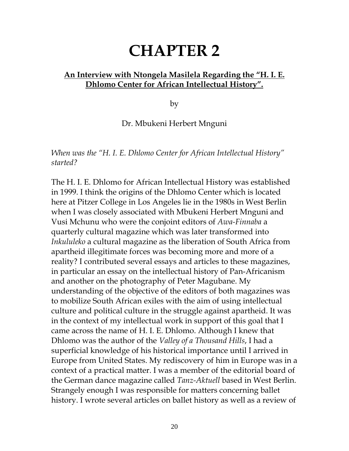# **CHAPTER 2**

### **An Interview with Ntongela Masilela Regarding the "H. I. E. Dhlomo Center for African Intellectual History".**

by

Dr. Mbukeni Herbert Mnguni

*When was the "H. I. E. Dhlomo Center for African Intellectual History" started?*

The H. I. E. Dhlomo for African Intellectual History was established in 1999. I think the origins of the Dhlomo Center which is located here at Pitzer College in Los Angeles lie in the 1980s in West Berlin when I was closely associated with Mbukeni Herbert Mnguni and Vusi Mchunu who were the conjoint editors of *Awa-Finnaba* a quarterly cultural magazine which was later transformed into *Inkululeko* a cultural magazine as the liberation of South Africa from apartheid illegitimate forces was becoming more and more of a reality? I contributed several essays and articles to these magazines, in particular an essay on the intellectual history of Pan-Africanism and another on the photography of Peter Magubane. My understanding of the objective of the editors of both magazines was to mobilize South African exiles with the aim of using intellectual culture and political culture in the struggle against apartheid. It was in the context of my intellectual work in support of this goal that I came across the name of H. I. E. Dhlomo. Although I knew that Dhlomo was the author of the *Valley of a Thousand Hills*, I had a superficial knowledge of his historical importance until I arrived in Europe from United States. My rediscovery of him in Europe was in a context of a practical matter. I was a member of the editorial board of the German dance magazine called *Tanz-Aktuell* based in West Berlin. Strangely enough I was responsible for matters concerning ballet history. I wrote several articles on ballet history as well as a review of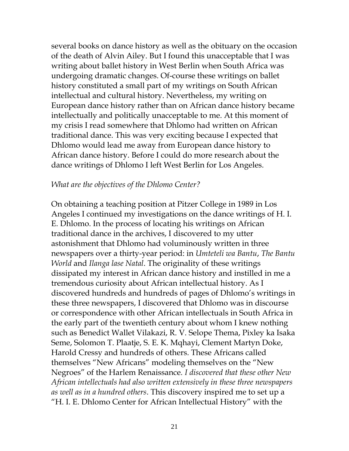several books on dance history as well as the obituary on the occasion of the death of Alvin Ailey. But I found this unacceptable that I was writing about ballet history in West Berlin when South Africa was undergoing dramatic changes. Of-course these writings on ballet history constituted a small part of my writings on South African intellectual and cultural history. Nevertheless, my writing on European dance history rather than on African dance history became intellectually and politically unacceptable to me. At this moment of my crisis I read somewhere that Dhlomo had written on African traditional dance. This was very exciting because I expected that Dhlomo would lead me away from European dance history to African dance history. Before I could do more research about the dance writings of Dhlomo I left West Berlin for Los Angeles.

### *What are the objectives of the Dhlomo Center?*

On obtaining a teaching position at Pitzer College in 1989 in Los Angeles I continued my investigations on the dance writings of H. I. E. Dhlomo. In the process of locating his writings on African traditional dance in the archives, I discovered to my utter astonishment that Dhlomo had voluminously written in three newspapers over a thirty-year period: in *Umteteli wa Bantu*, *The Bantu World* and *Ilanga lase Natal*. The originality of these writings dissipated my interest in African dance history and instilled in me a tremendous curiosity about African intellectual history. As I discovered hundreds and hundreds of pages of Dhlomo's writings in these three newspapers, I discovered that Dhlomo was in discourse or correspondence with other African intellectuals in South Africa in the early part of the twentieth century about whom I knew nothing such as Benedict Wallet Vilakazi, R. V. Selope Thema, Pixley ka Isaka Seme, Solomon T. Plaatje, S. E. K. Mqhayi, Clement Martyn Doke, Harold Cressy and hundreds of others. These Africans called themselves "New Africans" modeling themselves on the "New Negroes" of the Harlem Renaissance*. I discovered that these other New African intellectuals had also written extensively in these three newspapers as well as in a hundred others*. This discovery inspired me to set up a "H. I. E. Dhlomo Center for African Intellectual History" with the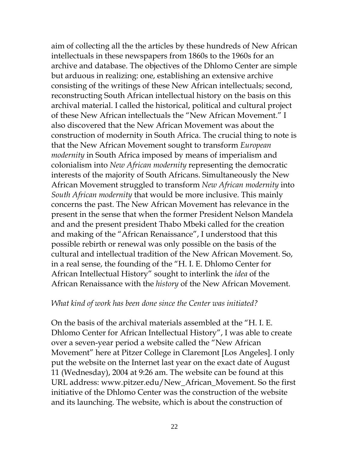aim of collecting all the the articles by these hundreds of New African intellectuals in these newspapers from 1860s to the 1960s for an archive and database. The objectives of the Dhlomo Center are simple but arduous in realizing: one, establishing an extensive archive consisting of the writings of these New African intellectuals; second, reconstructing South African intellectual history on the basis on this archival material. I called the historical, political and cultural project of these New African intellectuals the "New African Movement." I also discovered that the New African Movement was about the construction of modernity in South Africa. The crucial thing to note is that the New African Movement sought to transform *European modernity* in South Africa imposed by means of imperialism and colonialism into *New African modernity* representing the democratic interests of the majority of South Africans. Simultaneously the New African Movement struggled to transform *New African modernity* into *South African modernity* that would be more inclusive. This mainly concerns the past. The New African Movement has relevance in the present in the sense that when the former President Nelson Mandela and and the present president Thabo Mbeki called for the creation and making of the "African Renaissance", I understood that this possible rebirth or renewal was only possible on the basis of the cultural and intellectual tradition of the New African Movement. So, in a real sense, the founding of the "H. I. E. Dhlomo Center for African Intellectual History" sought to interlink the *idea* of the African Renaissance with the *history* of the New African Movement.

### *What kind of work has been done since the Center was initiated?*

On the basis of the archival materials assembled at the "H. I. E. Dhlomo Center for African Intellectual History", I was able to create over a seven-year period a website called the "New African Movement" here at Pitzer College in Claremont [Los Angeles]. I only put the website on the Internet last year on the exact date of August 11 (Wednesday), 2004 at 9:26 am. The website can be found at this URL address: www.pitzer.edu/New\_African\_Movement. So the first initiative of the Dhlomo Center was the construction of the website and its launching. The website, which is about the construction of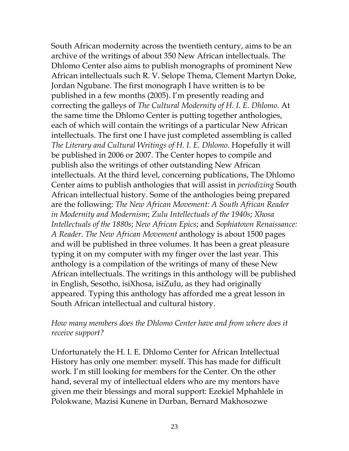South African modernity across the twentieth century, aims to be an archive of the writings of about 350 New African intellectuals. The Dhlomo Center also aims to publish monographs of prominent New African intellectuals such R. V. Selope Thema, Clement Martyn Doke, Jordan Ngubane. The first monograph I have written is to be published in a few months (2005). I'm presently reading and correcting the galleys of *The Cultural Modernity of H. I. E. Dhlomo*. At the same time the Dhlomo Center is putting together anthologies, each of which will contain the writings of a particular New African intellectuals. The first one I have just completed assembling is called *The Literary and Cultural Writings of H. I. E. Dhlomo*. Hopefully it will be published in 2006 or 2007. The Center hopes to compile and publish also the writings of other outstanding New African intellectuals. At the third level, concerning publications, The Dhlomo Center aims to publish anthologies that will assist in *periodizing* South African intellectual history. Some of the anthologies being prepared are the following: *The New African Movement: A South African Reader in Modernity and Modernism*; *Zulu Intellectuals of the 1940s*; *Xhosa Intellectuals of the 1880s*; *New African Epics*; and *Sophiatown Renaissance: A Reader*. *The New African Movement* anthology is about 1500 pages and will be published in three volumes. It has been a great pleasure typing it on my computer with my finger over the last year. This anthology is a compilation of the writings of many of these New African intellectuals. The writings in this anthology will be published in English, Sesotho, isiXhosa, isiZulu, as they had originally appeared. Typing this anthology has afforded me a great lesson in South African intellectual and cultural history.

### *How many members does the Dhlomo Center have and from where does it receive support?*

Unfortunately the H. I. E. Dhlomo Center for African Intellectual History has only one member: myself. This has made for difficult work. I'm still looking for members for the Center. On the other hand, several my of intellectual elders who are my mentors have given me their blessings and moral support: Ezekiel Mphahlele in Polokwane, Mazisi Kunene in Durban, Bernard Makhosozwe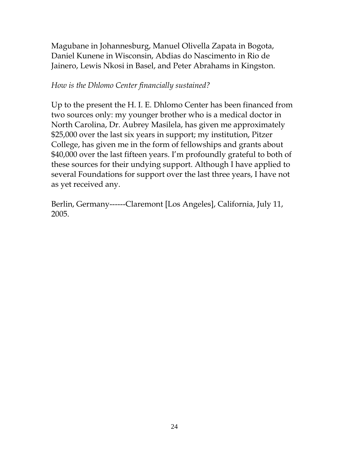Magubane in Johannesburg, Manuel Olivella Zapata in Bogota, Daniel Kunene in Wisconsin, Abdias do Nascimento in Rio de Jainero, Lewis Nkosi in Basel, and Peter Abrahams in Kingston.

### *How is the Dhlomo Center financially sustained?*

Up to the present the H. I. E. Dhlomo Center has been financed from two sources only: my younger brother who is a medical doctor in North Carolina, Dr. Aubrey Masilela, has given me approximately \$25,000 over the last six years in support; my institution, Pitzer College, has given me in the form of fellowships and grants about \$40,000 over the last fifteen years. I'm profoundly grateful to both of these sources for their undying support. Although I have applied to several Foundations for support over the last three years, I have not as yet received any.

Berlin, Germany------Claremont [Los Angeles], California, July 11, 2005.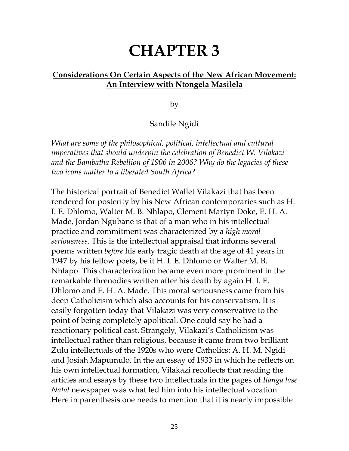# **CHAPTER 3**

### **Considerations On Certain Aspects of the New African Movement: An Interview with Ntongela Masilela**

by

### Sandile Ngidi

*What are some of the philosophical, political, intellectual and cultural imperatives that should underpin the celebration of Benedict W. Vilakazi and the Bambatha Rebellion of 1906 in 2006? Why do the legacies of these two icons matter to a liberated South Africa?* 

The historical portrait of Benedict Wallet Vilakazi that has been rendered for posterity by his New African contemporaries such as H. I. E. Dhlomo, Walter M. B. Nhlapo, Clement Martyn Doke, E. H. A. Made, Jordan Ngubane is that of a man who in his intellectual practice and commitment was characterized by a *high moral seriousness*. This is the intellectual appraisal that informs several poems written *before* his early tragic death at the age of 41 years in 1947 by his fellow poets, be it H. I. E. Dhlomo or Walter M. B. Nhlapo. This characterization became even more prominent in the remarkable threnodies written after his death by again H. I. E. Dhlomo and E. H. A. Made. This moral seriousness came from his deep Catholicism which also accounts for his conservatism. It is easily forgotten today that Vilakazi was very conservative to the point of being completely apolitical. One could say he had a reactionary political cast. Strangely, Vilakazi's Catholicism was intellectual rather than religious, because it came from two brilliant Zulu intellectuals of the 1920s who were Catholics: A. H. M. Ngidi and Josiah Mapumulo. In the an essay of 1933 in which he reflects on his own intellectual formation, Vilakazi recollects that reading the articles and essays by these two intellectuals in the pages of *Ilanga lase Natal* newspaper was what led him into his intellectual vocation. Here in parenthesis one needs to mention that it is nearly impossible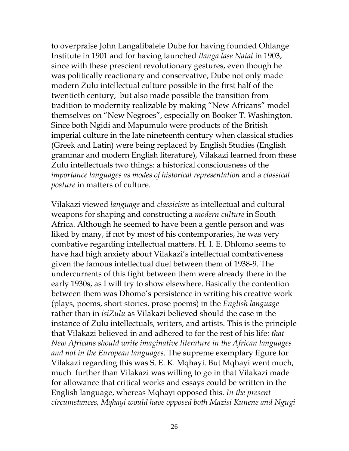to overpraise John Langalibalele Dube for having founded Ohlange Institute in 1901 and for having launched *Ilanga lase Natal* in 1903, since with these prescient revolutionary gestures, even though he was politically reactionary and conservative, Dube not only made modern Zulu intellectual culture possible in the first half of the twentieth century, but also made possible the transition from tradition to modernity realizable by making "New Africans" model themselves on "New Negroes", especially on Booker T. Washington. Since both Ngidi and Mapumulo were products of the British imperial culture in the late nineteenth century when classical studies (Greek and Latin) were being replaced by English Studies (English grammar and modern English literature), Vilakazi learned from these Zulu intellectuals two things: a historical consciousness of the *importance languages as modes of historical representation* and a *classical posture* in matters of culture.

Vilakazi viewed *language* and *classicism* as intellectual and cultural weapons for shaping and constructing a *modern culture* in South Africa. Although he seemed to have been a gentle person and was liked by many, if not by most of his contemporaries, he was very combative regarding intellectual matters. H. I. E. Dhlomo seems to have had high anxiety about Vilakazi's intellectual combativeness given the famous intellectual duel between them of 1938-9. The undercurrents of this fight between them were already there in the early 1930s, as I will try to show elsewhere. Basically the contention between them was Dhomo's persistence in writing his creative work (plays, poems, short stories, prose poems) in the *English language* rather than in *isiZulu* as Vilakazi believed should the case in the instance of Zulu intellectuals, writers, and artists. This is the principle that Vilakazi believed in and adhered to for the rest of his life*: that New Africans should write imaginative literature in the African languages and not in the European languages*. The supreme exemplary figure for Vilakazi regarding this was S. E. K. Mqhayi. But Mqhayi went much, much further than Vilakazi was willing to go in that Vilakazi made for allowance that critical works and essays could be written in the English language, whereas Mqhayi opposed this. *In the present circumstances, Mqhayi would have opposed both Mazisi Kunene and Ngugi*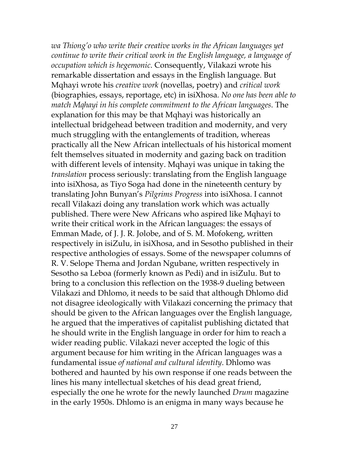*wa Thiong'o who write their creative works in the African languages yet continue to write their critical work in the English language, a language of occupation which is hegemonic*. Consequently, Vilakazi wrote his remarkable dissertation and essays in the English language. But Mqhayi wrote his *creative work* (novellas, poetry) and *critical work* (biographies, essays, reportage, etc) in isiXhosa*. No one has been able to match Mqhayi in his complete commitment to the African languages*. The explanation for this may be that Mqhayi was historically an intellectual bridgehead between tradition and modernity, and very much struggling with the entanglements of tradition, whereas practically all the New African intellectuals of his historical moment felt themselves situated in modernity and gazing back on tradition with different levels of intensity. Mqhayi was unique in taking the *translation* process seriously: translating from the English language into isiXhosa, as Tiyo Soga had done in the nineteenth century by translating John Bunyan's *Pilgrims Progress* into isiXhosa. I cannot recall Vilakazi doing any translation work which was actually published. There were New Africans who aspired like Mqhayi to write their critical work in the African languages: the essays of Emman Made, of J. J. R. Jolobe, and of S. M. Mofokeng, written respectively in isiZulu, in isiXhosa, and in Sesotho published in their respective anthologies of essays. Some of the newspaper columns of R. V. Selope Thema and Jordan Ngubane, written respectively in Sesotho sa Leboa (formerly known as Pedi) and in isiZulu. But to bring to a conclusion this reflection on the 1938-9 dueling between Vilakazi and Dhlomo, it needs to be said that although Dhlomo did not disagree ideologically with Vilakazi concerning the primacy that should be given to the African languages over the English language, he argued that the imperatives of capitalist publishing dictated that he should write in the English language in order for him to reach a wider reading public. Vilakazi never accepted the logic of this argument because for him writing in the African languages was a fundamental issue *of national and cultural identity*. Dhlomo was bothered and haunted by his own response if one reads between the lines his many intellectual sketches of his dead great friend, especially the one he wrote for the newly launched *Drum* magazine in the early 1950s. Dhlomo is an enigma in many ways because he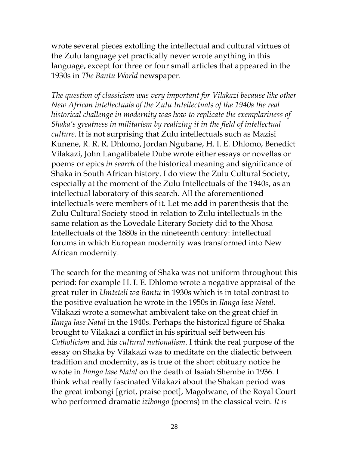wrote several pieces extolling the intellectual and cultural virtues of the Zulu language yet practically never wrote anything in this language, except for three or four small articles that appeared in the 1930s in *The Bantu World* newspaper.

*The question of classicism was very important for Vilakazi because like other New African intellectuals of the Zulu Intellectuals of the 1940s the real historical challenge in modernity was how to replicate the exemplariness of Shaka's greatness in militarism by realizing it in the field of intellectual culture*. It is not surprising that Zulu intellectuals such as Mazisi Kunene, R. R. R. Dhlomo, Jordan Ngubane, H. I. E. Dhlomo, Benedict Vilakazi, John Langalibalele Dube wrote either essays or novellas or poems or epics *in search* of the historical meaning and significance of Shaka in South African history. I do view the Zulu Cultural Society, especially at the moment of the Zulu Intellectuals of the 1940s, as an intellectual laboratory of this search. All the aforementioned intellectuals were members of it. Let me add in parenthesis that the Zulu Cultural Society stood in relation to Zulu intellectuals in the same relation as the Lovedale Literary Society did to the Xhosa Intellectuals of the 1880s in the nineteenth century: intellectual forums in which European modernity was transformed into New African modernity.

The search for the meaning of Shaka was not uniform throughout this period: for example H. I. E. Dhlomo wrote a negative appraisal of the great ruler in *Umteteli wa Bantu* in 1930s which is in total contrast to the positive evaluation he wrote in the 1950s in *Ilanga lase Natal*. Vilakazi wrote a somewhat ambivalent take on the great chief in *Ilanga lase Natal* in the 1940s. Perhaps the historical figure of Shaka brought to Vilakazi a conflict in his spiritual self between his *Catholicism* and his *cultural nationalism*. I think the real purpose of the essay on Shaka by Vilakazi was to meditate on the dialectic between tradition and modernity, as is true of the short obituary notice he wrote in *Ilanga lase Natal* on the death of Isaiah Shembe in 1936. I think what really fascinated Vilakazi about the Shakan period was the great imbongi [griot, praise poet], Magolwane, of the Royal Court who performed dramatic *izibongo* (poems) in the classical vein. *It is*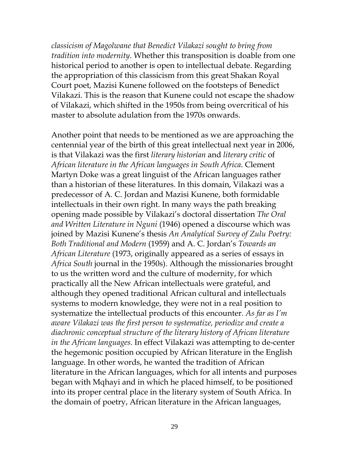*classicism of Magolwane that Benedict Vilakazi sought to bring from tradition into modernity*. Whether this transposition is doable from one historical period to another is open to intellectual debate. Regarding the appropriation of this classicism from this great Shakan Royal Court poet, Mazisi Kunene followed on the footsteps of Benedict Vilakazi. This is the reason that Kunene could not escape the shadow of Vilakazi, which shifted in the 1950s from being overcritical of his master to absolute adulation from the 1970s onwards.

Another point that needs to be mentioned as we are approaching the centennial year of the birth of this great intellectual next year in 2006, is that Vilakazi was the first *literary historian* and *literary critic* of *African literature in the African languages in South Africa*. Clement Martyn Doke was a great linguist of the African languages rather than a historian of these literatures. In this domain, Vilakazi was a predecessor of A. C. Jordan and Mazisi Kunene, both formidable intellectuals in their own right. In many ways the path breaking opening made possible by Vilakazi's doctoral dissertation *The Oral and Written Literature in Nguni* (1946) opened a discourse which was joined by Mazisi Kunene's thesis *An Analytical Survey of Zulu Poetry: Both Traditional and Modern* (1959) and A. C. Jordan's *Towards an African Literature* (1973, originally appeared as a series of essays in *Africa South* journal in the 1950s). Although the missionaries brought to us the written word and the culture of modernity, for which practically all the New African intellectuals were grateful, and although they opened traditional African cultural and intellectuals systems to modern knowledge, they were not in a real position to systematize the intellectual products of this encounter. *As far as I'm aware Vilakazi was the first person to systematize, periodize and create a diachronic conceptual structure of the literary history of African literature in the African languages*. In effect Vilakazi was attempting to de-center the hegemonic position occupied by African literature in the English language. In other words, he wanted the tradition of African literature in the African languages, which for all intents and purposes began with Mqhayi and in which he placed himself, to be positioned into its proper central place in the literary system of South Africa. In the domain of poetry, African literature in the African languages,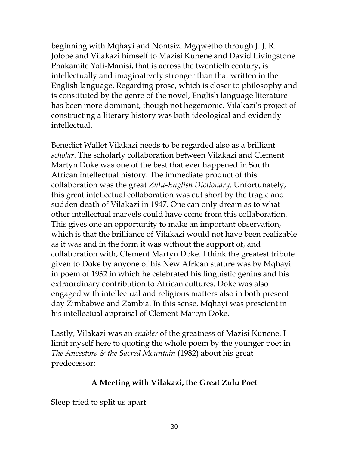beginning with Mqhayi and Nontsizi Mgqwetho through J. J. R. Jolobe and Vilakazi himself to Mazisi Kunene and David Livingstone Phakamile Yali-Manisi, that is across the twentieth century, is intellectually and imaginatively stronger than that written in the English language. Regarding prose, which is closer to philosophy and is constituted by the genre of the novel, English language literature has been more dominant, though not hegemonic. Vilakazi's project of constructing a literary history was both ideological and evidently intellectual.

Benedict Wallet Vilakazi needs to be regarded also as a brilliant *scholar*. The scholarly collaboration between Vilakazi and Clement Martyn Doke was one of the best that ever happened in South African intellectual history. The immediate product of this collaboration was the great *Zulu-English Dictionary*. Unfortunately, this great intellectual collaboration was cut short by the tragic and sudden death of Vilakazi in 1947. One can only dream as to what other intellectual marvels could have come from this collaboration. This gives one an opportunity to make an important observation, which is that the brilliance of Vilakazi would not have been realizable as it was and in the form it was without the support of, and collaboration with, Clement Martyn Doke. I think the greatest tribute given to Doke by anyone of his New African stature was by Mqhayi in poem of 1932 in which he celebrated his linguistic genius and his extraordinary contribution to African cultures. Doke was also engaged with intellectual and religious matters also in both present day Zimbabwe and Zambia. In this sense, Mqhayi was prescient in his intellectual appraisal of Clement Martyn Doke.

Lastly, Vilakazi was an *enabler* of the greatness of Mazisi Kunene. I limit myself here to quoting the whole poem by the younger poet in *The Ancestors & the Sacred Mountain* (1982) about his great predecessor:

## **A Meeting with Vilakazi, the Great Zulu Poet**

Sleep tried to split us apart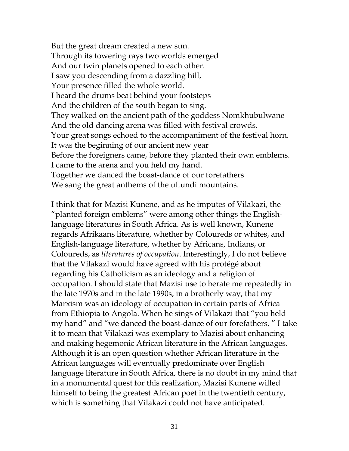But the great dream created a new sun. Through its towering rays two worlds emerged And our twin planets opened to each other. I saw you descending from a dazzling hill, Your presence filled the whole world. I heard the drums beat behind your footsteps And the children of the south began to sing. They walked on the ancient path of the goddess Nomkhubulwane And the old dancing arena was filled with festival crowds. Your great songs echoed to the accompaniment of the festival horn. It was the beginning of our ancient new year Before the foreigners came, before they planted their own emblems. I came to the arena and you held my hand. Together we danced the boast-dance of our forefathers We sang the great anthems of the uLundi mountains.

I think that for Mazisi Kunene, and as he imputes of Vilakazi, the "planted foreign emblems" were among other things the Englishlanguage literature*s* in South Africa. As is well known, Kunene regards Afrikaans literature, whether by Coloureds or whites, and English-language literature, whether by Africans, Indians, or Coloureds, as *literatures of occupation*. Interestingly, I do not believe that the Vilakazi would have agreed with his protégé about regarding his Catholicism as an ideology and a religion of occupation. I should state that Mazisi use to berate me repeatedly in the late 1970s and in the late 1990s, in a brotherly way, that my Marxism was an ideology of occupation in certain parts of Africa from Ethiopia to Angola. When he sings of Vilakazi that "you held my hand" and "we danced the boast-dance of our forefathers, " I take it to mean that Vilakazi was exemplary to Mazisi about enhancing and making hegemonic African literature in the African languages. Although it is an open question whether African literature in the African languages will eventually predominate over English language literature in South Africa, there is no doubt in my mind that in a monumental quest for this realization, Mazisi Kunene willed himself to being the greatest African poet in the twentieth century, which is something that Vilakazi could not have anticipated.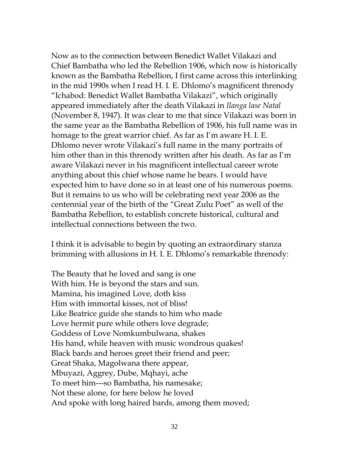Now as to the connection between Benedict Wallet Vilakazi and Chief Bambatha who led the Rebellion 1906, which now is historically known as the Bambatha Rebellion, I first came across this interlinking in the mid 1990s when I read H. I. E. Dhlomo's magnificent threnody "Ichabod: Benedict Wallet Bambatha Vilakazi", which originally appeared immediately after the death Vilakazi in *Ilanga lase Natal* (November 8, 1947). It was clear to me that since Vilakazi was born in the same year as the Bambatha Rebellion of 1906, his full name was in homage to the great warrior chief. As far as I'm aware H. I. E. Dhlomo never wrote Vilakazi's full name in the many portraits of him other than in this threnody written after his death. As far as I'm aware Vilakazi never in his magnificent intellectual career wrote anything about this chief whose name he bears. I would have expected him to have done so in at least one of his numerous poems. But it remains to us who will be celebrating next year 2006 as the centennial year of the birth of the "Great Zulu Poet" as well of the Bambatha Rebellion, to establish concrete historical, cultural and intellectual connections between the two.

I think it is advisable to begin by quoting an extraordinary stanza brimming with allusions in H. I. E. Dhlomo's remarkable threnody:

The Beauty that he loved and sang is one With him. He is beyond the stars and sun. Mamina, his imagined Love, doth kiss Him with immortal kisses, not of bliss! Like Beatrice guide she stands to him who made Love hermit pure while others love degrade; Goddess of Love Nomkumbulwana, shakes His hand, while heaven with music wondrous quakes! Black bards and heroes greet their friend and peer; Great Shaka, Magolwana there appear, Mbuyazi, Aggrey, Dube, Mqhayi, ache To meet him---so Bambatha, his namesake; Not these alone, for here below he loved And spoke with long haired bards, among them moved;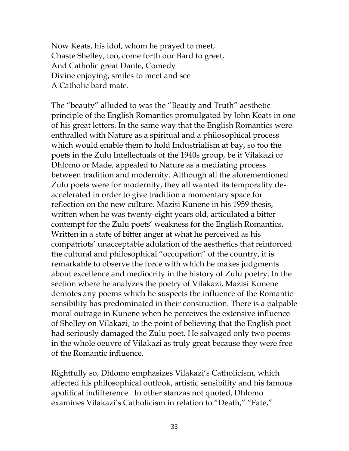Now Keats, his idol, whom he prayed to meet, Chaste Shelley, too, come forth our Bard to greet, And Catholic great Dante, Comedy Divine enjoying, smiles to meet and see A Catholic bard mate.

The "beauty" alluded to was the "Beauty and Truth" aesthetic principle of the English Romantics promulgated by John Keats in one of his great letters. In the same way that the English Romantics were enthralled with Nature as a spiritual and a philosophical process which would enable them to hold Industrialism at bay, so too the poets in the Zulu Intellectuals of the 1940s group, be it Vilakazi or Dhlomo or Made, appealed to Nature as a mediating process between tradition and modernity. Although all the aforementioned Zulu poets were for modernity, they all wanted its temporality deaccelerated in order to give tradition a momentary space for reflection on the new culture. Mazisi Kunene in his 1959 thesis, written when he was twenty-eight years old, articulated a bitter contempt for the Zulu poets' weakness for the English Romantics. Written in a state of bitter anger at what he perceived as his compatriots' unacceptable adulation of the aesthetics that reinforced the cultural and philosophical "occupation" of the country, it is remarkable to observe the force with which he makes judgments about excellence and mediocrity in the history of Zulu poetry. In the section where he analyzes the poetry of Vilakazi, Mazisi Kunene demotes any poems which he suspects the influence of the Romantic sensibility has predominated in their construction. There is a palpable moral outrage in Kunene when he perceives the extensive influence of Shelley on Vilakazi, to the point of believing that the English poet had seriously damaged the Zulu poet. He salvaged only two poems in the whole oeuvre of Vilakazi as truly great because they were free of the Romantic influence.

Rightfully so, Dhlomo emphasizes Vilakazi's Catholicism, which affected his philosophical outlook, artistic sensibility and his famous apolitical indifference. In other stanzas not quoted, Dhlomo examines Vilakazi's Catholicism in relation to "Death," "Fate,"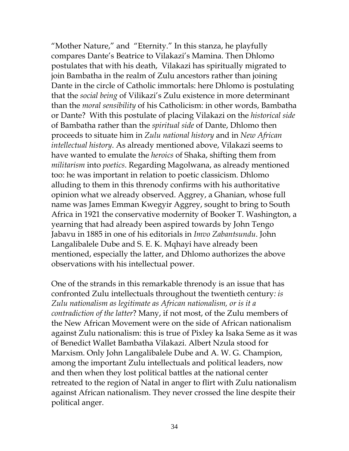"Mother Nature," and "Eternity." In this stanza, he playfully compares Dante's Beatrice to Vilakazi's Mamina. Then Dhlomo postulates that with his death, Vilakazi has spiritually migrated to join Bambatha in the realm of Zulu ancestors rather than joining Dante in the circle of Catholic immortals: here Dhlomo is postulating that the *social being* of Vilikazi's Zulu existence in more determinant than the *moral sensibility* of his Catholicism: in other words, Bambatha or Dante? With this postulate of placing Vilakazi on the *historical side*  of Bambatha rather than the *spiritual side* of Dante, Dhlomo then proceeds to situate him in *Zulu national history* and in *New African intellectual history*. As already mentioned above, Vilakazi seems to have wanted to emulate the *heroics* of Shaka, shifting them from *militarism* into *poetics*. Regarding Magolwana, as already mentioned too: he was important in relation to poetic classicism. Dhlomo alluding to them in this threnody confirms with his authoritative opinion what we already observed. Aggrey, a Ghanian, whose full name was James Emman Kwegyir Aggrey, sought to bring to South Africa in 1921 the conservative modernity of Booker T. Washington, a yearning that had already been aspired towards by John Tengo Jabavu in 1885 in one of his editorials in *Imvo Zabantsundu*. John Langalibalele Dube and S. E. K. Mqhayi have already been mentioned, especially the latter, and Dhlomo authorizes the above observations with his intellectual power.

One of the strands in this remarkable threnody is an issue that has confronted Zulu intellectuals throughout the twentieth century*: is Zulu nationalism as legitimate as African nationalism, or is it a contradiction of the latter*? Many, if not most, of the Zulu members of the New African Movement were on the side of African nationalism against Zulu nationalism: this is true of Pixley ka Isaka Seme as it was of Benedict Wallet Bambatha Vilakazi. Albert Nzula stood for Marxism. Only John Langalibalele Dube and A. W. G. Champion, among the important Zulu intellectuals and political leaders, now and then when they lost political battles at the national center retreated to the region of Natal in anger to flirt with Zulu nationalism against African nationalism. They never crossed the line despite their political anger.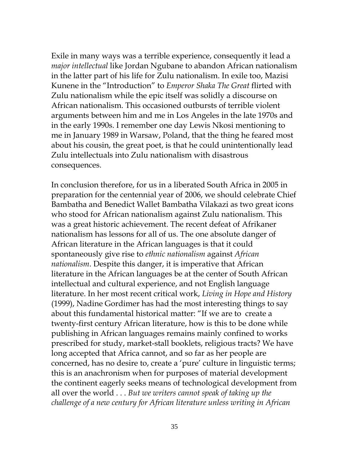Exile in many ways was a terrible experience, consequently it lead a *major intellectual* like Jordan Ngubane to abandon African nationalism in the latter part of his life for Zulu nationalism. In exile too, Mazisi Kunene in the "Introduction" to *Emperor Shaka The Great* flirted with Zulu nationalism while the epic itself was solidly a discourse on African nationalism. This occasioned outbursts of terrible violent arguments between him and me in Los Angeles in the late 1970s and in the early 1990s. I remember one day Lewis Nkosi mentioning to me in January 1989 in Warsaw, Poland, that the thing he feared most about his cousin, the great poet, is that he could unintentionally lead Zulu intellectuals into Zulu nationalism with disastrous consequences.

In conclusion therefore, for us in a liberated South Africa in 2005 in preparation for the centennial year of 2006, we should celebrate Chief Bambatha and Benedict Wallet Bambatha Vilakazi as two great icons who stood for African nationalism against Zulu nationalism. This was a great historic achievement. The recent defeat of Afrikaner nationalism has lessons for all of us. The one absolute danger of African literature in the African languages is that it could spontaneously give rise to *ethnic nationalism* against *African nationalism*. Despite this danger, it is imperative that African literature in the African languages be at the center of South African intellectual and cultural experience, and not English language literature. In her most recent critical work, *Living in Hope and History*  (1999), Nadine Gordimer has had the most interesting things to say about this fundamental historical matter: "If we are to create a twenty-first century African literature, how is this to be done while publishing in African languages remains mainly confined to works prescribed for study, market-stall booklets, religious tracts? We have long accepted that Africa cannot, and so far as her people are concerned, has no desire to, create a 'pure' culture in linguistic terms; this is an anachronism when for purposes of material development the continent eagerly seeks means of technological development from all over the world . . . *But we writers cannot speak of taking up the challenge of a new century for African literature unless writing in African*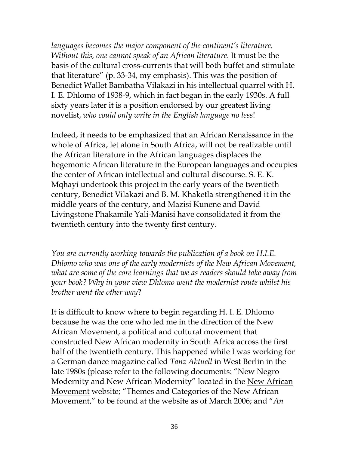*languages becomes the major component of the continent's literature. Without this, one cannot speak of an African literature*. It must be the basis of the cultural cross-currents that will both buffet and stimulate that literature" (p. 33-34, my emphasis). This was the position of Benedict Wallet Bambatha Vilakazi in his intellectual quarrel with H. I. E. Dhlomo of 1938-9, which in fact began in the early 1930s. A full sixty years later it is a position endorsed by our greatest living novelist, *who could only write in the English language no less*!

Indeed, it needs to be emphasized that an African Renaissance in the whole of Africa, let alone in South Africa, will not be realizable until the African literature in the African languages displaces the hegemonic African literature in the European languages and occupies the center of African intellectual and cultural discourse. S. E. K. Mqhayi undertook this project in the early years of the twentieth century, Benedict Vilakazi and B. M. Khaketla strengthened it in the middle years of the century, and Mazisi Kunene and David Livingstone Phakamile Yali-Manisi have consolidated it from the twentieth century into the twenty first century.

*You are currently working towards the publication of a book on H.I.E. Dhlomo who was one of the early modernists of the New African Movement, what are some of the core learnings that we as readers should take away from your book? Why in your view Dhlomo went the modernist route whilst his brother went the other way*?

It is difficult to know where to begin regarding H. I. E. Dhlomo because he was the one who led me in the direction of the New African Movement, a political and cultural movement that constructed New African modernity in South Africa across the first half of the twentieth century. This happened while I was working for a German dance magazine called *Tanz Aktuell* in West Berlin in the late 1980s (please refer to the following documents: "New Negro Modernity and New African Modernity" located in the New African Movement website; "Themes and Categories of the New African Movement," to be found at the website as of March 2006; and "*An*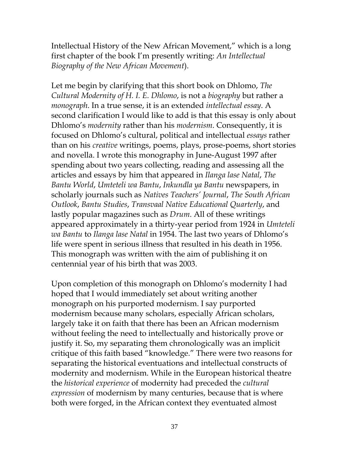Intellectual History of the New African Movement," which is a long first chapter of the book I'm presently writing: *An Intellectual Biography of the New African Movement*).

Let me begin by clarifying that this short book on Dhlomo, *The Cultural Modernity of H. I. E. Dhlomo*, is not a *biography* but rather a *monograph*. In a true sense, it is an extended *intellectual essay*. A second clarification I would like to add is that this essay is only about Dhlomo's *modernity* rather than his *modernism*. Consequently, it is focused on Dhlomo's cultural, political and intellectual *essays* rather than on his *creative* writings, poems, plays, prose-poems, short stories and novella. I wrote this monography in June-August 1997 after spending about two years collecting, reading and assessing all the articles and essays by him that appeared in *Ilanga lase Natal*, *The Bantu World*, *Umteteli wa Bantu*, *Inkundla ya Bantu* newspapers, in scholarly journals such as *Natives Teachers' Journal*, *The South African Outlook*, *Bantu Studies*, *Transvaal Native Educational Quarterly*, and lastly popular magazines such as *Drum*. All of these writings appeared approximately in a thirty-year period from 1924 in *Umteteli wa Bantu* to *Ilanga lase Natal* in 1954. The last two years of Dhlomo's life were spent in serious illness that resulted in his death in 1956. This monograph was written with the aim of publishing it on centennial year of his birth that was 2003.

Upon completion of this monograph on Dhlomo's modernity I had hoped that I would immediately set about writing another monograph on his purported modernism. I say purported modernism because many scholars, especially African scholars, largely take it on faith that there has been an African modernism without feeling the need to intellectually and historically prove or justify it. So, my separating them chronologically was an implicit critique of this faith based "knowledge." There were two reasons for separating the historical eventuations and intellectual constructs of modernity and modernism. While in the European historical theatre the *historical experience* of modernity had preceded the *cultural expression* of modernism by many centuries, because that is where both were forged, in the African context they eventuated almost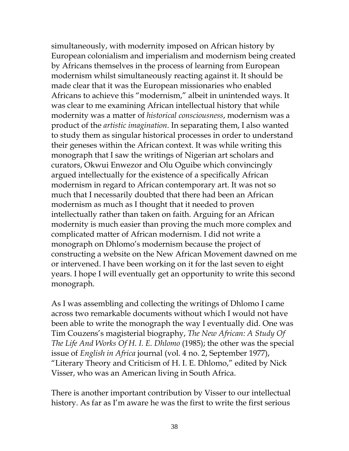simultaneously, with modernity imposed on African history by European colonialism and imperialism and modernism being created by Africans themselves in the process of learning from European modernism whilst simultaneously reacting against it. It should be made clear that it was the European missionaries who enabled Africans to achieve this "modernism," albeit in unintended ways. It was clear to me examining African intellectual history that while modernity was a matter of *historical consciousness*, modernism was a product of the *artistic imagination*. In separating them, I also wanted to study them as singular historical processes in order to understand their geneses within the African context. It was while writing this monograph that I saw the writings of Nigerian art scholars and curators, Okwui Enwezor and Olu Oguibe which convincingly argued intellectually for the existence of a specifically African modernism in regard to African contemporary art. It was not so much that I necessarily doubted that there had been an African modernism as much as I thought that it needed to proven intellectually rather than taken on faith. Arguing for an African modernity is much easier than proving the much more complex and complicated matter of African modernism. I did not write a monograph on Dhlomo's modernism because the project of constructing a website on the New African Movement dawned on me or intervened. I have been working on it for the last seven to eight years. I hope I will eventually get an opportunity to write this second monograph.

As I was assembling and collecting the writings of Dhlomo I came across two remarkable documents without which I would not have been able to write the monograph the way I eventually did. One was Tim Couzens's magisterial biography, *The New African: A Study Of The Life And Works Of H. I. E. Dhlomo* (1985); the other was the special issue of *English in Africa* journal (vol. 4 no. 2, September 1977), "Literary Theory and Criticism of H. I. E. Dhlomo," edited by Nick Visser, who was an American living in South Africa.

There is another important contribution by Visser to our intellectual history. As far as I'm aware he was the first to write the first serious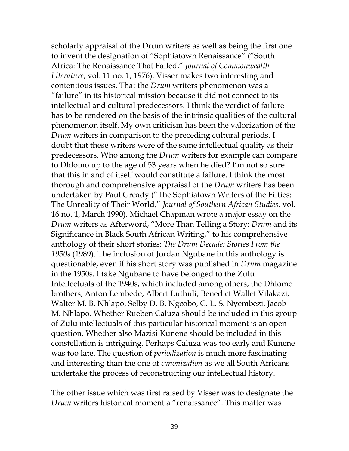scholarly appraisal of the Drum writers as well as being the first one to invent the designation of "Sophiatown Renaissance" ("South Africa: The Renaissance That Failed," *Journal of Commonwealth Literature*, vol. 11 no. 1, 1976). Visser makes two interesting and contentious issues. That the *Drum* writers phenomenon was a "failure" in its historical mission because it did not connect to its intellectual and cultural predecessors. I think the verdict of failure has to be rendered on the basis of the intrinsic qualities of the cultural phenomenon itself. My own criticism has been the valorization of the *Drum* writers in comparison to the preceding cultural periods. I doubt that these writers were of the same intellectual quality as their predecessors. Who among the *Drum* writers for example can compare to Dhlomo up to the age of 53 years when he died? I'm not so sure that this in and of itself would constitute a failure. I think the most thorough and comprehensive appraisal of the *Drum* writers has been undertaken by Paul Gready ("The Sophiatown Writers of the Fifties: The Unreality of Their World," *Journal of Southern African Studies*, vol. 16 no. 1, March 1990). Michael Chapman wrote a major essay on the *Drum* writers as Afterword, "More Than Telling a Story: *Drum* and its Significance in Black South African Writing," to his comprehensive anthology of their short stories: *The Drum Decade: Stories From the 1950s* (1989). The inclusion of Jordan Ngubane in this anthology is questionable, even if his short story was published in *Drum* magazine in the 1950s. I take Ngubane to have belonged to the Zulu Intellectuals of the 1940s, which included among others, the Dhlomo brothers, Anton Lembede, Albert Luthuli, Benedict Wallet Vilakazi, Walter M. B. Nhlapo, Selby D. B. Ngcobo, C. L. S. Nyembezi, Jacob M. Nhlapo. Whether Rueben Caluza should be included in this group of Zulu intellectuals of this particular historical moment is an open question. Whether also Mazisi Kunene should be included in this constellation is intriguing. Perhaps Caluza was too early and Kunene was too late. The question of *periodization* is much more fascinating and interesting than the one of *canonization* as we all South Africans undertake the process of reconstructing our intellectual history.

The other issue which was first raised by Visser was to designate the *Drum* writers historical moment a "renaissance". This matter was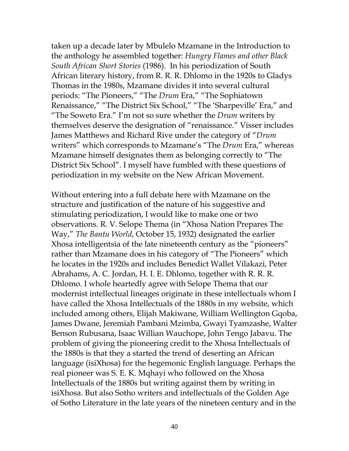taken up a decade later by Mbulelo Mzamane in the Introduction to the anthology he assembled together: *Hungry Flames and other Black South African Short Stories* (1986). In his periodization of South African literary history, from R. R. R. Dhlomo in the 1920s to Gladys Thomas in the 1980s, Mzamane divides it into several cultural periods: "The Pioneers," "The *Drum* Era," "The Sophiatown Renaissance," "The District Six School," "The 'Sharpeville' Era," and "The Soweto Era." I'm not so sure whether the *Drum* writers by themselves deserve the designation of "renaissance." Visser includes James Matthews and Richard Rive under the category of "*Drum* writers" which corresponds to Mzamane's "The *Drum* Era," whereas Mzamane himself designates them as belonging correctly to "The District Six School". I myself have fumbled with these questions of periodization in my website on the New African Movement.

Without entering into a full debate here with Mzamane on the structure and justification of the nature of his suggestive and stimulating periodization, I would like to make one or two observations. R. V. Selope Thema (in "Xhosa Nation Prepares The Way," *The Bantu World*, October 15, 1932) designated the earlier Xhosa intelligentsia of the late nineteenth century as the "pioneers" rather than Mzamane does in his category of "The Pioneers" which he locates in the 1920s and includes Benedict Wallet Vilakazi, Peter Abrahams, A. C. Jordan, H. I. E. Dhlomo, together with R. R. R. Dhlomo. I whole heartedly agree with Selope Thema that our modernist intellectual lineages originate in these intellectuals whom I have called the Xhosa Intellectuals of the 1880s in my website, which included among others, Elijah Makiwane, William Wellington Gqoba, James Dwane, Jeremiah Pambani Mzimba, Gwayi Tyamzashe, Walter Benson Rubusana, Isaac Willian Wauchope, John Tengo Jabavu. The problem of giving the pioneering credit to the Xhosa Intellectuals of the 1880s is that they a started the trend of deserting an African language (isiXhosa) for the hegemonic English language. Perhaps the real pioneer was S. E. K. Mqhayi who followed on the Xhosa Intellectuals of the 1880s but writing against them by writing in isiXhosa. But also Sotho writers and intellectuals of the Golden Age of Sotho Literature in the late years of the nineteen century and in the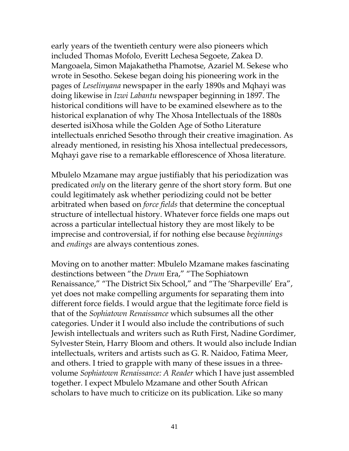early years of the twentieth century were also pioneers which included Thomas Mofolo, Everitt Lechesa Segoete, Zakea D. Mangoaela, Simon Majakathetha Phamotse, Azariel M. Sekese who wrote in Sesotho. Sekese began doing his pioneering work in the pages of *Leselinyana* newspaper in the early 1890s and Mqhayi was doing likewise in *Izwi Labantu* newspaper beginning in 1897. The historical conditions will have to be examined elsewhere as to the historical explanation of why The Xhosa Intellectuals of the 1880s deserted isiXhosa while the Golden Age of Sotho Literature intellectuals enriched Sesotho through their creative imagination. As already mentioned, in resisting his Xhosa intellectual predecessors, Mqhayi gave rise to a remarkable efflorescence of Xhosa literature.

Mbulelo Mzamane may argue justifiably that his periodization was predicated *only* on the literary genre of the short story form. But one could legitimately ask whether periodizing could not be better arbitrated when based on *force fields* that determine the conceptual structure of intellectual history. Whatever force fields one maps out across a particular intellectual history they are most likely to be imprecise and controversial, if for nothing else because *beginnings* and *endings* are always contentious zones.

Moving on to another matter: Mbulelo Mzamane makes fascinating destinctions between "the *Drum* Era," "The Sophiatown Renaissance," "The District Six School," and "The 'Sharpeville' Era", yet does not make compelling arguments for separating them into different force fields. I would argue that the legitimate force field is that of the *Sophiatown Renaissance* which subsumes all the other categories. Under it I would also include the contributions of such Jewish intellectuals and writers such as Ruth First, Nadine Gordimer, Sylvester Stein, Harry Bloom and others. It would also include Indian intellectuals, writers and artists such as G. R. Naidoo, Fatima Meer, and others. I tried to grapple with many of these issues in a threevolume *Sophiatown Renaissance: A Reader* which I have just assembled together. I expect Mbulelo Mzamane and other South African scholars to have much to criticize on its publication. Like so many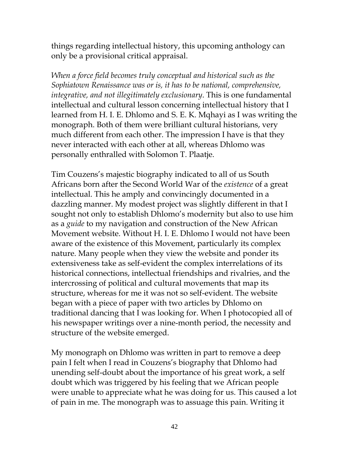things regarding intellectual history, this upcoming anthology can only be a provisional critical appraisal.

*When a force field becomes truly conceptual and historical such as the Sophiatown Renaissance was or is, it has to be national, comprehensive, integrative, and not illegitimately exclusionary*. This is one fundamental intellectual and cultural lesson concerning intellectual history that I learned from H. I. E. Dhlomo and S. E. K. Mqhayi as I was writing the monograph. Both of them were brilliant cultural historians, very much different from each other. The impression I have is that they never interacted with each other at all, whereas Dhlomo was personally enthralled with Solomon T. Plaatje.

Tim Couzens's majestic biography indicated to all of us South Africans born after the Second World War of the *existence* of a great intellectual. This he amply and convincingly documented in a dazzling manner. My modest project was slightly different in that I sought not only to establish Dhlomo's modernity but also to use him as a *guide* to my navigation and construction of the New African Movement website. Without H. I. E. Dhlomo I would not have been aware of the existence of this Movement, particularly its complex nature. Many people when they view the website and ponder its extensiveness take as self-evident the complex interrelations of its historical connections, intellectual friendships and rivalries, and the intercrossing of political and cultural movements that map its structure, whereas for me it was not so self-evident. The website began with a piece of paper with two articles by Dhlomo on traditional dancing that I was looking for. When I photocopied all of his newspaper writings over a nine-month period, the necessity and structure of the website emerged.

My monograph on Dhlomo was written in part to remove a deep pain I felt when I read in Couzens's biography that Dhlomo had unending self-doubt about the importance of his great work, a self doubt which was triggered by his feeling that we African people were unable to appreciate what he was doing for us. This caused a lot of pain in me. The monograph was to assuage this pain. Writing it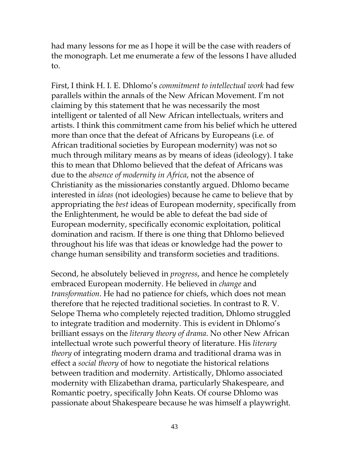had many lessons for me as I hope it will be the case with readers of the monograph. Let me enumerate a few of the lessons I have alluded to.

First, I think H. I. E. Dhlomo's *commitment to intellectual work* had few parallels within the annals of the New African Movement. I'm not claiming by this statement that he was necessarily the most intelligent or talented of all New African intellectuals, writers and artists. I think this commitment came from his belief which he uttered more than once that the defeat of Africans by Europeans (i.e. of African traditional societies by European modernity) was not so much through military means as by means of ideas (ideology). I take this to mean that Dhlomo believed that the defeat of Africans was due to the *absence of modernity in Africa*, not the absence of Christianity as the missionaries constantly argued. Dhlomo became interested in *ideas* (not ideologies) because he came to believe that by appropriating the *best* ideas of European modernity, specifically from the Enlightenment, he would be able to defeat the bad side of European modernity, specifically economic exploitation, political domination and racism. If there is one thing that Dhlomo believed throughout his life was that ideas or knowledge had the power to change human sensibility and transform societies and traditions.

Second, he absolutely believed in *progress*, and hence he completely embraced European modernity. He believed in *change* and *transformation*. He had no patience for chiefs, which does not mean therefore that he rejected traditional societies. In contrast to R. V. Selope Thema who completely rejected tradition, Dhlomo struggled to integrate tradition and modernity. This is evident in Dhlomo's brilliant essays on the *literary theory of drama*. No other New African intellectual wrote such powerful theory of literature. His *literary theory* of integrating modern drama and traditional drama was in effect a *social theory* of how to negotiate the historical relations between tradition and modernity. Artistically, Dhlomo associated modernity with Elizabethan drama, particularly Shakespeare, and Romantic poetry, specifically John Keats. Of course Dhlomo was passionate about Shakespeare because he was himself a playwright.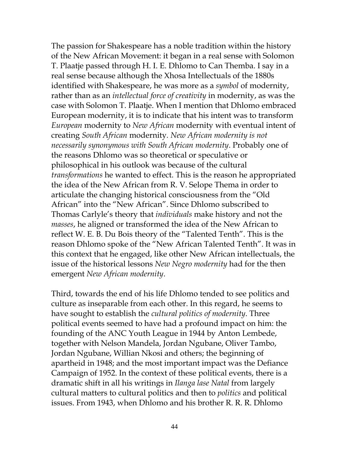The passion for Shakespeare has a noble tradition within the history of the New African Movement: it began in a real sense with Solomon T. Plaatje passed through H. I. E. Dhlomo to Can Themba. I say in a real sense because although the Xhosa Intellectuals of the 1880s identified with Shakespeare, he was more as a *symbol* of modernity, rather than as an *intellectual force of creativity* in modernity, as was the case with Solomon T. Plaatje. When I mention that Dhlomo embraced European modernity, it is to indicate that his intent was to transform *European* modernity to *New African* modernity with eventual intent of creating *South African* modernity*. New African modernity is not necessarily synonymous with South African modernity*. Probably one of the reasons Dhlomo was so theoretical or speculative or philosophical in his outlook was because of the cultural *transformations* he wanted to effect. This is the reason he appropriated the idea of the New African from R. V. Selope Thema in order to articulate the changing historical consciousness from the "Old African" into the "New African". Since Dhlomo subscribed to Thomas Carlyle's theory that *individuals* make history and not the *masses*, he aligned or transformed the idea of the New African to reflect W. E. B. Du Bois theory of the "Talented Tenth". This is the reason Dhlomo spoke of the "New African Talented Tenth". It was in this context that he engaged, like other New African intellectuals, the issue of the historical lessons *New Negro modernity* had for the then emergent *New African modernity*.

Third, towards the end of his life Dhlomo tended to see politics and culture as inseparable from each other. In this regard, he seems to have sought to establish the *cultural politics of modernity*. Three political events seemed to have had a profound impact on him: the founding of the ANC Youth League in 1944 by Anton Lembede, together with Nelson Mandela, Jordan Ngubane, Oliver Tambo, Jordan Ngubane, Willian Nkosi and others; the beginning of apartheid in 1948; and the most important impact was the Defiance Campaign of 1952. In the context of these political events, there is a dramatic shift in all his writings in *Ilanga lase Natal* from largely cultural matters to cultural politics and then to *politics* and political issues. From 1943, when Dhlomo and his brother R. R. R. Dhlomo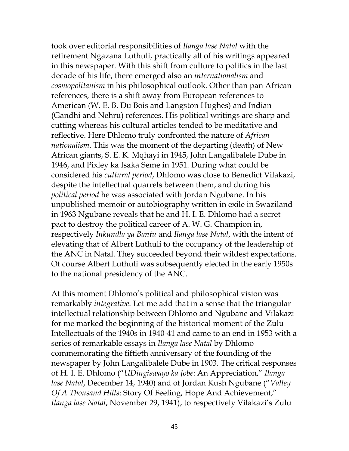took over editorial responsibilities of *Ilanga lase Natal* with the retirement Ngazana Luthuli, practically all of his writings appeared in this newspaper. With this shift from culture to politics in the last decade of his life, there emerged also an *internationalism* and *cosmopolitanism* in his philosophical outlook. Other than pan African references, there is a shift away from European references to American (W. E. B. Du Bois and Langston Hughes) and Indian (Gandhi and Nehru) references. His political writings are sharp and cutting whereas his cultural articles tended to be meditative and reflective. Here Dhlomo truly confronted the nature of *African nationalism*. This was the moment of the departing (death) of New African giants, S. E. K. Mqhayi in 1945, John Langalibalele Dube in 1946, and Pixley ka Isaka Seme in 1951. During what could be considered his *cultural period*, Dhlomo was close to Benedict Vilakazi, despite the intellectual quarrels between them, and during his *political period* he was associated with Jordan Ngubane. In his unpublished memoir or autobiography written in exile in Swaziland in 1963 Ngubane reveals that he and H. I. E. Dhlomo had a secret pact to destroy the political career of A. W. G. Champion in, respectively *Inkundla ya Bantu* and *Ilanga lase Natal*, with the intent of elevating that of Albert Luthuli to the occupancy of the leadership of the ANC in Natal. They succeeded beyond their wildest expectations. Of course Albert Luthuli was subsequently elected in the early 1950s to the national presidency of the ANC.

At this moment Dhlomo's political and philosophical vision was remarkably *integrative*. Let me add that in a sense that the triangular intellectual relationship between Dhlomo and Ngubane and Vilakazi for me marked the beginning of the historical moment of the Zulu Intellectuals of the 1940s in 1940-41 and came to an end in 1953 with a series of remarkable essays in *Ilanga lase Natal* by Dhlomo commemorating the fiftieth anniversary of the founding of the newspaper by John Langalibalele Dube in 1903. The critical responses of H. I. E. Dhlomo ("*UDingiswayo ka Jobe*: An Appreciation," *Ilanga lase Natal*, December 14, 1940) and of Jordan Kush Ngubane ("*Valley Of A Thousand Hills*: Story Of Feeling, Hope And Achievement," *Ilanga lase Natal*, November 29, 1941), to respectively Vilakazi's Zulu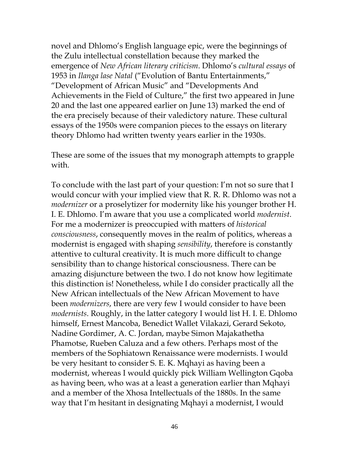novel and Dhlomo's English language epic, were the beginnings of the Zulu intellectual constellation because they marked the emergence of *New African literary criticism*. Dhlomo's *cultural essays* of 1953 in *Ilanga lase Natal* ("Evolution of Bantu Entertainments," "Development of African Music" and "Developments And Achievements in the Field of Culture," the first two appeared in June 20 and the last one appeared earlier on June 13) marked the end of the era precisely because of their valedictory nature. These cultural essays of the 1950s were companion pieces to the essays on literary theory Dhlomo had written twenty years earlier in the 1930s.

These are some of the issues that my monograph attempts to grapple with.

To conclude with the last part of your question: I'm not so sure that I would concur with your implied view that R. R. R. Dhlomo was not a *modernizer* or a proselytizer for modernity like his younger brother H. I. E. Dhlomo. I'm aware that you use a complicated world *modernist*. For me a modernizer is preoccupied with matters of *historical consciousness*, consequently moves in the realm of politics, whereas a modernist is engaged with shaping *sensibility*, therefore is constantly attentive to cultural creativity. It is much more difficult to change sensibility than to change historical consciousness. There can be amazing disjuncture between the two. I do not know how legitimate this distinction is! Nonetheless, while I do consider practically all the New African intellectuals of the New African Movement to have been *modernizers*, there are very few I would consider to have been *modernists*. Roughly, in the latter category I would list H. I. E. Dhlomo himself, Ernest Mancoba, Benedict Wallet Vilakazi, Gerard Sekoto, Nadine Gordimer, A. C. Jordan, maybe Simon Majakathetha Phamotse, Rueben Caluza and a few others. Perhaps most of the members of the Sophiatown Renaissance were modernists. I would be very hesitant to consider S. E. K. Mqhayi as having been a modernist, whereas I would quickly pick William Wellington Gqoba as having been, who was at a least a generation earlier than Mqhayi and a member of the Xhosa Intellectuals of the 1880s. In the same way that I'm hesitant in designating Mqhayi a modernist, I would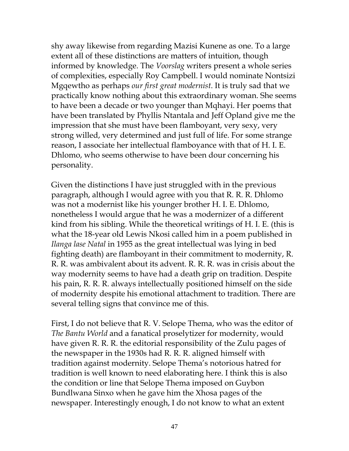shy away likewise from regarding Mazisi Kunene as one. To a large extent all of these distinctions are matters of intuition, though informed by knowledge. The *Voorslag* writers present a whole series of complexities, especially Roy Campbell. I would nominate Nontsizi Mgqewtho as perhaps *our first great modernist*. It is truly sad that we practically know nothing about this extraordinary woman. She seems to have been a decade or two younger than Mqhayi. Her poems that have been translated by Phyllis Ntantala and Jeff Opland give me the impression that she must have been flamboyant, very sexy, very strong willed, very determined and just full of life. For some strange reason, I associate her intellectual flamboyance with that of H. I. E. Dhlomo, who seems otherwise to have been dour concerning his personality.

Given the distinctions I have just struggled with in the previous paragraph, although I would agree with you that R. R. R. Dhlomo was not a modernist like his younger brother H. I. E. Dhlomo, nonetheless I would argue that he was a modernizer of a different kind from his sibling. While the theoretical writings of H. I. E. (this is what the 18-year old Lewis Nkosi called him in a poem published in *Ilanga lase Natal* in 1955 as the great intellectual was lying in bed fighting death) are flamboyant in their commitment to modernity, R. R. R. was ambivalent about its advent. R. R. R. was in crisis about the way modernity seems to have had a death grip on tradition. Despite his pain, R. R. R. always intellectually positioned himself on the side of modernity despite his emotional attachment to tradition. There are several telling signs that convince me of this.

First, I do not believe that R. V. Selope Thema, who was the editor of *The Bantu World* and a fanatical proselytizer for modernity, would have given R. R. R. the editorial responsibility of the Zulu pages of the newspaper in the 1930s had R. R. R. aligned himself with tradition against modernity. Selope Thema's notorious hatred for tradition is well known to need elaborating here. I think this is also the condition or line that Selope Thema imposed on Guybon Bundlwana Sinxo when he gave him the Xhosa pages of the newspaper. Interestingly enough, I do not know to what an extent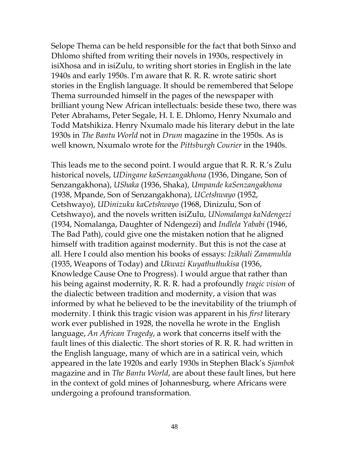Selope Thema can be held responsible for the fact that both Sinxo and Dhlomo shifted from writing their novels in 1930s, respectively in isiXhosa and in isiZulu, to writing short stories in English in the late 1940s and early 1950s. I'm aware that R. R. R. wrote satiric short stories in the English language. It should be remembered that Selope Thema surrounded himself in the pages of the newspaper with brilliant young New African intellectuals: beside these two, there was Peter Abrahams, Peter Segale, H. I. E. Dhlomo, Henry Nxumalo and Todd Matshikiza. Henry Nxumalo made his literary debut in the late 1930s in *The Bantu World* not in *Drum* magazine in the 1950s. As is well known, Nxumalo wrote for the *Pittsburgh Courier* in the 1940s.

This leads me to the second point. I would argue that R. R. R.'s Zulu historical novels, *UDingane kaSenzangakhona* (1936, Dingane, Son of Senzangakhona), *UShaka* (1936, Shaka), *Umpande kaSenzangakhona* (1938, Mpande, Son of Senzangakhona), *UCetshwayo* (1952, Cetshwayo), *UDinizuku kaCetshwayo* (1968, Dinizulu, Son of Cetshwayo), and the novels written isiZulu, *UNomalanga kaNdengezi* (1934, Nomalanga, Daughter of Ndengezi) and *Indlela Yababi* (1946, The Bad Path), could give one the mistaken notion that he aligned himself with tradition against modernity. But this is not the case at all. Here I could also mention his books of essays: *Izikhali Zanamuhla* (1935, Weapons of Today) and *Ukwazi Kuyathuthukisa* (1936, Knowledge Cause One to Progress). I would argue that rather than his being against modernity, R. R. R. had a profoundly *tragic vision* of the dialectic between tradition and modernity, a vision that was informed by what he believed to be the inevitability of the triumph of modernity. I think this tragic vision was apparent in his *first* literary work ever published in 1928, the novella he wrote in the English language, *An African Tragedy*, a work that concerns itself with the fault lines of this dialectic. The short stories of R. R. R. had written in the English language, many of which are in a satirical vein, which appeared in the late 1920s and early 1930s in Stephen Black's *Sjambok* magazine and in *The Bantu World*, are about these fault lines, but here in the context of gold mines of Johannesburg, where Africans were undergoing a profound transformation.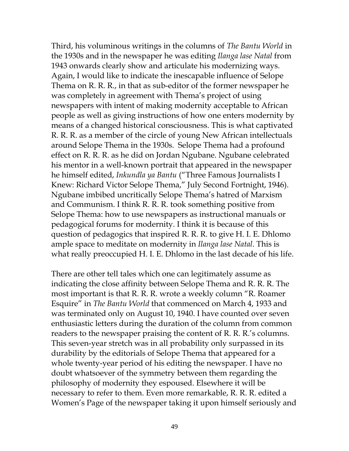Third, his voluminous writings in the columns of *The Bantu World* in the 1930s and in the newspaper he was editing *Ilanga lase Natal* from 1943 onwards clearly show and articulate his modernizing ways. Again, I would like to indicate the inescapable influence of Selope Thema on R. R. R., in that as sub-editor of the former newspaper he was completely in agreement with Thema's project of using newspapers with intent of making modernity acceptable to African people as well as giving instructions of how one enters modernity by means of a changed historical consciousness. This is what captivated R. R. R. as a member of the circle of young New African intellectuals around Selope Thema in the 1930s. Selope Thema had a profound effect on R. R. R. as he did on Jordan Ngubane. Ngubane celebrated his mentor in a well-known portrait that appeared in the newspaper he himself edited, *Inkundla ya Bantu* ("Three Famous Journalists I Knew: Richard Victor Selope Thema," July Second Fortnight, 1946). Ngubane imbibed uncritically Selope Thema's hatred of Marxism and Communism. I think R. R. R. took something positive from Selope Thema: how to use newspapers as instructional manuals or pedagogical forums for modernity. I think it is because of this question of pedagogics that inspired R. R. R. to give H. I. E. Dhlomo ample space to meditate on modernity in *Ilanga lase Natal*. This is what really preoccupied H. I. E. Dhlomo in the last decade of his life.

There are other tell tales which one can legitimately assume as indicating the close affinity between Selope Thema and R. R. R. The most important is that R. R. R. wrote a weekly column "R. Roamer Esquire" in *The Bantu World* that commenced on March 4, 1933 and was terminated only on August 10, 1940. I have counted over seven enthusiastic letters during the duration of the column from common readers to the newspaper praising the content of R. R. R.'s columns. This seven-year stretch was in all probability only surpassed in its durability by the editorials of Selope Thema that appeared for a whole twenty-year period of his editing the newspaper. I have no doubt whatsoever of the symmetry between them regarding the philosophy of modernity they espoused. Elsewhere it will be necessary to refer to them. Even more remarkable, R. R. R. edited a Women's Page of the newspaper taking it upon himself seriously and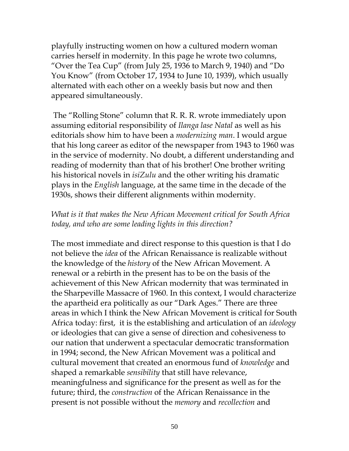playfully instructing women on how a cultured modern woman carries herself in modernity. In this page he wrote two columns, "Over the Tea Cup" (from July 25, 1936 to March 9, 1940) and "Do You Know" (from October 17, 1934 to June 10, 1939), which usually alternated with each other on a weekly basis but now and then appeared simultaneously.

 The "Rolling Stone" column that R. R. R. wrote immediately upon assuming editorial responsibility of *Ilanga lase Natal* as well as his editorials show him to have been a *modernizing man*. I would argue that his long career as editor of the newspaper from 1943 to 1960 was in the service of modernity. No doubt, a different understanding and reading of modernity than that of his brother! One brother writing his historical novels in *isiZulu* and the other writing his dramatic plays in the *English* language, at the same time in the decade of the 1930s, shows their different alignments within modernity.

## *What is it that makes the New African Movement critical for South Africa today, and who are some leading lights in this direction?*

The most immediate and direct response to this question is that I do not believe the *idea* of the African Renaissance is realizable without the knowledge of the *history* of the New African Movement. A renewal or a rebirth in the present has to be on the basis of the achievement of this New African modernity that was terminated in the Sharpeville Massacre of 1960. In this context, I would characterize the apartheid era politically as our "Dark Ages." There are three areas in which I think the New African Movement is critical for South Africa today: first, it is the establishing and articulation of an *ideology* or ideologies that can give a sense of direction and cohesiveness to our nation that underwent a spectacular democratic transformation in 1994; second, the New African Movement was a political and cultural movement that created an enormous fund of *knowledge* and shaped a remarkable *sensibility* that still have relevance, meaningfulness and significance for the present as well as for the future; third, the *construction* of the African Renaissance in the present is not possible without the *memory* and *recollection* and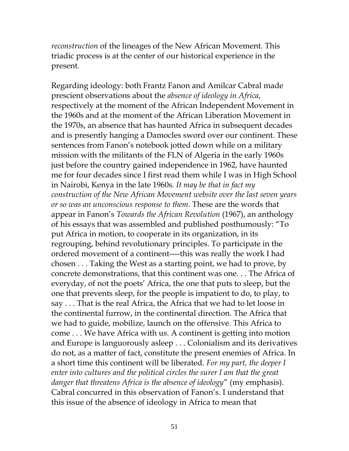*reconstruction* of the lineages of the New African Movement. This triadic process is at the center of our historical experience in the present.

Regarding ideology: both Frantz Fanon and Amilcar Cabral made prescient observations about the *absence of ideology in Africa*, respectively at the moment of the African Independent Movement in the 1960s and at the moment of the African Liberation Movement in the 1970s, an absence that has haunted Africa in subsequent decades and is presently hanging a Damocles sword over our continent. These sentences from Fanon's notebook jotted down while on a military mission with the militants of the FLN of Algeria in the early 1960s just before the country gained independence in 1962, have haunted me for four decades since I first read them while I was in High School in Nairobi, Kenya in the late 1960s*. It may be that in fact my construction of the New African Movement website over the last seven years or so was an unconscious response to them*. These are the words that appear in Fanon's *Towards the African Revolution* (1967), an anthology of his essays that was assembled and published posthumously: "To put Africa in motion, to cooperate in its organization, in its regrouping, behind revolutionary principles. To participate in the ordered movement of a continent----this was really the work I had chosen . . . Taking the West as a starting point, we had to prove, by concrete demonstrations, that this continent was one. . . The Africa of everyday, of not the poets' Africa, the one that puts to sleep, but the one that prevents sleep, for the people is impatient to do, to play, to say . . . That is the real Africa, the Africa that we had to let loose in the continental furrow, in the continental direction. The Africa that we had to guide, mobilize, launch on the offensive. This Africa to come . . . We have Africa with us. A continent is getting into motion and Europe is languorously asleep . . . Colonialism and its derivatives do not, as a matter of fact, constitute the present enemies of Africa. In a short time this continent will be liberated. *For my part, the deeper I enter into cultures and the political circles the surer I am that the great danger that threatens Africa is the absence of ideology*" (my emphasis). Cabral concurred in this observation of Fanon's. I understand that this issue of the absence of ideology in Africa to mean that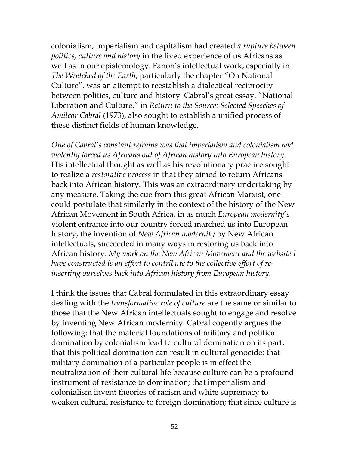colonialism, imperialism and capitalism had created *a rupture between politics, culture and history* in the lived experience of us Africans as well as in our epistemology. Fanon's intellectual work, especially in *The Wretched of the Earth*, particularly the chapter "On National Culture", was an attempt to reestablish a dialectical reciprocity between politics, culture and history. Cabral's great essay, "National Liberation and Culture," in *Return to the Source: Selected Speeches of Amilcar Cabral* (1973), also sought to establish a unified process of these distinct fields of human knowledge.

*One of Cabral's constant refrains was that imperialism and colonialism had violently forced us Africans out of African history into European history*. His intellectual thought as well as his revolutionary practice sought to realize a *restorative process* in that they aimed to return Africans back into African history. This was an extraordinary undertaking by any measure. Taking the cue from this great African Marxist, one could postulate that similarly in the context of the history of the New African Movement in South Africa, in as much *European modernity*'s violent entrance into our country forced marched us into European history, the invention of *New African modernity* by New African intellectuals, succeeded in many ways in restoring us back into African history*. My work on the New African Movement and the website I have constructed is an effort to contribute to the collective effort of reinserting ourselves back into African history from European history*.

I think the issues that Cabral formulated in this extraordinary essay dealing with the *transformative role of culture* are the same or similar to those that the New African intellectuals sought to engage and resolve by inventing New African modernity. Cabral cogently argues the following: that the material foundations of military and political domination by colonialism lead to cultural domination on its part; that this political domination can result in cultural genocide; that military domination of a particular people is in effect the neutralization of their cultural life because culture can be a profound instrument of resistance to domination; that imperialism and colonialism invent theories of racism and white supremacy to weaken cultural resistance to foreign domination; that since culture is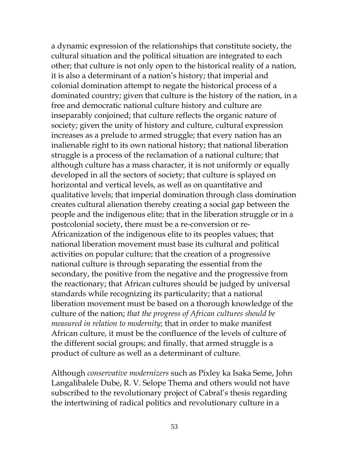a dynamic expression of the relationships that constitute society, the cultural situation and the political situation are integrated to each other; that culture is not only open to the historical reality of a nation, it is also a determinant of a nation's history; that imperial and colonial domination attempt to negate the historical process of a dominated country; given that culture is the history of the nation, in a free and democratic national culture history and culture are inseparably conjoined; that culture reflects the organic nature of society; given the unity of history and culture, cultural expression increases as a prelude to armed struggle; that every nation has an inalienable right to its own national history; that national liberation struggle is a process of the reclamation of a national culture; that although culture has a mass character, it is not uniformly or equally developed in all the sectors of society; that culture is splayed on horizontal and vertical levels, as well as on quantitative and qualitative levels; that imperial domination through class domination creates cultural alienation thereby creating a social gap between the people and the indigenous elite; that in the liberation struggle or in a postcolonial society, there must be a re-conversion or re-Africanization of the indigenous elite to its peoples values; that national liberation movement must base its cultural and political activities on popular culture; that the creation of a progressive national culture is through separating the essential from the secondary, the positive from the negative and the progressive from the reactionary; that African cultures should be judged by universal standards while recognizing its particularity; that a national liberation movement must be based on a thorough knowledge of the culture of the nation; *that the progress of African cultures should be measured in relation to modernity*; that in order to make manifest African culture, it must be the confluence of the levels of culture of the different social groups; and finally, that armed struggle is a product of culture as well as a determinant of culture.

Although *conservative modernizers* such as Pixley ka Isaka Seme, John Langalibalele Dube, R. V. Selope Thema and others would not have subscribed to the revolutionary project of Cabral's thesis regarding the intertwining of radical politics and revolutionary culture in a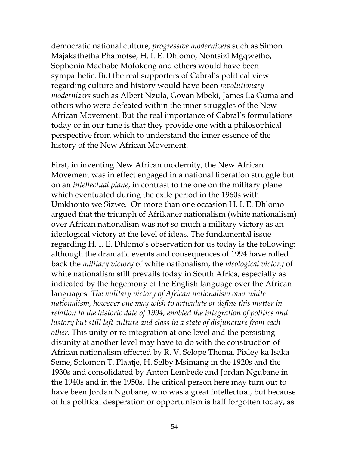democratic national culture, *progressive modernizers* such as Simon Majakathetha Phamotse, H. I. E. Dhlomo, Nontsizi Mgqwetho, Sophonia Machabe Mofokeng and others would have been sympathetic. But the real supporters of Cabral's political view regarding culture and history would have been *revolutionary modernizers* such as Albert Nzula, Govan Mbeki, James La Guma and others who were defeated within the inner struggles of the New African Movement. But the real importance of Cabral's formulations today or in our time is that they provide one with a philosophical perspective from which to understand the inner essence of the history of the New African Movement.

First, in inventing New African modernity, the New African Movement was in effect engaged in a national liberation struggle but on an *intellectual plane*, in contrast to the one on the military plane which eventuated during the exile period in the 1960s with Umkhonto we Sizwe. On more than one occasion H. I. E. Dhlomo argued that the triumph of Afrikaner nationalism (white nationalism) over African nationalism was not so much a military victory as an ideological victory at the level of ideas. The fundamental issue regarding H. I. E. Dhlomo's observation for us today is the following: although the dramatic events and consequences of 1994 have rolled back the *military victory* of white nationalism, the *ideological victory* of white nationalism still prevails today in South Africa, especially as indicated by the hegemony of the English language over the African languages. *The military victory of African nationalism over white nationalism, however one may wish to articulate or define this matter in relation to the historic date of 1994, enabled the integration of politics and history but still left culture and class in a state of disjuncture from each other*. This unity or re-integration at one level and the persisting disunity at another level may have to do with the construction of African nationalism effected by R. V. Selope Thema, Pixley ka Isaka Seme, Solomon T. Plaatje, H. Selby Msimang in the 1920s and the 1930s and consolidated by Anton Lembede and Jordan Ngubane in the 1940s and in the 1950s. The critical person here may turn out to have been Jordan Ngubane, who was a great intellectual, but because of his political desperation or opportunism is half forgotten today, as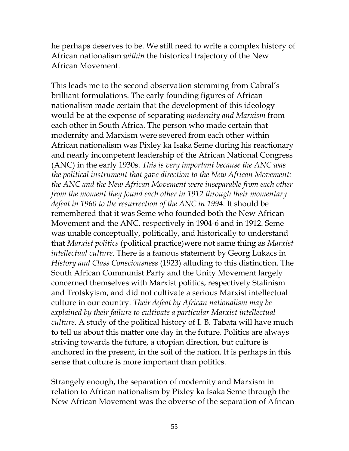he perhaps deserves to be. We still need to write a complex history of African nationalism *within* the historical trajectory of the New African Movement.

This leads me to the second observation stemming from Cabral's brilliant formulations. The early founding figures of African nationalism made certain that the development of this ideology would be at the expense of separating *modernity and Marxism* from each other in South Africa. The person who made certain that modernity and Marxism were severed from each other within African nationalism was Pixley ka Isaka Seme during his reactionary and nearly incompetent leadership of the African National Congress (ANC) in the early 1930s. *This is very important because the ANC was the political instrument that gave direction to the New African Movement: the ANC and the New African Movement were inseparable from each other from the moment they found each other in 1912 through their momentary defeat in 1960 to the resurrection of the ANC in 1994*. It should be remembered that it was Seme who founded both the New African Movement and the ANC, respectively in 1904-6 and in 1912. Seme was unable conceptually, politically, and historically to understand that *Marxist politics* (political practice)were not same thing as *Marxist intellectual culture*. There is a famous statement by Georg Lukacs in *History and Class Consciousness* (1923) alluding to this distinction. The South African Communist Party and the Unity Movement largely concerned themselves with Marxist politics, respectively Stalinism and Trotskyism, and did not cultivate a serious Marxist intellectual culture in our country. *Their defeat by African nationalism may be explained by their failure to cultivate a particular Marxist intellectual culture*. A study of the political history of I. B. Tabata will have much to tell us about this matter one day in the future. Politics are always striving towards the future, a utopian direction, but culture is anchored in the present, in the soil of the nation. It is perhaps in this sense that culture is more important than politics.

Strangely enough, the separation of modernity and Marxism in relation to African nationalism by Pixley ka Isaka Seme through the New African Movement was the obverse of the separation of African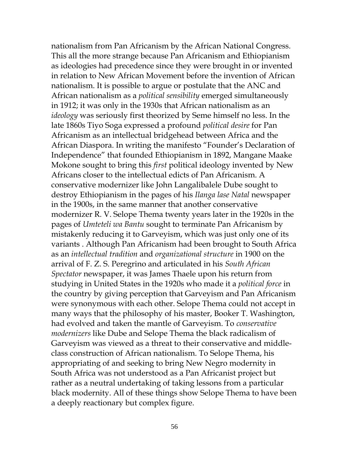nationalism from Pan Africanism by the African National Congress. This all the more strange because Pan Africanism and Ethiopianism as ideologies had precedence since they were brought in or invented in relation to New African Movement before the invention of African nationalism. It is possible to argue or postulate that the ANC and African nationalism as a *political sensibility* emerged simultaneously in 1912; it was only in the 1930s that African nationalism as an *ideology* was seriously first theorized by Seme himself no less. In the late 1860s Tiyo Soga expressed a profound *political desire* for Pan Africanism as an intellectual bridgehead between Africa and the African Diaspora. In writing the manifesto "Founder's Declaration of Independence" that founded Ethiopianism in 1892, Mangane Maake Mokone sought to bring this *first* political ideology invented by New Africans closer to the intellectual edicts of Pan Africanism. A conservative modernizer like John Langalibalele Dube sought to destroy Ethiopianism in the pages of his *Ilanga lase Natal* newspaper in the 1900s, in the same manner that another conservative modernizer R. V. Selope Thema twenty years later in the 1920s in the pages of *Umteteli wa Bantu* sought to terminate Pan Africanism by mistakenly reducing it to Garveyism, which was just only one of its variants . Although Pan Africanism had been brought to South Africa as an *intellectual tradition* and *organizational structure* in 1900 on the arrival of F. Z. S. Peregrino and articulated in his *South African Spectator* newspaper, it was James Thaele upon his return from studying in United States in the 1920s who made it a *political force* in the country by giving perception that Garveyism and Pan Africanism were synonymous with each other. Selope Thema could not accept in many ways that the philosophy of his master, Booker T. Washington, had evolved and taken the mantle of Garveyism. To *conservative modernizers* like Dube and Selope Thema the black radicalism of Garveyism was viewed as a threat to their conservative and middleclass construction of African nationalism. To Selope Thema, his appropriating of and seeking to bring New Negro modernity in South Africa was not understood as a Pan Africanist project but rather as a neutral undertaking of taking lessons from a particular black modernity. All of these things show Selope Thema to have been a deeply reactionary but complex figure.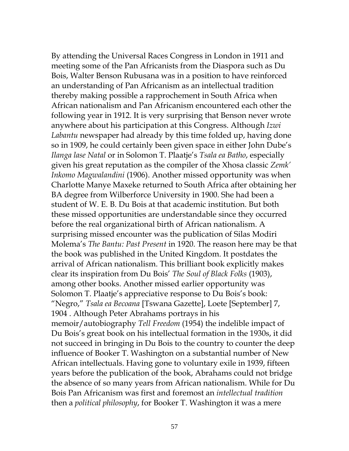By attending the Universal Races Congress in London in 1911 and meeting some of the Pan Africanists from the Diaspora such as Du Bois, Walter Benson Rubusana was in a position to have reinforced an understanding of Pan Africanism as an intellectual tradition thereby making possible a rapprochement in South Africa when African nationalism and Pan Africanism encountered each other the following year in 1912. It is very surprising that Benson never wrote anywhere about his participation at this Congress. Although *Izwi Labantu* newspaper had already by this time folded up, having done so in 1909, he could certainly been given space in either John Dube's *Ilanga lase Natal* or in Solomon T. Plaatje's *Tsala ea Batho*, especially given his great reputation as the compiler of the Xhosa classic *Zemk' Inkomo Magwalandini* (1906). Another missed opportunity was when Charlotte Manye Maxeke returned to South Africa after obtaining her BA degree from Wilberforce University in 1900. She had been a student of W. E. B. Du Bois at that academic institution. But both these missed opportunities are understandable since they occurred before the real organizational birth of African nationalism. A surprising missed encounter was the publication of Silas Modiri Molema's *The Bantu: Past Present* in 1920. The reason here may be that the book was published in the United Kingdom. It postdates the arrival of African nationalism. This brilliant book explicitly makes clear its inspiration from Du Bois' *The Soul of Black Folks* (1903), among other books. Another missed earlier opportunity was Solomon T. Plaatje's appreciative response to Du Bois's book: "Negro," *Tsala ea Becoana* [Tswana Gazette], Loete [September] 7, 1904 . Although Peter Abrahams portrays in his memoir/autobiography *Tell Freedom* (1954) the indelible impact of Du Bois's great book on his intellectual formation in the 1930s, it did not succeed in bringing in Du Bois to the country to counter the deep influence of Booker T. Washington on a substantial number of New African intellectuals. Having gone to voluntary exile in 1939, fifteen years before the publication of the book, Abrahams could not bridge the absence of so many years from African nationalism. While for Du Bois Pan Africanism was first and foremost an *intellectual tradition* then a *political philosophy*, for Booker T. Washington it was a mere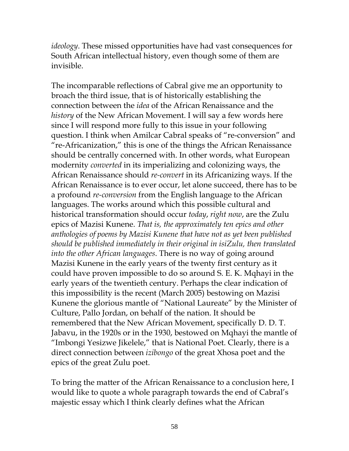*ideology*. These missed opportunities have had vast consequences for South African intellectual history, even though some of them are invisible.

The incomparable reflections of Cabral give me an opportunity to broach the third issue, that is of historically establishing the connection between the *idea* of the African Renaissance and the *history* of the New African Movement. I will say a few words here since I will respond more fully to this issue in your following question. I think when Amilcar Cabral speaks of "re-conversion" and "re-Africanization," this is one of the things the African Renaissance should be centrally concerned with. In other words, what European modernity *converted* in its imperializing and colonizing ways, the African Renaissance should *re-convert* in its Africanizing ways. If the African Renaissance is to ever occur, let alone succeed, there has to be a profound *re-conversion* from the English language to the African languages. The works around which this possible cultural and historical transformation should occur *today*, *right now*, are the Zulu epics of Mazisi Kunene. *That is, the approximately ten epics and other anthologies of poems by Mazisi Kunene that have not as yet been published should be published immediately in their original in isiZulu, then translated into the other African languages*. There is no way of going around Mazisi Kunene in the early years of the twenty first century as it could have proven impossible to do so around S. E. K. Mqhayi in the early years of the twentieth century. Perhaps the clear indication of this impossibility is the recent (March 2005) bestowing on Mazisi Kunene the glorious mantle of "National Laureate" by the Minister of Culture, Pallo Jordan, on behalf of the nation. It should be remembered that the New African Movement, specifically D. D. T. Jabavu, in the 1920s or in the 1930, bestowed on Mqhayi the mantle of "Imbongi Yesizwe Jikelele," that is National Poet. Clearly, there is a direct connection between *izibongo* of the great Xhosa poet and the epics of the great Zulu poet.

To bring the matter of the African Renaissance to a conclusion here, I would like to quote a whole paragraph towards the end of Cabral's majestic essay which I think clearly defines what the African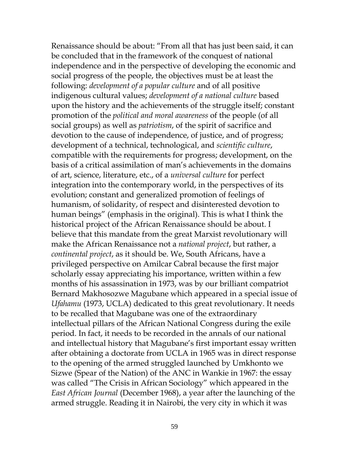Renaissance should be about: "From all that has just been said, it can be concluded that in the framework of the conquest of national independence and in the perspective of developing the economic and social progress of the people, the objectives must be at least the following: *development of a popular culture* and of all positive indigenous cultural values; *development of a national culture* based upon the history and the achievements of the struggle itself; constant promotion of the *political and moral awareness* of the people (of all social groups) as well as *patriotism*, of the spirit of sacrifice and devotion to the cause of independence, of justice, and of progress; development of a technical, technological, and *scientific culture*, compatible with the requirements for progress; development, on the basis of a critical assimilation of man's achievements in the domains of art, science, literature, etc., of a *universal culture* for perfect integration into the contemporary world, in the perspectives of its evolution; constant and generalized promotion of feelings of humanism, of solidarity, of respect and disinterested devotion to human beings" (emphasis in the original). This is what I think the historical project of the African Renaissance should be about. I believe that this mandate from the great Marxist revolutionary will make the African Renaissance not a *national project*, but rather, a *continental project*, as it should be. We, South Africans, have a privileged perspective on Amilcar Cabral because the first major scholarly essay appreciating his importance, written within a few months of his assassination in 1973, was by our brilliant compatriot Bernard Makhosozwe Magubane which appeared in a special issue of *Ufahamu* (1973, UCLA) dedicated to this great revolutionary. It needs to be recalled that Magubane was one of the extraordinary intellectual pillars of the African National Congress during the exile period. In fact, it needs to be recorded in the annals of our national and intellectual history that Magubane's first important essay written after obtaining a doctorate from UCLA in 1965 was in direct response to the opening of the armed struggled launched by Umkhonto we Sizwe (Spear of the Nation) of the ANC in Wankie in 1967: the essay was called "The Crisis in African Sociology" which appeared in the *East African Journal* (December 1968), a year after the launching of the armed struggle. Reading it in Nairobi, the very city in which it was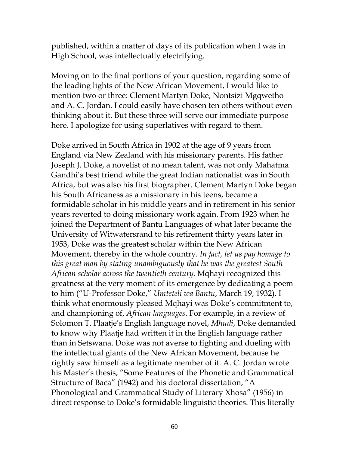published, within a matter of days of its publication when I was in High School, was intellectually electrifying.

Moving on to the final portions of your question, regarding some of the leading lights of the New African Movement, I would like to mention two or three: Clement Martyn Doke, Nontsizi Mgqwetho and A. C. Jordan. I could easily have chosen ten others without even thinking about it. But these three will serve our immediate purpose here. I apologize for using superlatives with regard to them.

Doke arrived in South Africa in 1902 at the age of 9 years from England via New Zealand with his missionary parents. His father Joseph J. Doke, a novelist of no mean talent, was not only Mahatma Gandhi's best friend while the great Indian nationalist was in South Africa, but was also his first biographer. Clement Martyn Doke began his South Africaness as a missionary in his teens, became a formidable scholar in his middle years and in retirement in his senior years reverted to doing missionary work again. From 1923 when he joined the Department of Bantu Languages of what later became the University of Witwatersrand to his retirement thirty years later in 1953, Doke was the greatest scholar within the New African Movement, thereby in the whole country*. In fact, let us pay homage to this great man by stating unambiguously that he was the greatest South African scholar across the twentieth century*. Mqhayi recognized this greatness at the very moment of its emergence by dedicating a poem to him ("U-Professor Doke," *Umteteli wa Bantu*, March 19, 1932). I think what enormously pleased Mqhayi was Doke's commitment to, and championing of, *African languages*. For example, in a review of Solomon T. Plaatje's English language novel, *Mhudi*, Doke demanded to know why Plaatje had written it in the English language rather than in Setswana. Doke was not averse to fighting and dueling with the intellectual giants of the New African Movement, because he rightly saw himself as a legitimate member of it. A. C. Jordan wrote his Master's thesis, "Some Features of the Phonetic and Grammatical Structure of Baca" (1942) and his doctoral dissertation, "A Phonological and Grammatical Study of Literary Xhosa" (1956) in direct response to Doke's formidable linguistic theories. This literally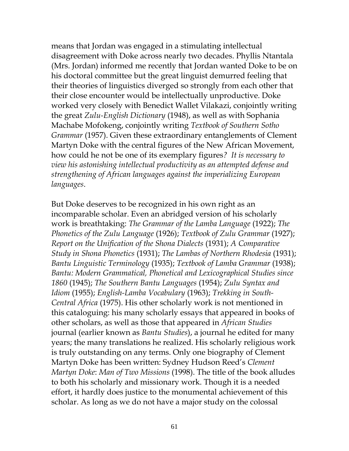means that Jordan was engaged in a stimulating intellectual disagreement with Doke across nearly two decades. Phyllis Ntantala (Mrs. Jordan) informed me recently that Jordan wanted Doke to be on his doctoral committee but the great linguist demurred feeling that their theories of linguistics diverged so strongly from each other that their close encounter would be intellectually unproductive. Doke worked very closely with Benedict Wallet Vilakazi, conjointly writing the great *Zulu-English Dictionary* (1948), as well as with Sophania Machabe Mofokeng, conjointly writing *Textbook of Southern Sotho Grammar* (1957). Given these extraordinary entanglements of Clement Martyn Doke with the central figures of the New African Movement, how could he not be one of its exemplary figures*? It is necessary to view his astonishing intellectual productivity as an attempted defense and strengthening of African languages against the imperializing European languages*.

But Doke deserves to be recognized in his own right as an incomparable scholar. Even an abridged version of his scholarly work is breathtaking: *The Grammar of the Lamba Language* (1922); *The Phonetics of the Zulu Language* (1926); *Textbook of Zulu Grammar* (1927); *Report on the Unification of the Shona Dialects* (1931); *A Comparative Study in Shona Phonetics* (1931); *The Lambas of Northern Rhodesia* (1931); *Bantu Linguistic Terminology* (1935); *Textbook of Lamba Grammar* (1938); *Bantu: Modern Grammatical, Phonetical and Lexicographical Studies since 1860* (1945); *The Southern Bantu Languages* (1954); *Zulu Syntax and Idiom* (1955); *English-Lamba Vocabulary* (1963); *Trekking in South-Central Africa* (1975). His other scholarly work is not mentioned in this cataloguing: his many scholarly essays that appeared in books of other scholars, as well as those that appeared in *African Studies* journal (earlier known as *Bantu Studies*), a journal he edited for many years; the many translations he realized. His scholarly religious work is truly outstanding on any terms. Only one biography of Clement Martyn Doke has been written: Sydney Hudson Reed's *Clement Martyn Doke*: *Man of Two Missions* (1998). The title of the book alludes to both his scholarly and missionary work. Though it is a needed effort, it hardly does justice to the monumental achievement of this scholar. As long as we do not have a major study on the colossal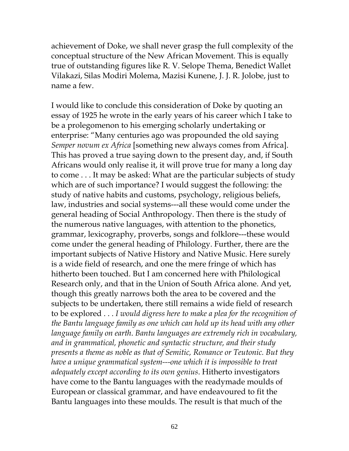achievement of Doke, we shall never grasp the full complexity of the conceptual structure of the New African Movement. This is equally true of outstanding figures like R. V. Selope Thema, Benedict Wallet Vilakazi, Silas Modiri Molema, Mazisi Kunene, J. J. R. Jolobe, just to name a few.

I would like to conclude this consideration of Doke by quoting an essay of 1925 he wrote in the early years of his career which I take to be a prolegomenon to his emerging scholarly undertaking or enterprise: "Many centuries ago was propounded the old saying *Semper novum ex Africa* [something new always comes from Africa]. This has proved a true saying down to the present day, and, if South Africans would only realise it, it will prove true for many a long day to come . . . It may be asked: What are the particular subjects of study which are of such importance? I would suggest the following: the study of native habits and customs, psychology, religious beliefs, law, industries and social systems---all these would come under the general heading of Social Anthropology. Then there is the study of the numerous native languages, with attention to the phonetics, grammar, lexicography, proverbs, songs and folklore---these would come under the general heading of Philology. Further, there are the important subjects of Native History and Native Music. Here surely is a wide field of research, and one the mere fringe of which has hitherto been touched. But I am concerned here with Philological Research only, and that in the Union of South Africa alone. And yet, though this greatly narrows both the area to be covered and the subjects to be undertaken, there still remains a wide field of research to be explored . . . *I would digress here to make a plea for the recognition of the Bantu language family as one which can hold up its head with any other language family on earth*. *Bantu languages are extremely rich in vocabulary, and in grammatical, phonetic and syntactic structure, and their study presents a theme as noble as that of Semitic, Romance or Teutonic. But they have a unique grammatical system---one which it is impossible to treat adequately except according to its own genius*. Hitherto investigators have come to the Bantu languages with the readymade moulds of European or classical grammar, and have endeavoured to fit the Bantu languages into these moulds. The result is that much of the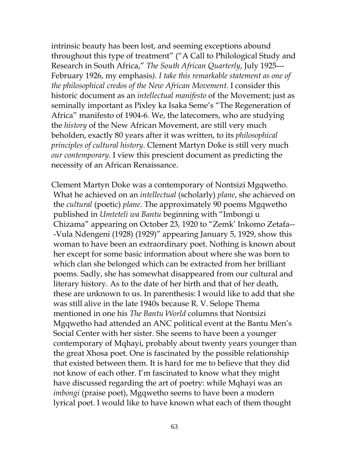intrinsic beauty has been lost, and seeming exceptions abound throughout this type of treatment" ("A Call to Philological Study and Research in South Africa," *The South African Quarterly*, July 1925--- February 1926, my emphasis*). I take this remarkable statement as one of the philosophical credos of the New African Movement*. I consider this historic document as an *intellectual manifesto* of the Movement; just as seminally important as Pixley ka Isaka Seme's "The Regeneration of Africa" manifesto of 1904-6. We, the latecomers, who are studying the *history* of the New African Movement, are still very much beholden, exactly 80 years after it was written, to its *philosophical principles of cultural history*. Clement Martyn Doke is still very much *our contemporary*. I view this prescient document as predicting the necessity of an African Renaissance.

Clement Martyn Doke was a contemporary of Nontsizi Mgqwetho. What he achieved on an *intellectual* (scholarly) *plane*, she achieved on the *cultural* (poetic) *plane*. The approximately 90 poems Mgqwetho published in *Umteteli wa Bantu* beginning with "Imbongi u Chizama" appearing on October 23, 1920 to "Zemk' Inkomo Zetafa-- -Vula Ndengeni (1928) (1929)" appearing January 5, 1929, show this woman to have been an extraordinary poet. Nothing is known about her except for some basic information about where she was born to which clan she belonged which can be extracted from her brilliant poems. Sadly, she has somewhat disappeared from our cultural and literary history. As to the date of her birth and that of her death, these are unknown to us. In parenthesis: I would like to add that she was still alive in the late 1940s because R. V. Selope Thema mentioned in one his *The Bantu World* columns that Nontsizi Mgqwetho had attended an ANC political event at the Bantu Men's Social Center with her sister. She seems to have been a younger contemporary of Mqhayi, probably about twenty years younger than the great Xhosa poet. One is fascinated by the possible relationship that existed between them. It is hard for me to believe that they did not know of each other. I'm fascinated to know what they might have discussed regarding the art of poetry: while Mqhayi was an *imbongi* (praise poet), Mgqwetho seems to have been a modern lyrical poet. I would like to have known what each of them thought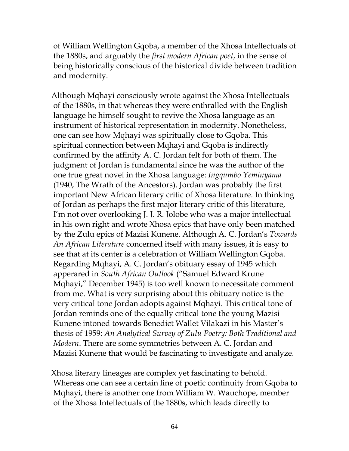of William Wellington Gqoba, a member of the Xhosa Intellectuals of the 1880s, and arguably the *first modern African poet*, in the sense of being historically conscious of the historical divide between tradition and modernity.

Although Mqhayi consciously wrote against the Xhosa Intellectuals of the 1880s, in that whereas they were enthralled with the English language he himself sought to revive the Xhosa language as an instrument of historical representation in modernity. Nonetheless, one can see how Mqhayi was spiritually close to Gqoba. This spiritual connection between Mqhayi and Gqoba is indirectly confirmed by the affinity A. C. Jordan felt for both of them. The judgment of Jordan is fundamental since he was the author of the one true great novel in the Xhosa language: *Ingqumbo Yeminyama* (1940, The Wrath of the Ancestors). Jordan was probably the first important New African literary critic of Xhosa literature. In thinking of Jordan as perhaps the first major literary critic of this literature, I'm not over overlooking J. J. R. Jolobe who was a major intellectual in his own right and wrote Xhosa epics that have only been matched by the Zulu epics of Mazisi Kunene. Although A. C. Jordan's *Towards An African Literature* concerned itself with many issues, it is easy to see that at its center is a celebration of William Wellington Gqoba. Regarding Mqhayi, A. C. Jordan's obituary essay of 1945 which apperared in *South African Outlook* ("Samuel Edward Krune Mqhayi," December 1945) is too well known to necessitate comment from me. What is very surprising about this obituary notice is the very critical tone Jordan adopts against Mqhayi. This critical tone of Jordan reminds one of the equally critical tone the young Mazisi Kunene intoned towards Benedict Wallet Vilakazi in his Master's thesis of 1959: *An Analytical Survey of Zulu Poetry: Both Traditional and Modern*. There are some symmetries between A. C. Jordan and Mazisi Kunene that would be fascinating to investigate and analyze.

Xhosa literary lineages are complex yet fascinating to behold. Whereas one can see a certain line of poetic continuity from Gqoba to Mqhayi, there is another one from William W. Wauchope, member of the Xhosa Intellectuals of the 1880s, which leads directly to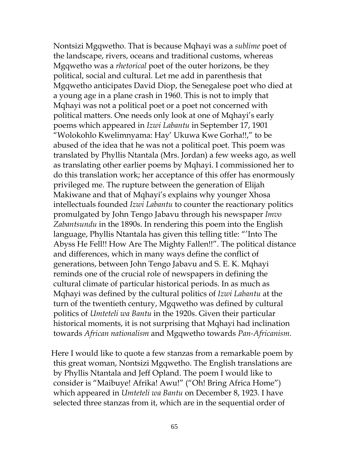Nontsizi Mgqwetho. That is because Mqhayi was a *sublime* poet of the landscape, rivers, oceans and traditional customs, whereas Mgqwetho was a *rhetorical* poet of the outer horizons, be they political, social and cultural. Let me add in parenthesis that Mgqwetho anticipates David Diop, the Senegalese poet who died at a young age in a plane crash in 1960. This is not to imply that Mqhayi was not a political poet or a poet not concerned with political matters. One needs only look at one of Mqhayi's early poems which appeared in *Izwi Labantu* in September 17, 1901 "Wolokohlo Kwelimnyama: Hay' Ukuwa Kwe Gorha!!," to be abused of the idea that he was not a political poet. This poem was translated by Phyllis Ntantala (Mrs. Jordan) a few weeks ago, as well as translating other earlier poems by Mqhayi. I commissioned her to do this translation work; her acceptance of this offer has enormously privileged me. The rupture between the generation of Elijah Makiwane and that of Mqhayi's explains why younger Xhosa intellectuals founded *Izwi Labantu* to counter the reactionary politics promulgated by John Tengo Jabavu through his newspaper *Imvo Zabantsundu* in the 1890s. In rendering this poem into the English language, Phyllis Ntantala has given this telling title: "'Into The Abyss He Fell!! How Are The Mighty Fallen!!". The political distance and differences, which in many ways define the conflict of generations, between John Tengo Jabavu and S. E. K. Mqhayi reminds one of the crucial role of newspapers in defining the cultural climate of particular historical periods. In as much as Mqhayi was defined by the cultural politics of *Izwi Labantu* at the turn of the twentieth century, Mgqwetho was defined by cultural politics of *Umteteli wa Bantu* in the 1920s. Given their particular historical moments, it is not surprising that Mqhayi had inclination towards *African nationalism* and Mgqwetho towards *Pan-Africanism*.

Here I would like to quote a few stanzas from a remarkable poem by this great woman, Nontsizi Mgqwetho. The English translations are by Phyllis Ntantala and Jeff Opland. The poem I would like to consider is "Maibuye! Afrika! Awu!" ("Oh! Bring Africa Home") which appeared in *Umteteli wa Bantu* on December 8, 1923. I have selected three stanzas from it, which are in the sequential order of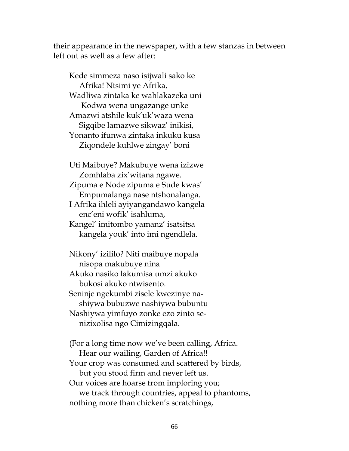their appearance in the newspaper, with a few stanzas in between left out as well as a few after:

 Kede simmeza naso isijwali sako ke Afrika! Ntsimi ye Afrika, Wadliwa zintaka ke wahlakazeka uni Kodwa wena ungazange unke Amazwi atshile kuk'uk'waza wena Sigqibe lamazwe sikwaz' inikisi, Yonanto ifunwa zintaka inkuku kusa Ziqondele kuhlwe zingay' boni

 Uti Maibuye? Makubuye wena izizwe Zomhlaba zix'witana ngawe. Zipuma e Node zipuma e Sude kwas' Empumalanga nase ntshonalanga. I Afrika ihleli ayiyangandawo kangela enc'eni wofik' isahluma, Kangel' imitombo yamanz' isatsitsa kangela youk' into imi ngendlela.

 Nikony' izililo? Niti maibuye nopala nisopa makubuye nina Akuko nasiko lakumisa umzi akuko bukosi akuko ntwisento. Seninje ngekumbi zisele kwezinye na shiywa bubuzwe nashiywa bubuntu Nashiywa yimfuyo zonke ezo zinto se nizixolisa ngo Cimizingqala.

 (For a long time now we've been calling, Africa. Hear our wailing, Garden of Africa!! Your crop was consumed and scattered by birds, but you stood firm and never left us. Our voices are hoarse from imploring you; we track through countries, appeal to phantoms, nothing more than chicken's scratchings,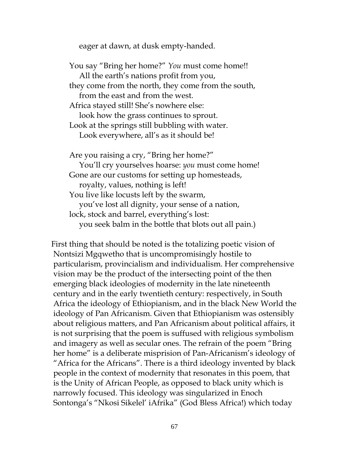eager at dawn, at dusk empty-handed.

 You say "Bring her home?" *You* must come home!! All the earth's nations profit from you, they come from the north, they come from the south, from the east and from the west. Africa stayed still! She's nowhere else: look how the grass continues to sprout. Look at the springs still bubbling with water. Look everywhere, all's as it should be! Are you raising a cry, "Bring her home?" You'll cry yourselves hoarse: *you* must come home!

Gone are our customs for setting up homesteads,

royalty, values, nothing is left!

You live like locusts left by the swarm,

you've lost all dignity, your sense of a nation,

lock, stock and barrel, everything's lost:

you seek balm in the bottle that blots out all pain.)

First thing that should be noted is the totalizing poetic vision of Nontsizi Mgqwetho that is uncompromisingly hostile to particularism, provincialism and individualism. Her comprehensive vision may be the product of the intersecting point of the then emerging black ideologies of modernity in the late nineteenth century and in the early twentieth century: respectively, in South Africa the ideology of Ethiopianism, and in the black New World the ideology of Pan Africanism. Given that Ethiopianism was ostensibly about religious matters, and Pan Africanism about political affairs, it is not surprising that the poem is suffused with religious symbolism and imagery as well as secular ones. The refrain of the poem "Bring her home" is a deliberate misprision of Pan-Africanism's ideology of "Africa for the Africans". There is a third ideology invented by black people in the context of modernity that resonates in this poem, that is the Unity of African People, as opposed to black unity which is narrowly focused. This ideology was singularized in Enoch Sontonga's "Nkosi Sikelel' iAfrika" (God Bless Africa!) which today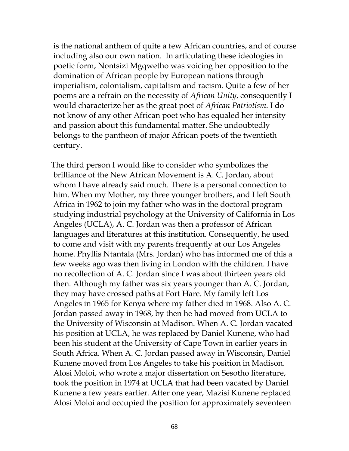is the national anthem of quite a few African countries, and of course including also our own nation. In articulating these ideologies in poetic form, Nontsizi Mgqwetho was voicing her opposition to the domination of African people by European nations through imperialism, colonialism, capitalism and racism. Quite a few of her poems are a refrain on the necessity of *African Unity*, consequently I would characterize her as the great poet of *African Patriotism*. I do not know of any other African poet who has equaled her intensity and passion about this fundamental matter. She undoubtedly belongs to the pantheon of major African poets of the twentieth century.

The third person I would like to consider who symbolizes the brilliance of the New African Movement is A. C. Jordan, about whom I have already said much. There is a personal connection to him. When my Mother, my three younger brothers, and I left South Africa in 1962 to join my father who was in the doctoral program studying industrial psychology at the University of California in Los Angeles (UCLA), A. C. Jordan was then a professor of African languages and literatures at this institution. Consequently, he used to come and visit with my parents frequently at our Los Angeles home. Phyllis Ntantala (Mrs. Jordan) who has informed me of this a few weeks ago was then living in London with the children. I have no recollection of A. C. Jordan since I was about thirteen years old then. Although my father was six years younger than A. C. Jordan, they may have crossed paths at Fort Hare. My family left Los Angeles in 1965 for Kenya where my father died in 1968. Also A. C. Jordan passed away in 1968, by then he had moved from UCLA to the University of Wisconsin at Madison. When A. C. Jordan vacated his position at UCLA, he was replaced by Daniel Kunene, who had been his student at the University of Cape Town in earlier years in South Africa. When A. C. Jordan passed away in Wisconsin, Daniel Kunene moved from Los Angeles to take his position in Madison. Alosi Moloi, who wrote a major dissertation on Sesotho literature, took the position in 1974 at UCLA that had been vacated by Daniel Kunene a few years earlier. After one year, Mazisi Kunene replaced Alosi Moloi and occupied the position for approximately seventeen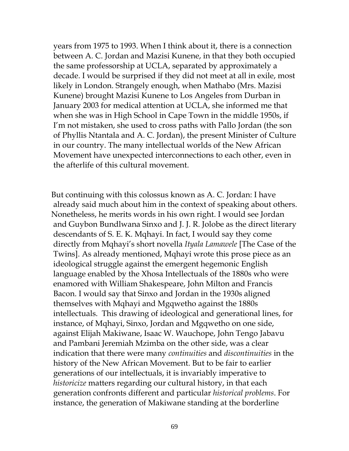years from 1975 to 1993. When I think about it, there is a connection between A. C. Jordan and Mazisi Kunene, in that they both occupied the same professorship at UCLA, separated by approximately a decade. I would be surprised if they did not meet at all in exile, most likely in London. Strangely enough, when Mathabo (Mrs. Mazisi Kunene) brought Mazisi Kunene to Los Angeles from Durban in January 2003 for medical attention at UCLA, she informed me that when she was in High School in Cape Town in the middle 1950s, if I'm not mistaken, she used to cross paths with Pallo Jordan (the son of Phyllis Ntantala and A. C. Jordan), the present Minister of Culture in our country. The many intellectual worlds of the New African Movement have unexpected interconnections to each other, even in the afterlife of this cultural movement.

But continuing with this colossus known as A. C. Jordan: I have already said much about him in the context of speaking about others. Nonetheless, he merits words in his own right. I would see Jordan and Guybon Bundlwana Sinxo and J. J. R. Jolobe as the direct literary descendants of S. E. K. Mqhayi. In fact, I would say they come directly from Mqhayi's short novella *Ityala Lamawele* [The Case of the Twins]. As already mentioned, Mqhayi wrote this prose piece as an ideological struggle against the emergent hegemonic English language enabled by the Xhosa Intellectuals of the 1880s who were enamored with William Shakespeare, John Milton and Francis Bacon. I would say that Sinxo and Jordan in the 1930s aligned themselves with Mqhayi and Mgqwetho against the 1880s intellectuals. This drawing of ideological and generational lines, for instance, of Mqhayi, Sinxo, Jordan and Mgqwetho on one side, against Elijah Makiwane, Isaac W. Wauchope, John Tengo Jabavu and Pambani Jeremiah Mzimba on the other side, was a clear indication that there were many *continuities* and *discontinuities* in the history of the New African Movement. But to be fair to earlier generations of our intellectuals, it is invariably imperative to *historicize* matters regarding our cultural history, in that each generation confronts different and particular *historical problems*. For instance, the generation of Makiwane standing at the borderline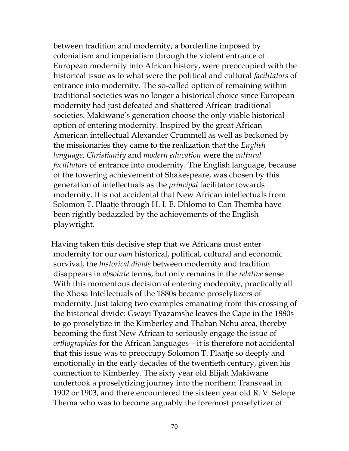between tradition and modernity, a borderline imposed by colonialism and imperialism through the violent entrance of European modernity into African history, were preoccupied with the historical issue as to what were the political and cultural *facilitators* of entrance into modernity. The so-called option of remaining within traditional societies was no longer a historical choice since European modernity had just defeated and shattered African traditional societies. Makiwane's generation choose the only viable historical option of entering modernity. Inspired by the great African American intellectual Alexander Crummell as well as beckoned by the missionaries they came to the realization that the *English language*, *Christianity* and *modern education* were the *cultural facilitators* of entrance into modernity. The English language, because of the towering achievement of Shakespeare, was chosen by this generation of intellectuals as the *principal* facilitator towards modernity. It is not accidental that New African intellectuals from Solomon T. Plaatje through H. I. E. Dhlomo to Can Themba have been rightly bedazzled by the achievements of the English playwright.

Having taken this decisive step that we Africans must enter modernity for our *own* historical, political, cultural and economic survival, the *historical divide* between modernity and tradition disappears in *absolute* terms, but only remains in the *relative* sense. With this momentous decision of entering modernity, practically all the Xhosa Intellectuals of the 1880s became proselytizers of modernity. Just taking two examples emanating from this crossing of the historical divide: Gwayi Tyazamshe leaves the Cape in the 1880s to go proselytize in the Kimberley and Thaban Nchu area, thereby becoming the first New African to seriously engage the issue of *orthographies* for the African languages---it is therefore not accidental that this issue was to preoccupy Solomon T. Plaatje so deeply and emotionally in the early decades of the twentieth century, given his connection to Kimberley. The sixty year old Elijah Makiwane undertook a proselytizing journey into the northern Transvaal in 1902 or 1903, and there encountered the sixteen year old R. V. Selope Thema who was to become arguably the foremost proselytizer of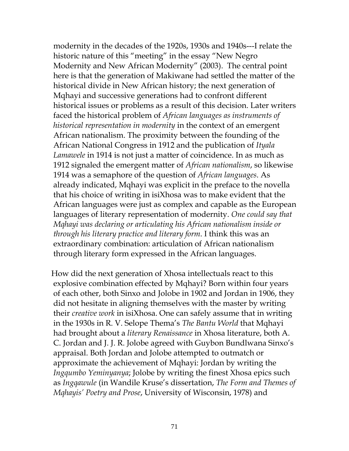modernity in the decades of the 1920s, 1930s and 1940s---I relate the historic nature of this "meeting" in the essay "New Negro Modernity and New African Modernity" (2003). The central point here is that the generation of Makiwane had settled the matter of the historical divide in New African history; the next generation of Mqhayi and successive generations had to confront different historical issues or problems as a result of this decision. Later writers faced the historical problem of *African languages as instruments of historical representation in modernity* in the context of an emergent African nationalism. The proximity between the founding of the African National Congress in 1912 and the publication of *Ityala Lamawele* in 1914 is not just a matter of coincidence. In as much as 1912 signaled the emergent matter of *African nationalism*, so likewise 1914 was a semaphore of the question of *African languages*. As already indicated, Mqhayi was explicit in the preface to the novella that his choice of writing in isiXhosa was to make evident that the African languages were just as complex and capable as the European languages of literary representation of modernity. *One could say that Mqhayi was declaring or articulating his African nationalism inside or through his literary practice and literary form*. I think this was an extraordinary combination: articulation of African nationalism through literary form expressed in the African languages.

How did the next generation of Xhosa intellectuals react to this explosive combination effected by Mqhayi? Born within four years of each other, both Sinxo and Jolobe in 1902 and Jordan in 1906, they did not hesitate in aligning themselves with the master by writing their *creative work* in isiXhosa. One can safely assume that in writing in the 1930s in R. V. Selope Thema's *The Bantu World* that Mqhayi had brought about a *literary Renaissance* in Xhosa literature, both A. C. Jordan and J. J. R. Jolobe agreed with Guybon Bundlwana Sinxo's appraisal. Both Jordan and Jolobe attempted to outmatch or approximate the achievement of Mqhayi: Jordan by writing the *Ingqumbo Yeminyanya*; Jolobe by writing the finest Xhosa epics such as *Ingqawule* (in Wandile Kruse's dissertation, *The Form and Themes of Mqhayis' Poetry and Prose*, University of Wisconsin, 1978) and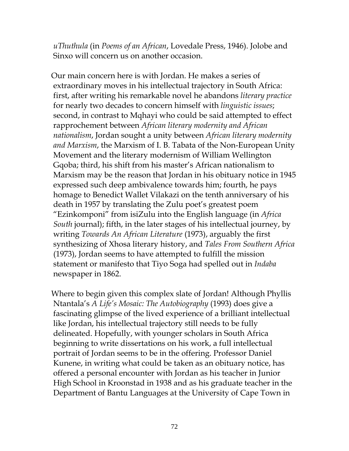*uThuthula* (in *Poems of an African*, Lovedale Press, 1946). Jolobe and Sinxo will concern us on another occasion.

Our main concern here is with Jordan. He makes a series of extraordinary moves in his intellectual trajectory in South Africa: first, after writing his remarkable novel he abandons *literary practice* for nearly two decades to concern himself with *linguistic issues*; second, in contrast to Mqhayi who could be said attempted to effect rapprochement between *African literary modernity and African nationalism*, Jordan sought a unity between *African literary modernity and Marxism*, the Marxism of I. B. Tabata of the Non-European Unity Movement and the literary modernism of William Wellington Gqoba; third, his shift from his master's African nationalism to Marxism may be the reason that Jordan in his obituary notice in 1945 expressed such deep ambivalence towards him; fourth, he pays homage to Benedict Wallet Vilakazi on the tenth anniversary of his death in 1957 by translating the Zulu poet's greatest poem "Ezinkomponi" from isiZulu into the English language (in *Africa South* journal); fifth, in the later stages of his intellectual journey, by writing *Towards An African Literature* (1973), arguably the first synthesizing of Xhosa literary history, and *Tales From Southern Africa* (1973), Jordan seems to have attempted to fulfill the mission statement or manifesto that Tiyo Soga had spelled out in *Indaba* newspaper in 1862.

Where to begin given this complex slate of Jordan! Although Phyllis Ntantala's *A Life's Mosaic: The Autobiography* (1993) does give a fascinating glimpse of the lived experience of a brilliant intellectual like Jordan, his intellectual trajectory still needs to be fully delineated. Hopefully, with younger scholars in South Africa beginning to write dissertations on his work, a full intellectual portrait of Jordan seems to be in the offering. Professor Daniel Kunene, in writing what could be taken as an obituary notice, has offered a personal encounter with Jordan as his teacher in Junior High School in Kroonstad in 1938 and as his graduate teacher in the Department of Bantu Languages at the University of Cape Town in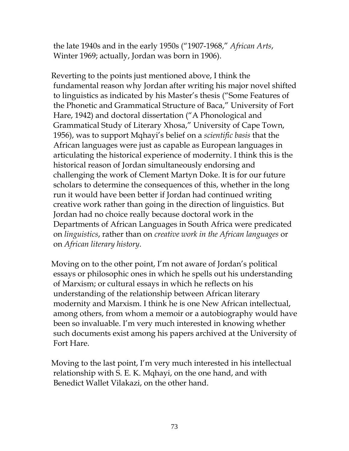the late 1940s and in the early 1950s ("1907-1968," *African Arts*, Winter 1969; actually, Jordan was born in 1906).

Reverting to the points just mentioned above, I think the fundamental reason why Jordan after writing his major novel shifted to linguistics as indicated by his Master's thesis ("Some Features of the Phonetic and Grammatical Structure of Baca," University of Fort Hare, 1942) and doctoral dissertation ("A Phonological and Grammatical Study of Literary Xhosa," University of Cape Town, 1956), was to support Mqhayi's belief on a *scientific basis* that the African languages were just as capable as European languages in articulating the historical experience of modernity. I think this is the historical reason of Jordan simultaneously endorsing and challenging the work of Clement Martyn Doke. It is for our future scholars to determine the consequences of this, whether in the long run it would have been better if Jordan had continued writing creative work rather than going in the direction of linguistics. But Jordan had no choice really because doctoral work in the Departments of African Languages in South Africa were predicated on *linguistics*, rather than on *creative work in the African languages* or on *African literary history*.

Moving on to the other point, I'm not aware of Jordan's political essays or philosophic ones in which he spells out his understanding of Marxism; or cultural essays in which he reflects on his understanding of the relationship between African literary modernity and Marxism. I think he is one New African intellectual, among others, from whom a memoir or a autobiography would have been so invaluable. I'm very much interested in knowing whether such documents exist among his papers archived at the University of Fort Hare.

Moving to the last point, I'm very much interested in his intellectual relationship with S. E. K. Mqhayi, on the one hand, and with Benedict Wallet Vilakazi, on the other hand.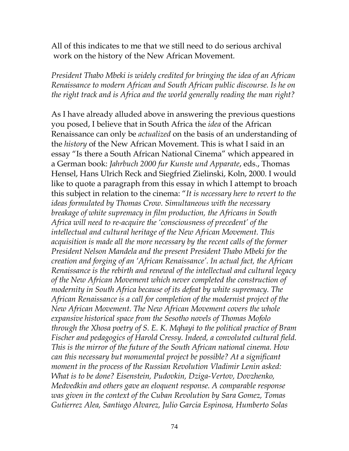All of this indicates to me that we still need to do serious archival work on the history of the New African Movement.

*President Thabo Mbeki is widely credited for bringing the idea of an African Renaissance to modern African and South African public discourse. Is he on the right track and is Africa and the world generally reading the man right?* 

As I have already alluded above in answering the previous questions you posed, I believe that in South Africa the *idea* of the African Renaissance can only be *actualized* on the basis of an understanding of the *history* of the New African Movement. This is what I said in an essay "Is there a South African National Cinema" which appeared in a German book: *Jahrbuch 2000 fur Kunste und Apparate*, eds., Thomas Hensel, Hans Ulrich Reck and Siegfried Zielinski, Koln, 2000. I would like to quote a paragraph from this essay in which I attempt to broach this subject in relation to the cinema: "*It is necessary here to revert to the ideas formulated by Thomas Crow. Simultaneous with the necessary breakage of white supremacy in film production, the Africans in South Africa will need to re-acquire the 'consciousness of precedent' of the intellectual and cultural heritage of the New African Movement. This acquisition is made all the more necessary by the recent calls of the former President Nelson Mandela and the present President Thabo Mbeki for the creation and forging of an 'African Renaissance'. In actual fact, the African Renaissance is the rebirth and renewal of the intellectual and cultural legacy of the New African Movement which never completed the construction of modernity in South Africa because of its defeat by white supremacy. The African Renaissance is a call for completion of the modernist project of the New African Movement. The New African Movement covers the whole expansive historical space from the Sesotho novels of Thomas Mofolo through the Xhosa poetry of S. E. K. Mqhayi to the political practice of Bram Fischer and pedagogics of Harold Cressy. Indeed, a convoluted cultural field. This is the mirror of the future of the South African national cinema. How can this necessary but monumental project be possible? At a significant moment in the process of the Russian Revolution Vladimir Lenin asked: What is to be done? Eisenstein, Pudovkin, Dziga-Vertov, Dovzhenko, Medvedkin and others gave an eloquent response. A comparable response was given in the context of the Cuban Revolution by Sara Gomez, Tomas Gutierrez Alea, Santiago Alvarez, Julio Garcia Espinosa, Humberto Solas*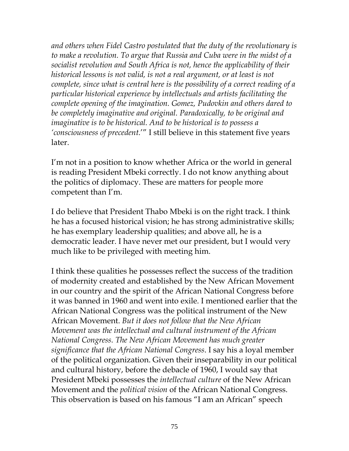*and others when Fidel Castro postulated that the duty of the revolutionary is to make a revolution. To argue that Russia and Cuba were in the midst of a socialist revolution and South Africa is not, hence the applicability of their historical lessons is not valid, is not a real argument, or at least is not complete, since what is central here is the possibility of a correct reading of a particular historical experience by intellectuals and artists facilitating the complete opening of the imagination. Gomez, Pudovkin and others dared to be completely imaginative and original. Paradoxically, to be original and imaginative is to be historical. And to be historical is to possess a 'consciousness of precedent.*'" I still believe in this statement five years later.

I'm not in a position to know whether Africa or the world in general is reading President Mbeki correctly. I do not know anything about the politics of diplomacy. These are matters for people more competent than I'm.

I do believe that President Thabo Mbeki is on the right track. I think he has a focused historical vision; he has strong administrative skills; he has exemplary leadership qualities; and above all, he is a democratic leader. I have never met our president, but I would very much like to be privileged with meeting him.

I think these qualities he possesses reflect the success of the tradition of modernity created and established by the New African Movement in our country and the spirit of the African National Congress before it was banned in 1960 and went into exile. I mentioned earlier that the African National Congress was the political instrument of the New African Movement. *But it does not follow that the New African Movement was the intellectual and cultural instrument of the African National Congress. The New African Movement has much greater significance that the African National Congress*. I say his a loyal member of the political organization. Given their inseparability in our political and cultural history, before the debacle of 1960, I would say that President Mbeki possesses the *intellectual culture* of the New African Movement and the *political vision* of the African National Congress. This observation is based on his famous "I am an African" speech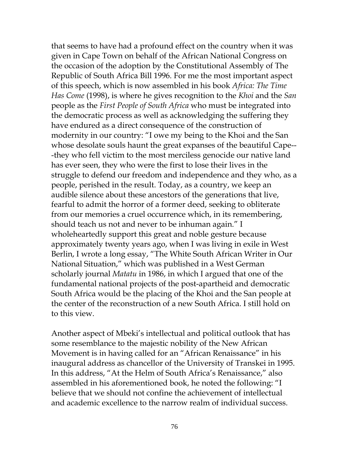that seems to have had a profound effect on the country when it was given in Cape Town on behalf of the African National Congress on the occasion of the adoption by the Constitutional Assembly of The Republic of South Africa Bill 1996. For me the most important aspect of this speech, which is now assembled in his book *Africa: The Time Has Come* (1998), is where he gives recognition to the *Khoi* and the *San*  people as the *First People of South Africa* who must be integrated into the democratic process as well as acknowledging the suffering they have endured as a direct consequence of the construction of modernity in our country: "I owe my being to the Khoi and the San whose desolate souls haunt the great expanses of the beautiful Cape-- -they who fell victim to the most merciless genocide our native land has ever seen, they who were the first to lose their lives in the struggle to defend our freedom and independence and they who, as a people, perished in the result. Today, as a country, we keep an audible silence about these ancestors of the generations that live, fearful to admit the horror of a former deed, seeking to obliterate from our memories a cruel occurrence which, in its remembering, should teach us not and never to be inhuman again." I wholeheartedly support this great and noble gesture because approximately twenty years ago, when I was living in exile in West Berlin, I wrote a long essay, "The White South African Writer in Our National Situation," which was published in a West German scholarly journal *Matatu* in 1986, in which I argued that one of the fundamental national projects of the post-apartheid and democratic South Africa would be the placing of the Khoi and the San people at the center of the reconstruction of a new South Africa. I still hold on to this view.

Another aspect of Mbeki's intellectual and political outlook that has some resemblance to the majestic nobility of the New African Movement is in having called for an "African Renaissance" in his inaugural address as chancellor of the University of Transkei in 1995. In this address, "At the Helm of South Africa's Renaissance," also assembled in his aforementioned book, he noted the following: "I believe that we should not confine the achievement of intellectual and academic excellence to the narrow realm of individual success.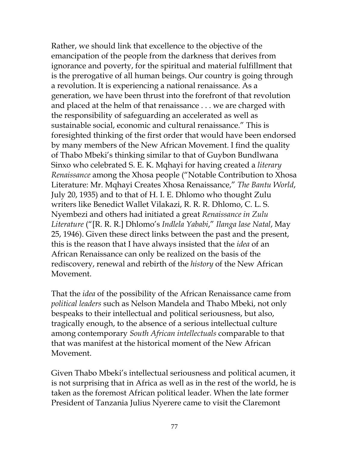Rather, we should link that excellence to the objective of the emancipation of the people from the darkness that derives from ignorance and poverty, for the spiritual and material fulfillment that is the prerogative of all human beings. Our country is going through a revolution. It is experiencing a national renaissance. As a generation, we have been thrust into the forefront of that revolution and placed at the helm of that renaissance . . . we are charged with the responsibility of safeguarding an accelerated as well as sustainable social, economic and cultural renaissance." This is foresighted thinking of the first order that would have been endorsed by many members of the New African Movement. I find the quality of Thabo Mbeki's thinking similar to that of Guybon Bundlwana Sinxo who celebrated S. E. K. Mqhayi for having created a *literary Renaissance* among the Xhosa people ("Notable Contribution to Xhosa Literature: Mr. Mqhayi Creates Xhosa Renaissance," *The Bantu World*, July 20, 1935) and to that of H. I. E. Dhlomo who thought Zulu writers like Benedict Wallet Vilakazi, R. R. R. Dhlomo, C. L. S. Nyembezi and others had initiated a great *Renaissance in Zulu Literature* ("[R. R. R.] Dhlomo's *Indlela Yababi*," *Ilanga lase Natal*, May 25, 1946). Given these direct links between the past and the present, this is the reason that I have always insisted that the *idea* of an African Renaissance can only be realized on the basis of the rediscovery, renewal and rebirth of the *history* of the New African Movement.

That the *idea* of the possibility of the African Renaissance came from *political leaders* such as Nelson Mandela and Thabo Mbeki, not only bespeaks to their intellectual and political seriousness, but also, tragically enough, to the absence of a serious intellectual culture among contemporary *South African intellectuals* comparable to that that was manifest at the historical moment of the New African Movement.

Given Thabo Mbeki's intellectual seriousness and political acumen, it is not surprising that in Africa as well as in the rest of the world, he is taken as the foremost African political leader. When the late former President of Tanzania Julius Nyerere came to visit the Claremont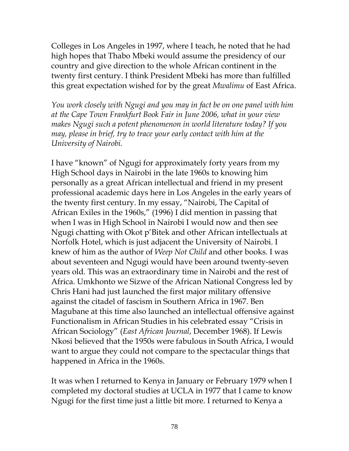Colleges in Los Angeles in 1997, where I teach, he noted that he had high hopes that Thabo Mbeki would assume the presidency of our country and give direction to the whole African continent in the twenty first century. I think President Mbeki has more than fulfilled this great expectation wished for by the great *Mwalimu* of East Africa.

*You work closely with Ngugi and you may in fact be on one panel with him at the Cape Town Frankfurt Book Fair in June 2006, what in your view makes Ngugi such a potent phenomenon in world literature today? If you may, please in brief, try to trace your early contact with him at the University of Nairobi.* 

I have "known" of Ngugi for approximately forty years from my High School days in Nairobi in the late 1960s to knowing him personally as a great African intellectual and friend in my present professional academic days here in Los Angeles in the early years of the twenty first century. In my essay, "Nairobi, The Capital of African Exiles in the 1960s," (1996) I did mention in passing that when I was in High School in Nairobi I would now and then see Ngugi chatting with Okot p'Bitek and other African intellectuals at Norfolk Hotel, which is just adjacent the University of Nairobi. I knew of him as the author of *Weep Not Child* and other books. I was about seventeen and Ngugi would have been around twenty-seven years old. This was an extraordinary time in Nairobi and the rest of Africa. Umkhonto we Sizwe of the African National Congress led by Chris Hani had just launched the first major military offensive against the citadel of fascism in Southern Africa in 1967. Ben Magubane at this time also launched an intellectual offensive against Functionalism in African Studies in his celebrated essay "Crisis in African Sociology" (*East African Journal*, December 1968). If Lewis Nkosi believed that the 1950s were fabulous in South Africa, I would want to argue they could not compare to the spectacular things that happened in Africa in the 1960s.

It was when I returned to Kenya in January or February 1979 when I completed my doctoral studies at UCLA in 1977 that I came to know Ngugi for the first time just a little bit more. I returned to Kenya a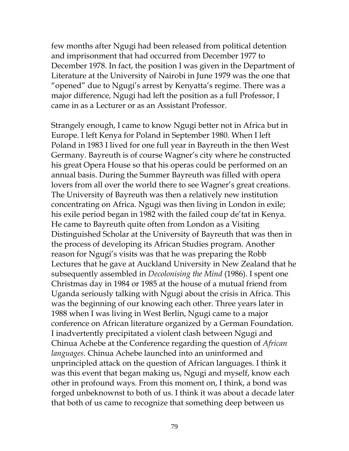few months after Ngugi had been released from political detention and imprisonment that had occurred from December 1977 to December 1978. In fact, the position I was given in the Department of Literature at the University of Nairobi in June 1979 was the one that "opened" due to Ngugi's arrest by Kenyatta's regime. There was a major difference, Ngugi had left the position as a full Professor, I came in as a Lecturer or as an Assistant Professor.

Strangely enough, I came to know Ngugi better not in Africa but in Europe. I left Kenya for Poland in September 1980. When I left Poland in 1983 I lived for one full year in Bayreuth in the then West Germany. Bayreuth is of course Wagner's city where he constructed his great Opera House so that his operas could be performed on an annual basis. During the Summer Bayreuth was filled with opera lovers from all over the world there to see Wagner's great creations. The University of Bayreuth was then a relatively new institution concentrating on Africa. Ngugi was then living in London in exile; his exile period began in 1982 with the failed coup de'tat in Kenya. He came to Bayreuth quite often from London as a Visiting Distinguished Scholar at the University of Bayreuth that was then in the process of developing its African Studies program. Another reason for Ngugi's visits was that he was preparing the Robb Lectures that he gave at Auckland University in New Zealand that he subsequently assembled in *Decolonising the Mind* (1986). I spent one Christmas day in 1984 or 1985 at the house of a mutual friend from Uganda seriously talking with Ngugi about the crisis in Africa. This was the beginning of our knowing each other. Three years later in 1988 when I was living in West Berlin, Ngugi came to a major conference on African literature organized by a German Foundation. I inadvertently precipitated a violent clash between Ngugi and Chinua Achebe at the Conference regarding the question of *African languages*. Chinua Achebe launched into an uninformed and unprincipled attack on the question of African languages. I think it was this event that began making us, Ngugi and myself, know each other in profound ways. From this moment on, I think, a bond was forged unbeknownst to both of us. I think it was about a decade later that both of us came to recognize that something deep between us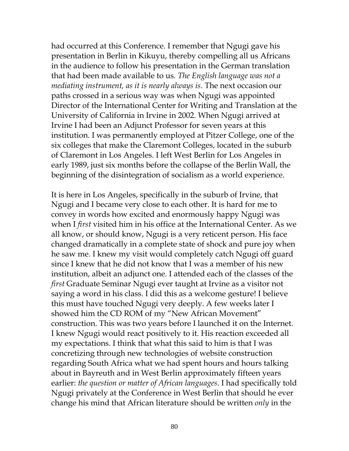had occurred at this Conference. I remember that Ngugi gave his presentation in Berlin in Kikuyu, thereby compelling all us Africans in the audience to follow his presentation in the German translation that had been made available to us*. The English language was not a mediating instrument, as it is nearly always is*. The next occasion our paths crossed in a serious way was when Ngugi was appointed Director of the International Center for Writing and Translation at the University of California in Irvine in 2002. When Ngugi arrived at Irvine I had been an Adjunct Professor for seven years at this institution. I was permanently employed at Pitzer College, one of the six colleges that make the Claremont Colleges, located in the suburb of Claremont in Los Angeles. I left West Berlin for Los Angeles in early 1989, just six months before the collapse of the Berlin Wall, the beginning of the disintegration of socialism as a world experience.

It is here in Los Angeles, specifically in the suburb of Irvine, that Ngugi and I became very close to each other. It is hard for me to convey in words how excited and enormously happy Ngugi was when I *first* visited him in his office at the International Center. As we all know, or should know, Ngugi is a very reticent person. His face changed dramatically in a complete state of shock and pure joy when he saw me. I knew my visit would completely catch Ngugi off guard since I knew that he did not know that I was a member of his new institution, albeit an adjunct one. I attended each of the classes of the *first* Graduate Seminar Ngugi ever taught at Irvine as a visitor not saying a word in his class. I did this as a welcome gesture! I believe this must have touched Ngugi very deeply. A few weeks later I showed him the CD ROM of my "New African Movement" construction. This was two years before I launched it on the Internet. I knew Ngugi would react positively to it. His reaction exceeded all my expectations. I think that what this said to him is that I was concretizing through new technologies of website construction regarding South Africa what we had spent hours and hours talking about in Bayreuth and in West Berlin approximately fifteen years earlier: *the question or matter of African languages*. I had specifically told Ngugi privately at the Conference in West Berlin that should he ever change his mind that African literature should be written *only* in the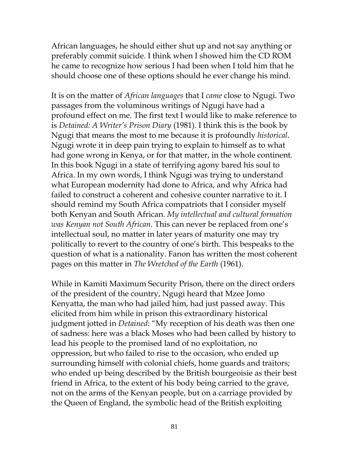African languages, he should either shut up and not say anything or preferably commit suicide. I think when I showed him the CD ROM he came to recognize how serious I had been when I told him that he should choose one of these options should he ever change his mind.

It is on the matter of *African languages* that I *came* close to Ngugi. Two passages from the voluminous writings of Ngugi have had a profound effect on me. The first text I would like to make reference to is *Detained: A Writer's Prison Diary* (1981). I think this is the book by Ngugi that means the most to me because it is profoundly *historical*. Ngugi wrote it in deep pain trying to explain to himself as to what had gone wrong in Kenya, or for that matter, in the whole continent. In this book Ngugi in a state of terrifying agony bared his soul to Africa. In my own words, I think Ngugi was trying to understand what European modernity had done to Africa, and why Africa had failed to construct a coherent and cohesive counter narrative to it. I should remind my South Africa compatriots that I consider myself both Kenyan and South African*. My intellectual and cultural formation was Kenyan not South African.* This can never be replaced from one's intellectual soul, no matter in later years of maturity one may try politically to revert to the country of one's birth. This bespeaks to the question of what is a nationality. Fanon has written the most coherent pages on this matter in *The Wretched of the Earth* (1961).

While in Kamiti Maximum Security Prison, there on the direct orders of the president of the country, Ngugi heard that Mzee Jomo Kenyatta, the man who had jailed him, had just passed away. This elicited from him while in prison this extraordinary historical judgment jotted in *Detained*: "My reception of his death was then one of sadness: here was a black Moses who had been called by history to lead his people to the promised land of no exploitation, no oppression, but who failed to rise to the occasion, who ended up surrounding himself with colonial chiefs, home guards and traitors; who ended up being described by the British bourgeoisie as their best friend in Africa, to the extent of his body being carried to the grave, not on the arms of the Kenyan people, but on a carriage provided by the Queen of England, the symbolic head of the British exploiting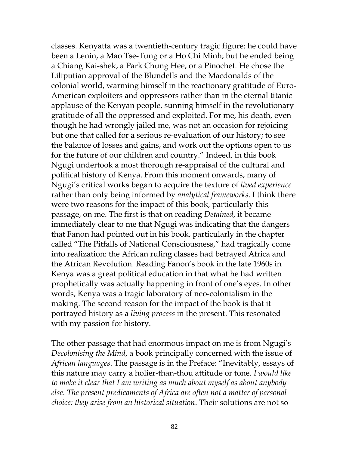classes. Kenyatta was a twentieth-century tragic figure: he could have been a Lenin, a Mao Tse-Tung or a Ho Chi Minh; but he ended being a Chiang Kai-shek, a Park Chung Hee, or a Pinochet. He chose the Liliputian approval of the Blundells and the Macdonalds of the colonial world, warming himself in the reactionary gratitude of Euro-American exploiters and oppressors rather than in the eternal titanic applause of the Kenyan people, sunning himself in the revolutionary gratitude of all the oppressed and exploited. For me, his death, even though he had wrongly jailed me, was not an occasion for rejoicing but one that called for a serious re-evaluation of our history; to see the balance of losses and gains, and work out the options open to us for the future of our children and country." Indeed, in this book Ngugi undertook a most thorough re-appraisal of the cultural and political history of Kenya. From this moment onwards, many of Ngugi's critical works began to acquire the texture of *lived experience* rather than only being informed by *analytical frameworks*. I think there were two reasons for the impact of this book, particularly this passage, on me. The first is that on reading *Detained*, it became immediately clear to me that Ngugi was indicating that the dangers that Fanon had pointed out in his book, particularly in the chapter called "The Pitfalls of National Consciousness," had tragically come into realization: the African ruling classes had betrayed Africa and the African Revolution. Reading Fanon's book in the late 1960s in Kenya was a great political education in that what he had written prophetically was actually happening in front of one's eyes. In other words, Kenya was a tragic laboratory of neo-colonialism in the making. The second reason for the impact of the book is that it portrayed history as a *living process* in the present. This resonated with my passion for history.

The other passage that had enormous impact on me is from Ngugi's *Decolonising the Mind*, a book principally concerned with the issue of *African languages*. The passage is in the Preface: "Inevitably, essays of this nature may carry a holier-than-thou attitude or tone. *I would like to make it clear that I am writing as much about myself as about anybody else*. *The present predicaments of Africa are often not a matter of personal choice: they arise from an historical situation*. Their solutions are not so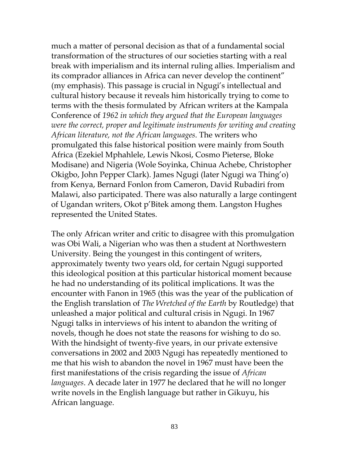much a matter of personal decision as that of a fundamental social transformation of the structures of our societies starting with a real break with imperialism and its internal ruling allies. Imperialism and its comprador alliances in Africa can never develop the continent" (my emphasis). This passage is crucial in Ngugi's intellectual and cultural history because it reveals him historically trying to come to terms with the thesis formulated by African writers at the Kampala Conference of *1962 in which they argued that the European languages were the correct, proper and legitimate instruments for writing and creating African literature, not the African languages*. The writers who promulgated this false historical position were mainly from South Africa (Ezekiel Mphahlele, Lewis Nkosi, Cosmo Pieterse, Bloke Modisane) and Nigeria (Wole Soyinka, Chinua Achebe, Christopher Okigbo, John Pepper Clark). James Ngugi (later Ngugi wa Thing'o) from Kenya, Bernard Fonlon from Cameron, David Rubadiri from Malawi, also participated. There was also naturally a large contingent of Ugandan writers, Okot p'Bitek among them. Langston Hughes represented the United States.

The only African writer and critic to disagree with this promulgation was Obi Wali, a Nigerian who was then a student at Northwestern University. Being the youngest in this contingent of writers, approximately twenty two years old, for certain Ngugi supported this ideological position at this particular historical moment because he had no understanding of its political implications. It was the encounter with Fanon in 1965 (this was the year of the publication of the English translation of *The Wretched of the Earth* by Routledge) that unleashed a major political and cultural crisis in Ngugi. In 1967 Ngugi talks in interviews of his intent to abandon the writing of novels, though he does not state the reasons for wishing to do so. With the hindsight of twenty-five years, in our private extensive conversations in 2002 and 2003 Ngugi has repeatedly mentioned to me that his wish to abandon the novel in 1967 must have been the first manifestations of the crisis regarding the issue of *African languages*. A decade later in 1977 he declared that he will no longer write novels in the English language but rather in Gikuyu, his African language.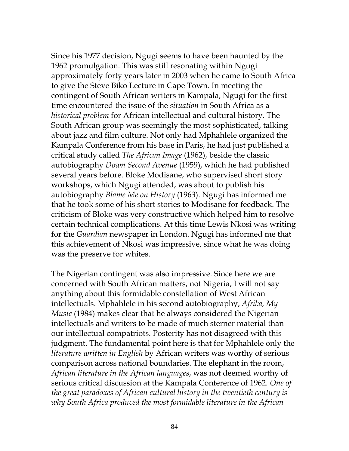Since his 1977 decision, Ngugi seems to have been haunted by the 1962 promulgation. This was still resonating within Ngugi approximately forty years later in 2003 when he came to South Africa to give the Steve Biko Lecture in Cape Town. In meeting the contingent of South African writers in Kampala, Ngugi for the first time encountered the issue of the *situation* in South Africa as a *historical problem* for African intellectual and cultural history. The South African group was seemingly the most sophisticated, talking about jazz and film culture. Not only had Mphahlele organized the Kampala Conference from his base in Paris, he had just published a critical study called *The African Image* (1962), beside the classic autobiography *Down Second Avenue* (1959), which he had published several years before. Bloke Modisane, who supervised short story workshops, which Ngugi attended, was about to publish his autobiography *Blame Me on History* (1963). Ngugi has informed me that he took some of his short stories to Modisane for feedback. The criticism of Bloke was very constructive which helped him to resolve certain technical complications. At this time Lewis Nkosi was writing for the *Guardian* newspaper in London. Ngugi has informed me that this achievement of Nkosi was impressive, since what he was doing was the preserve for whites.

The Nigerian contingent was also impressive. Since here we are concerned with South African matters, not Nigeria, I will not say anything about this formidable constellation of West African intellectuals. Mphahlele in his second autobiography, *Afrika, My Music* (1984) makes clear that he always considered the Nigerian intellectuals and writers to be made of much sterner material than our intellectual compatriots. Posterity has not disagreed with this judgment. The fundamental point here is that for Mphahlele only the *literature written in English* by African writers was worthy of serious comparison across national boundaries. The elephant in the room, *African literature in the African languages*, was not deemed worthy of serious critical discussion at the Kampala Conference of 1962. *One of the great paradoxes of African cultural history in the twentieth century is why South Africa produced the most formidable literature in the African*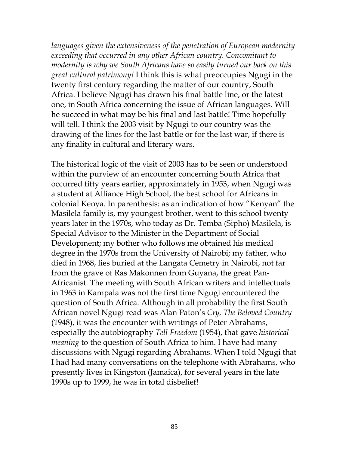*languages given the extensiveness of the penetration of European modernity exceeding that occurred in any other African country. Concomitant to modernity is why we South Africans have so easily turned our back on this great cultural patrimony!* I think this is what preoccupies Ngugi in the twenty first century regarding the matter of our country, South Africa. I believe Ngugi has drawn his final battle line, or the latest one, in South Africa concerning the issue of African languages. Will he succeed in what may be his final and last battle! Time hopefully will tell. I think the 2003 visit by Ngugi to our country was the drawing of the lines for the last battle or for the last war, if there is any finality in cultural and literary wars.

The historical logic of the visit of 2003 has to be seen or understood within the purview of an encounter concerning South Africa that occurred fifty years earlier, approximately in 1953, when Ngugi was a student at Alliance High School, the best school for Africans in colonial Kenya. In parenthesis: as an indication of how "Kenyan" the Masilela family is, my youngest brother, went to this school twenty years later in the 1970s, who today as Dr. Temba (Sipho) Masilela, is Special Advisor to the Minister in the Department of Social Development; my bother who follows me obtained his medical degree in the 1970s from the University of Nairobi; my father, who died in 1968, lies buried at the Langata Cemetry in Nairobi, not far from the grave of Ras Makonnen from Guyana, the great Pan-Africanist. The meeting with South African writers and intellectuals in 1963 in Kampala was not the first time Ngugi encountered the question of South Africa. Although in all probability the first South African novel Ngugi read was Alan Paton's *Cry, The Beloved Country* (1948), it was the encounter with writings of Peter Abrahams, especially the autobiography *Tell Freedom* (1954), that gave *historical meaning* to the question of South Africa to him. I have had many discussions with Ngugi regarding Abrahams. When I told Ngugi that I had had many conversations on the telephone with Abrahams, who presently lives in Kingston (Jamaica), for several years in the late 1990s up to 1999, he was in total disbelief!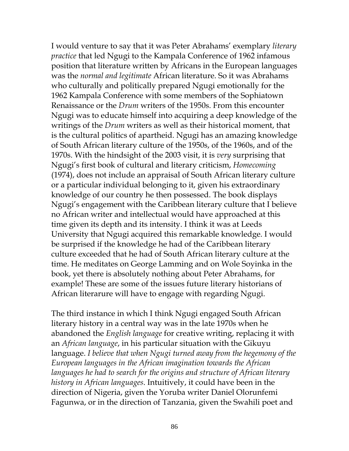I would venture to say that it was Peter Abrahams' exemplary *literary practice* that led Ngugi to the Kampala Conference of 1962 infamous position that literature written by Africans in the European languages was the *normal and legitimate* African literature. So it was Abrahams who culturally and politically prepared Ngugi emotionally for the 1962 Kampala Conference with some members of the Sophiatown Renaissance or the *Drum* writers of the 1950s. From this encounter Ngugi was to educate himself into acquiring a deep knowledge of the writings of the *Drum* writers as well as their historical moment, that is the cultural politics of apartheid. Ngugi has an amazing knowledge of South African literary culture of the 1950s, of the 1960s, and of the 1970s. With the hindsight of the 2003 visit, it is *very* surprising that Ngugi's first book of cultural and literary criticism, *Homecoming* (1974), does not include an appraisal of South African literary culture or a particular individual belonging to it, given his extraordinary knowledge of our country he then possessed. The book displays Ngugi's engagement with the Caribbean literary culture that I believe no African writer and intellectual would have approached at this time given its depth and its intensity. I think it was at Leeds University that Ngugi acquired this remarkable knowledge. I would be surprised if the knowledge he had of the Caribbean literary culture exceeded that he had of South African literary culture at the time. He meditates on George Lamming and on Wole Soyinka in the book, yet there is absolutely nothing about Peter Abrahams, for example! These are some of the issues future literary historians of African literarure will have to engage with regarding Ngugi.

The third instance in which I think Ngugi engaged South African literary history in a central way was in the late 1970s when he abandoned the *English language* for creative writing, replacing it with an *African language*, in his particular situation with the Gikuyu language. *I believe that when Ngugi turned away from the hegemony of the European languages in the African imagination towards the African languages he had to search for the origins and structure of African literary history in African languages*. Intuitively, it could have been in the direction of Nigeria, given the Yoruba writer Daniel Olorunfemi Fagunwa, or in the direction of Tanzania, given the Swahili poet and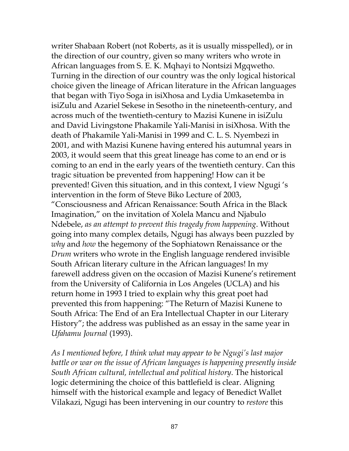writer Shabaan Robert (not Robert*s*, as it is usually misspelled), or in the direction of our country, given so many writers who wrote in African languages from S. E. K. Mqhayi to Nontsizi Mgqwetho. Turning in the direction of our country was the only logical historical choice given the lineage of African literature in the African languages that began with Tiyo Soga in isiXhosa and Lydia Umkasetemba in isiZulu and Azariel Sekese in Sesotho in the nineteenth-century, and across much of the twentieth-century to Mazisi Kunene in isiZulu and David Livingstone Phakamile Yali-Manisi in isiXhosa. With the death of Phakamile Yali-Manisi in 1999 and C. L. S. Nyembezi in 2001, and with Mazisi Kunene having entered his autumnal years in 2003, it would seem that this great lineage has come to an end or is coming to an end in the early years of the twentieth century. Can this tragic situation be prevented from happening! How can it be prevented! Given this situation, and in this context, I view Ngugi 's intervention in the form of Steve Biko Lecture of 2003, "Consciousness and African Renaissance: South Africa in the Black Imagination," on the invitation of Xolela Mancu and Njabulo Ndebele, *as an attempt to prevent this tragedy from happening*. Without going into many complex details, Ngugi has always been puzzled by *why* and *how* the hegemony of the Sophiatown Renaissance or the *Drum* writers who wrote in the English language rendered invisible South African literary culture in the African languages! In my farewell address given on the occasion of Mazisi Kunene's retirement from the University of California in Los Angeles (UCLA) and his return home in 1993 I tried to explain why this great poet had prevented this from happening: "The Return of Mazisi Kunene to South Africa: The End of an Era Intellectual Chapter in our Literary History"; the address was published as an essay in the same year in *Ufahamu Journal* (1993).

*As I mentioned before, I think what may appear to be Ngugi's last major battle or war on the issue of African languages is happening presently inside South African cultural, intellectual and political history*. The historical logic determining the choice of this battlefield is clear. Aligning himself with the historical example and legacy of Benedict Wallet Vilakazi, Ngugi has been intervening in our country to *restore* this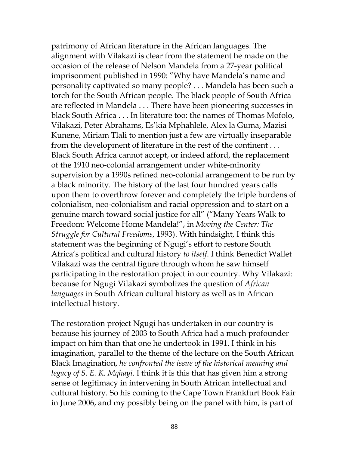patrimony of African literature in the African languages. The alignment with Vilakazi is clear from the statement he made on the occasion of the release of Nelson Mandela from a 27-year political imprisonment published in 1990: "Why have Mandela's name and personality captivated so many people? . . . Mandela has been such a torch for the South African people. The black people of South Africa are reflected in Mandela . . . There have been pioneering successes in black South Africa . . . In literature too: the names of Thomas Mofolo, Vilakazi, Peter Abrahams, Es'kia Mphahlele, Alex la Guma, Mazisi Kunene, Miriam Tlali to mention just a few are virtually inseparable from the development of literature in the rest of the continent . . . Black South Africa cannot accept, or indeed afford, the replacement of the 1910 neo-colonial arrangement under white-minority supervision by a 1990s refined neo-colonial arrangement to be run by a black minority. The history of the last four hundred years calls upon them to overthrow forever and completely the triple burdens of colonialism, neo-colonialism and racial oppression and to start on a genuine march toward social justice for all" ("Many Years Walk to Freedom: Welcome Home Mandela!", in *Moving the Center: The Struggle for Cultural Freedoms*, 1993). With hindsight, I think this statement was the beginning of Ngugi's effort to restore South Africa's political and cultural history *to itself*. I think Benedict Wallet Vilakazi was the central figure through whom he saw himself participating in the restoration project in our country. Why Vilakazi: because for Ngugi Vilakazi symbolizes the question of *African languages* in South African cultural history as well as in African intellectual history.

The restoration project Ngugi has undertaken in our country is because his journey of 2003 to South Africa had a much profounder impact on him than that one he undertook in 1991. I think in his imagination, parallel to the theme of the lecture on the South African Black Imagination, *he confronted the issue of the historical meaning and legacy of S. E. K. Mqhayi*. I think it is this that has given him a strong sense of legitimacy in intervening in South African intellectual and cultural history. So his coming to the Cape Town Frankfurt Book Fair in June 2006, and my possibly being on the panel with him, is part of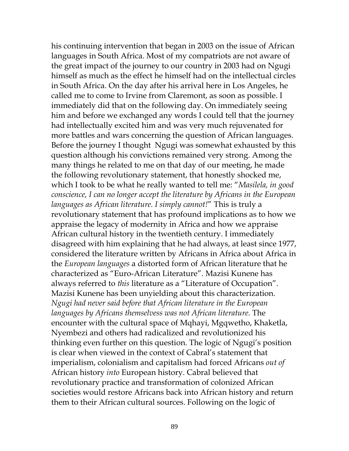his continuing intervention that began in 2003 on the issue of African languages in South Africa. Most of my compatriots are not aware of the great impact of the journey to our country in 2003 had on Ngugi himself as much as the effect he himself had on the intellectual circles in South Africa. On the day after his arrival here in Los Angeles, he called me to come to Irvine from Claremont, as soon as possible. I immediately did that on the following day. On immediately seeing him and before we exchanged any words I could tell that the journey had intellectually excited him and was very much rejuvenated for more battles and wars concerning the question of African languages. Before the journey I thought Ngugi was somewhat exhausted by this question although his convictions remained very strong. Among the many things he related to me on that day of our meeting, he made the following revolutionary statement, that honestly shocked me, which I took to be what he really wanted to tell me: "*Masilela, in good conscience, I can no longer accept the literature by Africans in the European languages as African literature. I simply cannot!*" This is truly a revolutionary statement that has profound implications as to how we appraise the legacy of modernity in Africa and how we appraise African cultural history in the twentieth century. I immediately disagreed with him explaining that he had always, at least since 1977, considered the literature written by Africans in Africa about Africa in the *European languages* a distorted form of African literature that he characterized as "Euro-African Literature". Mazisi Kunene has always referred to *this* literature as a "Literature of Occupation". Mazisi Kunene has been unyielding about this characterization. *Ngugi had never said before that African literature in the European languages by Africans themselvess was not African literature.* The encounter with the cultural space of Mqhayi, Mgqwetho, Khaketla, Nyembezi and others had radicalized and revolutionized his thinking even further on this question. The logic of Ngugi's position is clear when viewed in the context of Cabral's statement that imperialism, colonialism and capitalism had forced Africans *out of* African history *into* European history. Cabral believed that revolutionary practice and transformation of colonized African societies would restore Africans back into African history and return them to their African cultural sources. Following on the logic of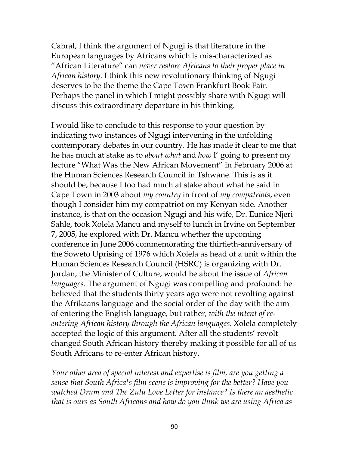Cabral, I think the argument of Ngugi is that literature in the European languages by Africans which is mis-characterized as "African Literature" can *never restore Africans to their proper place in African history*. I think this new revolutionary thinking of Ngugi deserves to be the theme the Cape Town Frankfurt Book Fair. Perhaps the panel in which I might possibly share with Ngugi will discuss this extraordinary departure in his thinking.

I would like to conclude to this response to your question by indicating two instances of Ngugi intervening in the unfolding contemporary debates in our country. He has made it clear to me that he has much at stake as to *about what* and *how* I' going to present my lecture "What Was the New African Movement" in February 2006 at the Human Sciences Research Council in Tshwane. This is as it should be, because I too had much at stake about what he said in Cape Town in 2003 about *my country* in front of *my compatriots*, even though I consider him my compatriot on my Kenyan side. Another instance, is that on the occasion Ngugi and his wife, Dr. Eunice Njeri Sahle, took Xolela Mancu and myself to lunch in Irvine on September 7, 2005, he explored with Dr. Mancu whether the upcoming conference in June 2006 commemorating the thirtieth-anniversary of the Soweto Uprising of 1976 which Xolela as head of a unit within the Human Sciences Research Council (HSRC) is organizing with Dr. Jordan, the Minister of Culture, would be about the issue of *African languages*. The argument of Ngugi was compelling and profound: he believed that the students thirty years ago were not revolting against the Afrikaans language and the social order of the day with the aim of entering the English language*,* but rather*, with the intent of reentering African history through the African languages*. Xolela completely accepted the logic of this argument. After all the students' revolt changed South African history thereby making it possible for all of us South Africans to re-enter African history.

*Your other area of special interest and expertise is film, are you getting a sense that South Africa's film scene is improving for the better? Have you watched Drum and The Zulu Love Letter for instance? Is there an aesthetic that is ours as South Africans and how do you think we are using Africa as*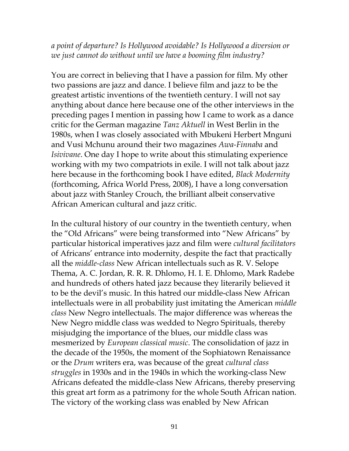## *a point of departure? Is Hollywood avoidable? Is Hollywood a diversion or we just cannot do without until we have a booming film industry?*

You are correct in believing that I have a passion for film. My other two passions are jazz and dance. I believe film and jazz to be the greatest artistic inventions of the twentieth century. I will not say anything about dance here because one of the other interviews in the preceding pages I mention in passing how I came to work as a dance critic for the German magazine *Tanz Aktuell* in West Berlin in the 1980s, when I was closely associated with Mbukeni Herbert Mnguni and Vusi Mchunu around their two magazines *Awa-Finnaba* and *Isivivane*. One day I hope to write about this stimulating experience working with my two compatriots in exile. I will not talk about jazz here because in the forthcoming book I have edited, *Black Modernity* (forthcoming, Africa World Press, 2008), I have a long conversation about jazz with Stanley Crouch, the brilliant albeit conservative African American cultural and jazz critic.

In the cultural history of our country in the twentieth century, when the "Old Africans" were being transformed into "New Africans" by particular historical imperatives jazz and film were *cultural facilitators* of Africans' entrance into modernity, despite the fact that practically all the *middle-class* New African intellectuals such as R. V. Selope Thema, A. C. Jordan, R. R. R. Dhlomo, H. I. E. Dhlomo, Mark Radebe and hundreds of others hated jazz because they literarily believed it to be the devil's music. In this hatred our middle-class New African intellectuals were in all probability just imitating the American *middle class* New Negro intellectuals. The major difference was whereas the New Negro middle class was wedded to Negro Spirituals, thereby misjudging the importance of the blues, our middle class was mesmerized by *European classical music*. The consolidation of jazz in the decade of the 1950s, the moment of the Sophiatown Renaissance or the *Drum* writers era, was because of the great *cultural class struggles* in 1930s and in the 1940s in which the working-class New Africans defeated the middle-class New Africans, thereby preserving this great art form as a patrimony for the whole South African nation. The victory of the working class was enabled by New African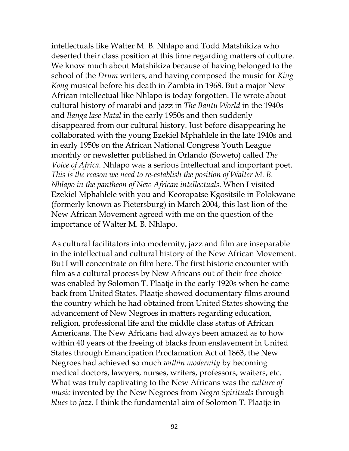intellectuals like Walter M. B. Nhlapo and Todd Matshikiza who deserted their class position at this time regarding matters of culture. We know much about Matshikiza because of having belonged to the school of the *Drum* writers, and having composed the music for *King Kong* musical before his death in Zambia in 1968. But a major New African intellectual like Nhlapo is today forgotten. He wrote about cultural history of marabi and jazz in *The Bantu World* in the 1940s and *Ilanga lase Natal* in the early 1950s and then suddenly disappeared from our cultural history. Just before disappearing he collaborated with the young Ezekiel Mphahlele in the late 1940s and in early 1950s on the African National Congress Youth League monthly or newsletter published in Orlando (Soweto) called *The Voice of Africa*. Nhlapo was a serious intellectual and important poet. *This is the reason we need to re-establish the position of Walter M. B. Nhlapo in the pantheon of New African intellectuals*. When I visited Ezekiel Mphahlele with you and Keoropatse Kgositsile in Polokwane (formerly known as Pietersburg) in March 2004, this last lion of the New African Movement agreed with me on the question of the importance of Walter M. B. Nhlapo.

As cultural facilitators into modernity, jazz and film are inseparable in the intellectual and cultural history of the New African Movement. But I will concentrate on film here. The first historic encounter with film as a cultural process by New Africans out of their free choice was enabled by Solomon T. Plaatje in the early 1920s when he came back from United States. Plaatje showed documentary films around the country which he had obtained from United States showing the advancement of New Negroes in matters regarding education, religion, professional life and the middle class status of African Americans. The New Africans had always been amazed as to how within 40 years of the freeing of blacks from enslavement in United States through Emancipation Proclamation Act of 1863, the New Negroes had achieved so much *within modernity* by becoming medical doctors, lawyers, nurses, writers, professors, waiters, etc. What was truly captivating to the New Africans was the *culture of music* invented by the New Negroes from *Negro Spirituals* through *blues* to *jazz*. I think the fundamental aim of Solomon T. Plaatje in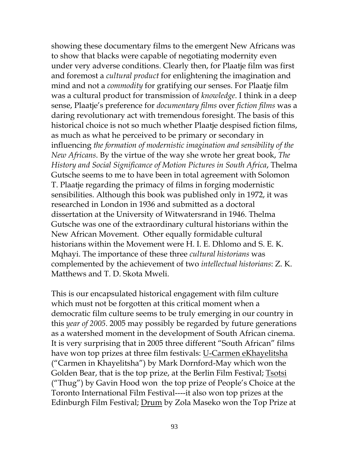showing these documentary films to the emergent New Africans was to show that blacks were capable of negotiating modernity even under very adverse conditions. Clearly then, for Plaatje film was first and foremost a *cultural product* for enlightening the imagination and mind and not a *commodity* for gratifying our senses. For Plaatje film was a cultural product for transmission of *knowledge*. I think in a deep sense, Plaatje's preference for *documentary films* over *fiction films* was a daring revolutionary act with tremendous foresight. The basis of this historical choice is not so much whether Plaatje despised fiction films, as much as what he perceived to be primary or secondary in influencing *the formation of modernistic imagination and sensibility of the New Africans*. By the virtue of the way she wrote her great book, *The History and Social Significance of Motion Pictures in South Africa*, Thelma Gutsche seems to me to have been in total agreement with Solomon T. Plaatje regarding the primacy of films in forging modernistic sensibilities. Although this book was published only in 1972, it was researched in London in 1936 and submitted as a doctoral dissertation at the University of Witwatersrand in 1946. Thelma Gutsche was one of the extraordinary cultural historians within the New African Movement. Other equally formidable cultural historians within the Movement were H. I. E. Dhlomo and S. E. K. Mqhayi. The importance of these three *cultural historians* was complemented by the achievement of two *intellectual historians*: Z. K. Matthews and T. D. Skota Mweli.

This is our encapsulated historical engagement with film culture which must not be forgotten at this critical moment when a democratic film culture seems to be truly emerging in our country in this *year of 2005*. 2005 may possibly be regarded by future generations as a watershed moment in the development of South African cinema. It is very surprising that in 2005 three different "South African" films have won top prizes at three film festivals: U-Carmen eKhayelitsha ("Carmen in Khayelitsha") by Mark Dornford-May which won the Golden Bear, that is the top prize, at the Berlin Film Festival; **Tsotsi** ("Thug") by Gavin Hood won the top prize of People's Choice at the Toronto International Film Festival----it also won top prizes at the Edinburgh Film Festival; Drum by Zola Maseko won the Top Prize at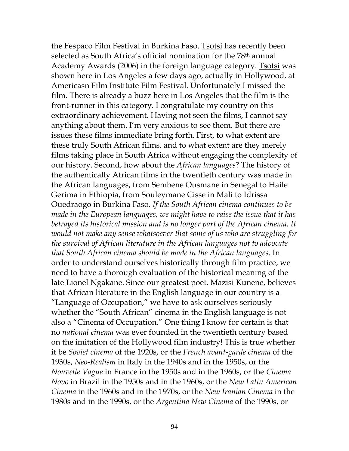the Fespaco Film Festival in Burkina Faso. **Tsotsi** has recently been selected as South Africa's official nomination for the 78th annual Academy Awards (2006) in the foreign language category. Tsotsi was shown here in Los Angeles a few days ago, actually in Hollywood, at Americasn Film Institute Film Festival. Unfortunately I missed the film. There is already a buzz here in Los Angeles that the film is the front-runner in this category. I congratulate my country on this extraordinary achievement. Having not seen the films, I cannot say anything about them. I'm very anxious to see them. But there are issues these films immediate bring forth. First, to what extent are these truly South African films, and to what extent are they merely films taking place in South Africa without engaging the complexity of our history. Second, how about the *African languages*? The history of the authentically African films in the twentieth century was made in the African languages, from Sembene Ousmane in Senegal to Haile Gerima in Ethiopia, from Souleymane Cisse in Mali to Idrissa Ouedraogo in Burkina Faso. *If the South African cinema continues to be made in the European languages, we might have to raise the issue that it has betrayed its historical mission and is no longer part of the African cinema. It would not make any sense whatsoever that some of us who are struggling for the survival of African literature in the African languages not to advocate that South African cinema should be made in the African languages*. In order to understand ourselves historically through film practice, we need to have a thorough evaluation of the historical meaning of the late Lionel Ngakane. Since our greatest poet, Mazisi Kunene, believes that African literature in the English language in our country is a "Language of Occupation," we have to ask ourselves seriously whether the "South African" cinema in the English language is not also a "Cinema of Occupation." One thing I know for certain is that no *national cinema* was ever founded in the twentieth century based on the imitation of the Hollywood film industry! This is true whether it be *Soviet cinema* of the 1920s, or the *French avant-garde cinema* of the 1930s, *Neo-Realism* in Italy in the 1940s and in the 1950s, or the *Nouvelle Vague* in France in the 1950s and in the 1960s, or the *Cinema Novo* in Brazil in the 1950s and in the 1960s, or the *New Latin American Cinema* in the 1960s and in the 1970s, or the *New Iranian Cinema* in the 1980s and in the 1990s, or the *Argentina New Cinema* of the 1990s, or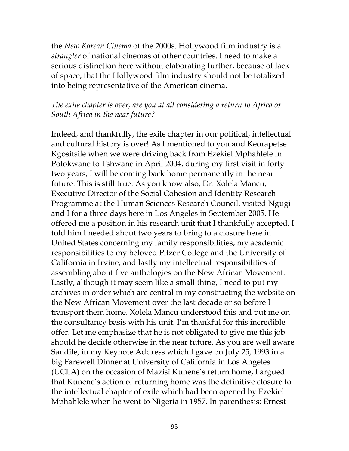the *New Korean Cinema* of the 2000s. Hollywood film industry is a *strangler* of national cinemas of other countries. I need to make a serious distinction here without elaborating further, because of lack of space, that the Hollywood film industry should not be totalized into being representative of the American cinema.

## *The exile chapter is over, are you at all considering a return to Africa or South Africa in the near future?*

Indeed, and thankfully, the exile chapter in our political, intellectual and cultural history is over! As I mentioned to you and Keorapetse Kgositsile when we were driving back from Ezekiel Mphahlele in Polokwane to Tshwane in April 2004, during my first visit in forty two years, I will be coming back home permanently in the near future. This is still true. As you know also, Dr. Xolela Mancu, Executive Director of the Social Cohesion and Identity Research Programme at the Human Sciences Research Council, visited Ngugi and I for a three days here in Los Angeles in September 2005. He offered me a position in his research unit that I thankfully accepted. I told him I needed about two years to bring to a closure here in United States concerning my family responsibilities, my academic responsibilities to my beloved Pitzer College and the University of California in Irvine, and lastly my intellectual responsibilities of assembling about five anthologies on the New African Movement. Lastly, although it may seem like a small thing, I need to put my archives in order which are central in my constructing the website on the New African Movement over the last decade or so before I transport them home. Xolela Mancu understood this and put me on the consultancy basis with his unit. I'm thankful for this incredible offer. Let me emphasize that he is not obligated to give me this job should he decide otherwise in the near future. As you are well aware Sandile, in my Keynote Address which I gave on July 25, 1993 in a big Farewell Dinner at University of California in Los Angeles (UCLA) on the occasion of Mazisi Kunene's return home, I argued that Kunene's action of returning home was the definitive closure to the intellectual chapter of exile which had been opened by Ezekiel Mphahlele when he went to Nigeria in 1957. In parenthesis: Ernest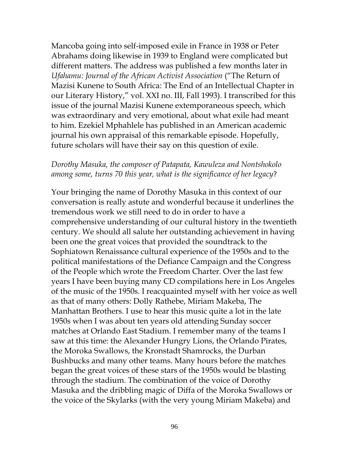Mancoba going into self-imposed exile in France in 1938 or Peter Abrahams doing likewise in 1939 to England were complicated but different matters. The address was published a few months later in *Ufahamu: Journal of the African Activist Association* ("The Return of Mazisi Kunene to South Africa: The End of an Intellectual Chapter in our Literary History," vol. XXI no. III, Fall 1993). I transcribed for this issue of the journal Mazisi Kunene extemporaneous speech, which was extraordinary and very emotional, about what exile had meant to him. Ezekiel Mphahlele has published in an American academic journal his own appraisal of this remarkable episode. Hopefully, future scholars will have their say on this question of exile.

## *Dorothy Masuka, the composer of Patapata, Kawuleza and Nontshokolo among some, turns 70 this year, what is the significance of her legacy?*

Your bringing the name of Dorothy Masuka in this context of our conversation is really astute and wonderful because it underlines the tremendous work we still need to do in order to have a comprehensive understanding of our cultural history in the twentieth century. We should all salute her outstanding achievement in having been one the great voices that provided the soundtrack to the Sophiatown Renaissance cultural experience of the 1950s and to the political manifestations of the Defiance Campaign and the Congress of the People which wrote the Freedom Charter. Over the last few years I have been buying many CD compilations here in Los Angeles of the music of the 1950s. I reacquainted myself with her voice as well as that of many others: Dolly Rathebe, Miriam Makeba, The Manhattan Brothers. I use to hear this music quite a lot in the late 1950s when I was about ten years old attending Sunday soccer matches at Orlando East Stadium. I remember many of the teams I saw at this time: the Alexander Hungry Lions, the Orlando Pirates, the Moroka Swallows, the Kronstadt Shamrocks, the Durban Bushbucks and many other teams. Many hours before the matches began the great voices of these stars of the 1950s would be blasting through the stadium. The combination of the voice of Dorothy Masuka and the dribbling magic of Diffa of the Moroka Swallows or the voice of the Skylarks (with the very young Miriam Makeba) and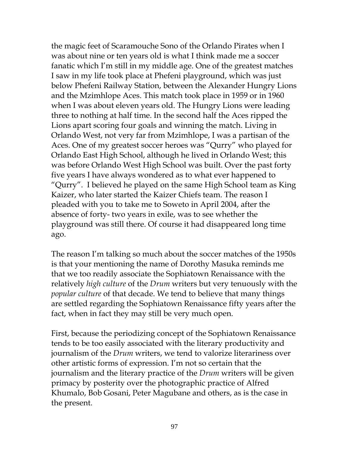the magic feet of Scaramouche Sono of the Orlando Pirates when I was about nine or ten years old is what I think made me a soccer fanatic which I'm still in my middle age. One of the greatest matches I saw in my life took place at Phefeni playground, which was just below Phefeni Railway Station, between the Alexander Hungry Lions and the Mzimhlope Aces. This match took place in 1959 or in 1960 when I was about eleven years old. The Hungry Lions were leading three to nothing at half time. In the second half the Aces ripped the Lions apart scoring four goals and winning the match. Living in Orlando West, not very far from Mzimhlope, I was a partisan of the Aces. One of my greatest soccer heroes was "Qurry" who played for Orlando East High School, although he lived in Orlando West; this was before Orlando West High School was built. Over the past forty five years I have always wondered as to what ever happened to "Qurry". I believed he played on the same High School team as King Kaizer, who later started the Kaizer Chiefs team. The reason I pleaded with you to take me to Soweto in April 2004, after the absence of forty- two years in exile, was to see whether the playground was still there. Of course it had disappeared long time ago.

The reason I'm talking so much about the soccer matches of the 1950s is that your mentioning the name of Dorothy Masuka reminds me that we too readily associate the Sophiatown Renaissance with the relatively *high culture* of the *Drum* writers but very tenuously with the *popular culture* of that decade. We tend to believe that many things are settled regarding the Sophiatown Renaissance fifty years after the fact, when in fact they may still be very much open.

First, because the periodizing concept of the Sophiatown Renaissance tends to be too easily associated with the literary productivity and journalism of the *Drum* writers, we tend to valorize literariness over other artistic forms of expression. I'm not so certain that the journalism and the literary practice of the *Drum* writers will be given primacy by posterity over the photographic practice of Alfred Khumalo, Bob Gosani, Peter Magubane and others, as is the case in the present.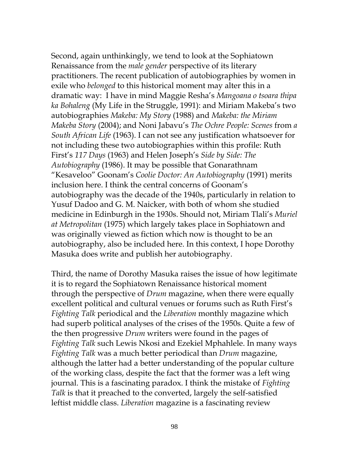Second, again unthinkingly, we tend to look at the Sophiatown Renaissance from the *male gender* perspective of its literary practitioners. The recent publication of autobiographies by women in exile who *belonged* to this historical moment may alter this in a dramatic way: I have in mind Maggie Resha's *Mangoana o tsoara thipa ka Bohaleng* (My Life in the Struggle, 1991): and Miriam Makeba's two autobiographies *Makeba: My Story* (1988) and *Makeba: the Miriam Makeba Story* (2004); and Noni Jabavu's *The Ochre People: Scenes* from *a South African Life* (1963). I can not see any justification whatsoever for not including these two autobiographies within this profile: Ruth First's *117 Days* (1963) and Helen Joseph's *Side by Side: The Autobiography* (1986). It may be possible that Gonarathnam "Kesaveloo" Goonam's *Coolie Doctor: An Autobiography* (1991) merits inclusion here. I think the central concerns of Goonam's autobiography was the decade of the 1940s, particularly in relation to Yusuf Dadoo and G. M. Naicker, with both of whom she studied medicine in Edinburgh in the 1930s. Should not, Miriam Tlali's *Muriel at Metropolitan* (1975) which largely takes place in Sophiatown and was originally viewed as fiction which now is thought to be an autobiography, also be included here. In this context, I hope Dorothy Masuka does write and publish her autobiography.

Third, the name of Dorothy Masuka raises the issue of how legitimate it is to regard the Sophiatown Renaissance historical moment through the perspective of *Drum* magazine, when there were equally excellent political and cultural venues or forums such as Ruth First's *Fighting Talk* periodical and the *Liberation* monthly magazine which had superb political analyses of the crises of the 1950s. Quite a few of the then progressive *Drum* writers were found in the pages of *Fighting Talk* such Lewis Nkosi and Ezekiel Mphahlele. In many ways *Fighting Talk* was a much better periodical than *Drum* magazine, although the latter had a better understanding of the popular culture of the working class, despite the fact that the former was a left wing journal. This is a fascinating paradox. I think the mistake of *Fighting Talk* is that it preached to the converted, largely the self-satisfied leftist middle class. *Liberation* magazine is a fascinating review